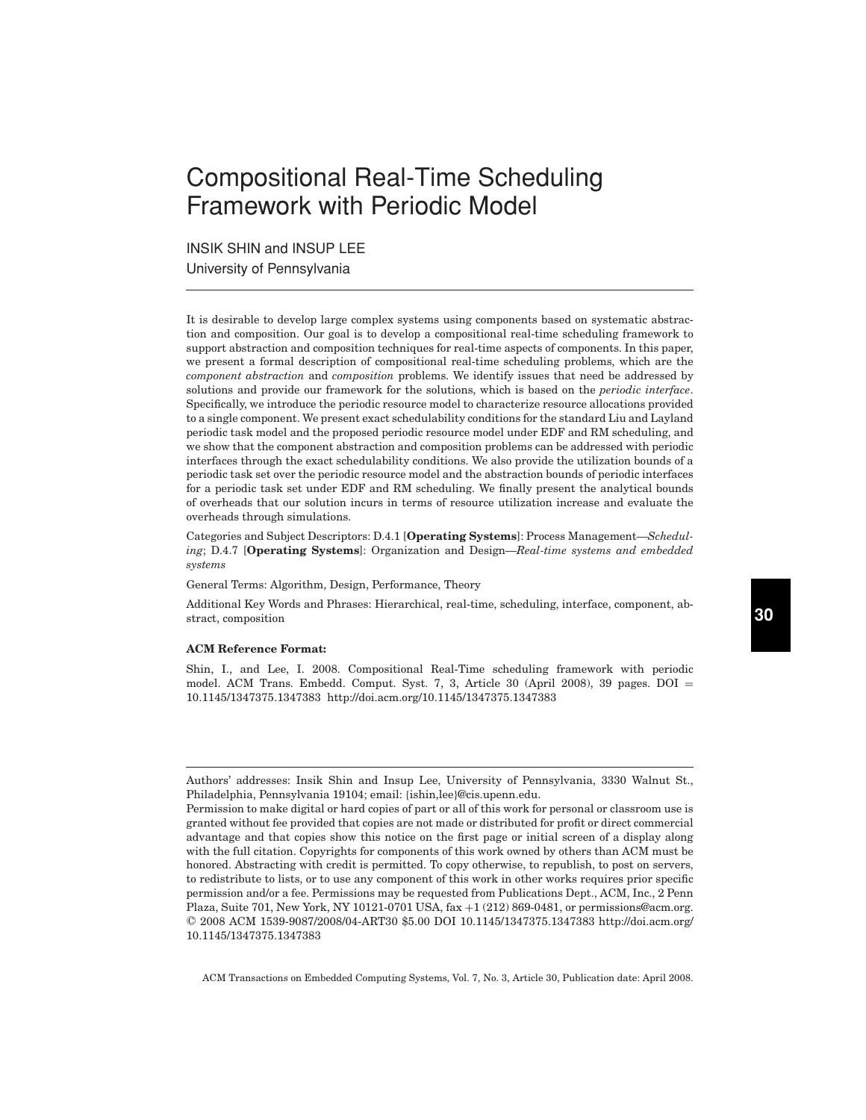# Compositional Real-Time Scheduling Framework with Periodic Model

INSIK SHIN and INSUP LEE University of Pennsylvania

It is desirable to develop large complex systems using components based on systematic abstraction and composition. Our goal is to develop a compositional real-time scheduling framework to support abstraction and composition techniques for real-time aspects of components. In this paper, we present a formal description of compositional real-time scheduling problems, which are the *component abstraction* and *composition* problems. We identify issues that need be addressed by solutions and provide our framework for the solutions, which is based on the *periodic interface*. Specifically, we introduce the periodic resource model to characterize resource allocations provided to a single component. We present exact schedulability conditions for the standard Liu and Layland periodic task model and the proposed periodic resource model under EDF and RM scheduling, and we show that the component abstraction and composition problems can be addressed with periodic interfaces through the exact schedulability conditions. We also provide the utilization bounds of a periodic task set over the periodic resource model and the abstraction bounds of periodic interfaces for a periodic task set under EDF and RM scheduling. We finally present the analytical bounds of overheads that our solution incurs in terms of resource utilization increase and evaluate the overheads through simulations.

Categories and Subject Descriptors: D.4.1 [**Operating Systems**]: Process Management—*Scheduling*; D.4.7 [**Operating Systems**]: Organization and Design—*Real-time systems and embedded systems*

General Terms: Algorithm, Design, Performance, Theory

Additional Key Words and Phrases: Hierarchical, real-time, scheduling, interface, component, abstract, composition

#### **ACM Reference Format:**

Shin, I., and Lee, I. 2008. Compositional Real-Time scheduling framework with periodic model. ACM Trans. Embedd. Comput. Syst. 7, 3, Article 30 (April 2008), 39 pages.  $D O I =$ 10.1145/1347375.1347383 http://doi.acm.org/10.1145/1347375.1347383

Authors' addresses: Insik Shin and Insup Lee, University of Pennsylvania, 3330 Walnut St., Philadelphia, Pennsylvania 19104; email: {ishin,lee}@cis.upenn.edu.

Permission to make digital or hard copies of part or all of this work for personal or classroom use is granted without fee provided that copies are not made or distributed for profit or direct commercial advantage and that copies show this notice on the first page or initial screen of a display along with the full citation. Copyrights for components of this work owned by others than ACM must be honored. Abstracting with credit is permitted. To copy otherwise, to republish, to post on servers, to redistribute to lists, or to use any component of this work in other works requires prior specific permission and/or a fee. Permissions may be requested from Publications Dept., ACM, Inc., 2 Penn Plaza, Suite 701, New York, NY 10121-0701 USA,  $\text{far} +1(212) 869-0481$ , or permissions@acm.org. !<sup>C</sup> 2008 ACM 1539-9087/2008/04-ART30 \$5.00 DOI 10.1145/1347375.1347383 http://doi.acm.org/ 10.1145/1347375.1347383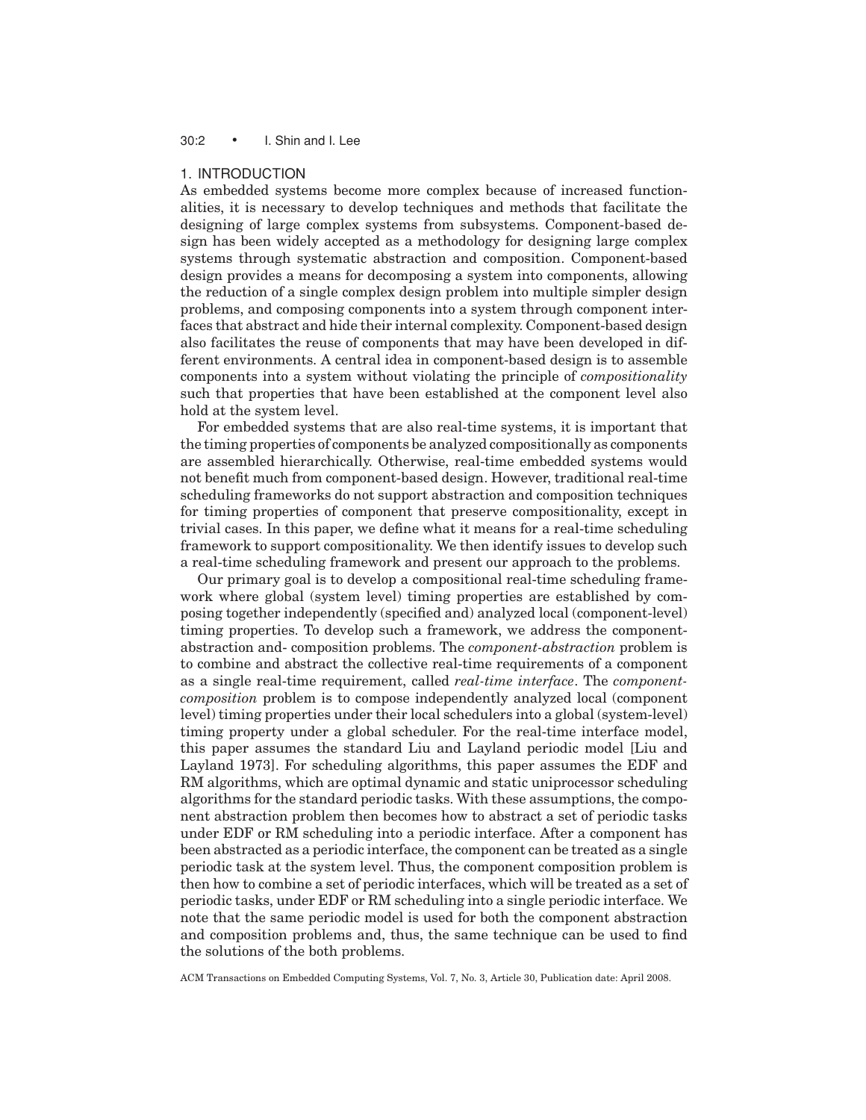## 30:2 • I. Shin and I. Lee

#### 1. INTRODUCTION

As embedded systems become more complex because of increased functionalities, it is necessary to develop techniques and methods that facilitate the designing of large complex systems from subsystems. Component-based design has been widely accepted as a methodology for designing large complex systems through systematic abstraction and composition. Component-based design provides a means for decomposing a system into components, allowing the reduction of a single complex design problem into multiple simpler design problems, and composing components into a system through component interfaces that abstract and hide their internal complexity. Component-based design also facilitates the reuse of components that may have been developed in different environments. A central idea in component-based design is to assemble components into a system without violating the principle of *compositionality* such that properties that have been established at the component level also hold at the system level.

For embedded systems that are also real-time systems, it is important that the timing properties of components be analyzed compositionally as components are assembled hierarchically. Otherwise, real-time embedded systems would not benefit much from component-based design. However, traditional real-time scheduling frameworks do not support abstraction and composition techniques for timing properties of component that preserve compositionality, except in trivial cases. In this paper, we define what it means for a real-time scheduling framework to support compositionality. We then identify issues to develop such a real-time scheduling framework and present our approach to the problems.

Our primary goal is to develop a compositional real-time scheduling framework where global (system level) timing properties are established by composing together independently (specified and) analyzed local (component-level) timing properties. To develop such a framework, we address the componentabstraction and- composition problems. The *component-abstraction* problem is to combine and abstract the collective real-time requirements of a component as a single real-time requirement, called *real-time interface*. The *componentcomposition* problem is to compose independently analyzed local (component level) timing properties under their local schedulers into a global (system-level) timing property under a global scheduler. For the real-time interface model, this paper assumes the standard Liu and Layland periodic model [Liu and Layland 1973]. For scheduling algorithms, this paper assumes the EDF and RM algorithms, which are optimal dynamic and static uniprocessor scheduling algorithms for the standard periodic tasks. With these assumptions, the component abstraction problem then becomes how to abstract a set of periodic tasks under EDF or RM scheduling into a periodic interface. After a component has been abstracted as a periodic interface, the component can be treated as a single periodic task at the system level. Thus, the component composition problem is then how to combine a set of periodic interfaces, which will be treated as a set of periodic tasks, under EDF or RM scheduling into a single periodic interface. We note that the same periodic model is used for both the component abstraction and composition problems and, thus, the same technique can be used to find the solutions of the both problems.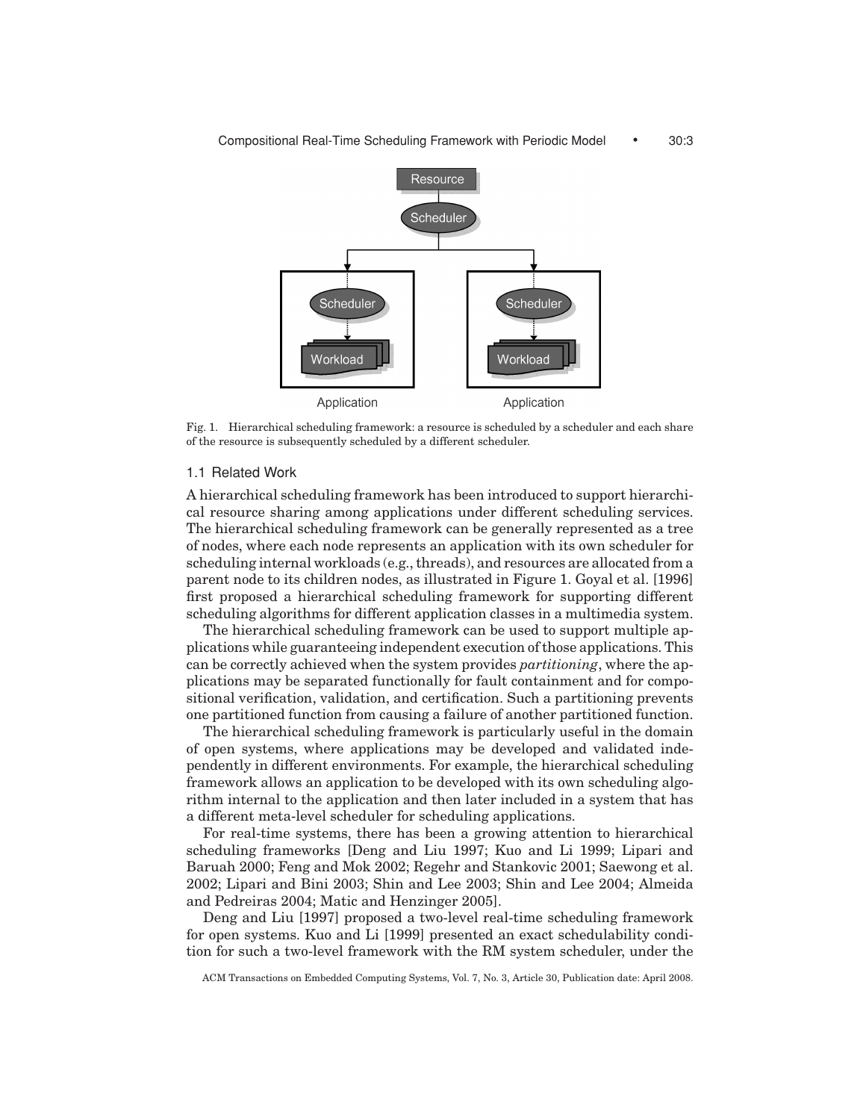

Fig. 1. Hierarchical scheduling framework: a resource is scheduled by a scheduler and each share of the resource is subsequently scheduled by a different scheduler.

# 1.1 Related Work

A hierarchical scheduling framework has been introduced to support hierarchical resource sharing among applications under different scheduling services. The hierarchical scheduling framework can be generally represented as a tree of nodes, where each node represents an application with its own scheduler for scheduling internal workloads (e.g., threads), and resources are allocated from a parent node to its children nodes, as illustrated in Figure 1. Goyal et al. [1996] first proposed a hierarchical scheduling framework for supporting different scheduling algorithms for different application classes in a multimedia system.

The hierarchical scheduling framework can be used to support multiple applications while guaranteeing independent execution of those applications. This can be correctly achieved when the system provides *partitioning*, where the applications may be separated functionally for fault containment and for compositional verification, validation, and certification. Such a partitioning prevents one partitioned function from causing a failure of another partitioned function.

The hierarchical scheduling framework is particularly useful in the domain of open systems, where applications may be developed and validated independently in different environments. For example, the hierarchical scheduling framework allows an application to be developed with its own scheduling algorithm internal to the application and then later included in a system that has a different meta-level scheduler for scheduling applications.

For real-time systems, there has been a growing attention to hierarchical scheduling frameworks [Deng and Liu 1997; Kuo and Li 1999; Lipari and Baruah 2000; Feng and Mok 2002; Regehr and Stankovic 2001; Saewong et al. 2002; Lipari and Bini 2003; Shin and Lee 2003; Shin and Lee 2004; Almeida and Pedreiras 2004; Matic and Henzinger 2005].

Deng and Liu [1997] proposed a two-level real-time scheduling framework for open systems. Kuo and Li [1999] presented an exact schedulability condition for such a two-level framework with the RM system scheduler, under the

ACM Transactions on Embedded Computing Systems, Vol. 7, No. 3, Article 30, Publication date: April 2008.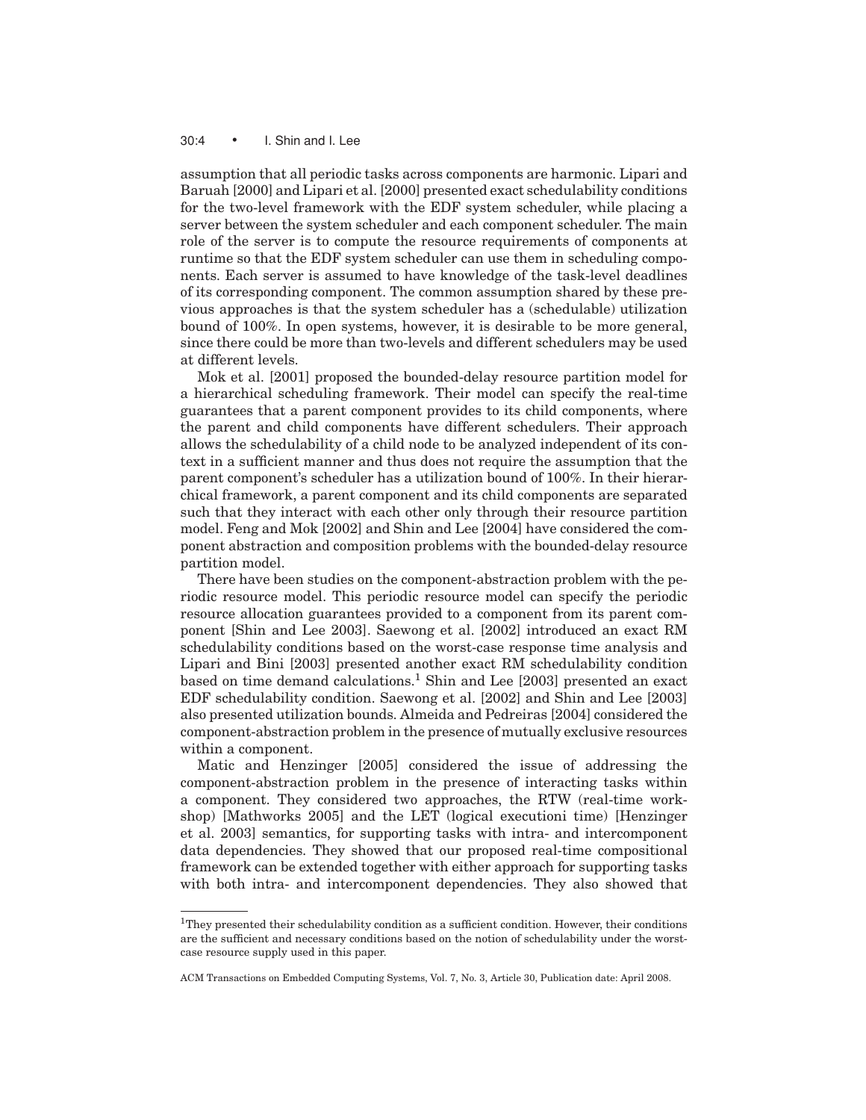## 30:4 • I. Shin and I. Lee

assumption that all periodic tasks across components are harmonic. Lipari and Baruah [2000] and Lipari et al. [2000] presented exact schedulability conditions for the two-level framework with the EDF system scheduler, while placing a server between the system scheduler and each component scheduler. The main role of the server is to compute the resource requirements of components at runtime so that the EDF system scheduler can use them in scheduling components. Each server is assumed to have knowledge of the task-level deadlines of its corresponding component. The common assumption shared by these previous approaches is that the system scheduler has a (schedulable) utilization bound of 100%. In open systems, however, it is desirable to be more general, since there could be more than two-levels and different schedulers may be used at different levels.

Mok et al. [2001] proposed the bounded-delay resource partition model for a hierarchical scheduling framework. Their model can specify the real-time guarantees that a parent component provides to its child components, where the parent and child components have different schedulers. Their approach allows the schedulability of a child node to be analyzed independent of its context in a sufficient manner and thus does not require the assumption that the parent component's scheduler has a utilization bound of 100%. In their hierarchical framework, a parent component and its child components are separated such that they interact with each other only through their resource partition model. Feng and Mok [2002] and Shin and Lee [2004] have considered the component abstraction and composition problems with the bounded-delay resource partition model.

There have been studies on the component-abstraction problem with the periodic resource model. This periodic resource model can specify the periodic resource allocation guarantees provided to a component from its parent component [Shin and Lee 2003]. Saewong et al. [2002] introduced an exact RM schedulability conditions based on the worst-case response time analysis and Lipari and Bini [2003] presented another exact RM schedulability condition based on time demand calculations.<sup>1</sup> Shin and Lee [2003] presented an exact EDF schedulability condition. Saewong et al. [2002] and Shin and Lee [2003] also presented utilization bounds. Almeida and Pedreiras [2004] considered the component-abstraction problem in the presence of mutually exclusive resources within a component.

Matic and Henzinger [2005] considered the issue of addressing the component-abstraction problem in the presence of interacting tasks within a component. They considered two approaches, the RTW (real-time workshop) [Mathworks 2005] and the LET (logical executioni time) [Henzinger et al. 2003] semantics, for supporting tasks with intra- and intercomponent data dependencies. They showed that our proposed real-time compositional framework can be extended together with either approach for supporting tasks with both intra- and intercomponent dependencies. They also showed that

<sup>1</sup>They presented their schedulability condition as a sufficient condition. However, their conditions are the sufficient and necessary conditions based on the notion of schedulability under the worstcase resource supply used in this paper.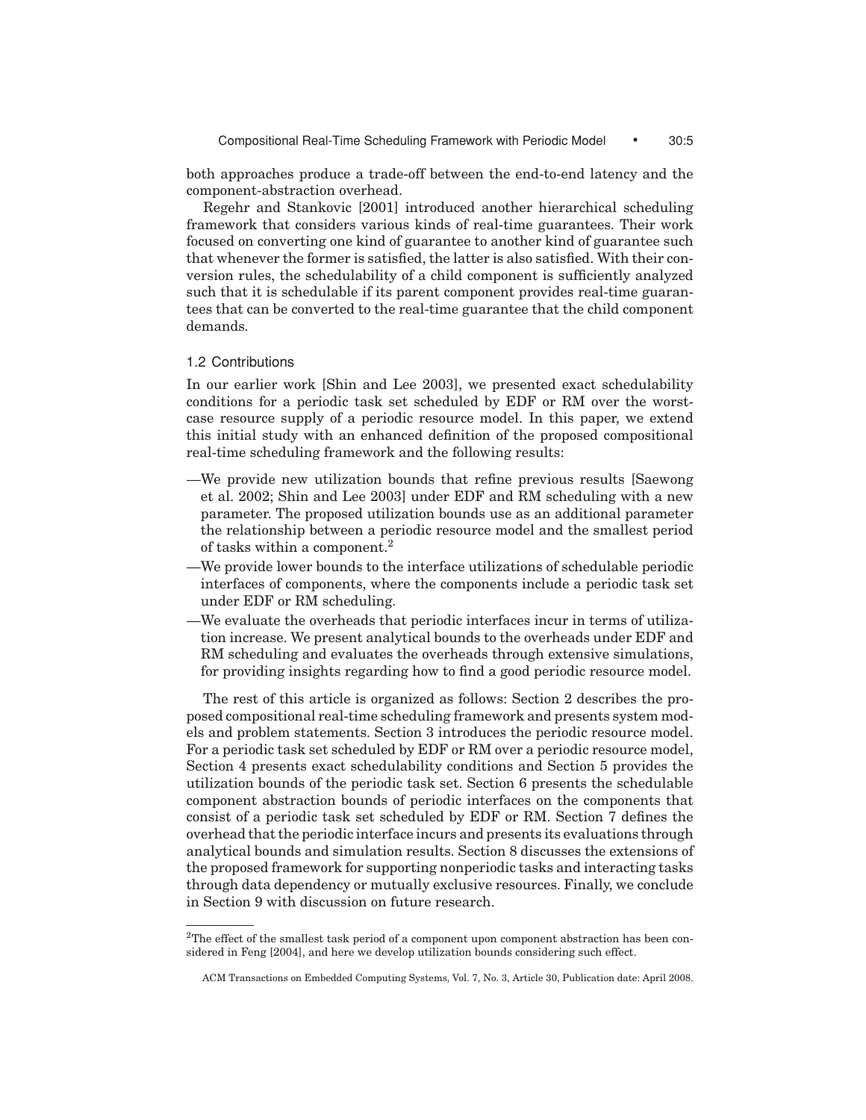both approaches produce a trade-off between the end-to-end latency and the component-abstraction overhead.

Regehr and Stankovic [2001] introduced another hierarchical scheduling framework that considers various kinds of real-time guarantees. Their work focused on converting one kind of guarantee to another kind of guarantee such that whenever the former is satisfied, the latter is also satisfied. With their conversion rules, the schedulability of a child component is sufficiently analyzed such that it is schedulable if its parent component provides real-time guarantees that can be converted to the real-time guarantee that the child component demands.

## 1.2 Contributions

In our earlier work [Shin and Lee 2003], we presented exact schedulability conditions for a periodic task set scheduled by EDF or RM over the worstcase resource supply of a periodic resource model. In this paper, we extend this initial study with an enhanced definition of the proposed compositional real-time scheduling framework and the following results:

- —We provide new utilization bounds that refine previous results [Saewong et al. 2002; Shin and Lee 2003] under EDF and RM scheduling with a new parameter. The proposed utilization bounds use as an additional parameter the relationship between a periodic resource model and the smallest period of tasks within a component.<sup>2</sup>
- —We provide lower bounds to the interface utilizations of schedulable periodic interfaces of components, where the components include a periodic task set under EDF or RM scheduling.
- —We evaluate the overheads that periodic interfaces incur in terms of utilization increase. We present analytical bounds to the overheads under EDF and RM scheduling and evaluates the overheads through extensive simulations, for providing insights regarding how to find a good periodic resource model.

The rest of this article is organized as follows: Section 2 describes the proposed compositional real-time scheduling framework and presents system models and problem statements. Section 3 introduces the periodic resource model. For a periodic task set scheduled by EDF or RM over a periodic resource model, Section 4 presents exact schedulability conditions and Section 5 provides the utilization bounds of the periodic task set. Section 6 presents the schedulable component abstraction bounds of periodic interfaces on the components that consist of a periodic task set scheduled by EDF or RM. Section 7 defines the overhead that the periodic interface incurs and presents its evaluations through analytical bounds and simulation results. Section 8 discusses the extensions of the proposed framework for supporting nonperiodic tasks and interacting tasks through data dependency or mutually exclusive resources. Finally, we conclude in Section 9 with discussion on future research.

<sup>&</sup>lt;sup>2</sup>The effect of the smallest task period of a component upon component abstraction has been considered in Feng [2004], and here we develop utilization bounds considering such effect.

ACM Transactions on Embedded Computing Systems, Vol. 7, No. 3, Article 30, Publication date: April 2008.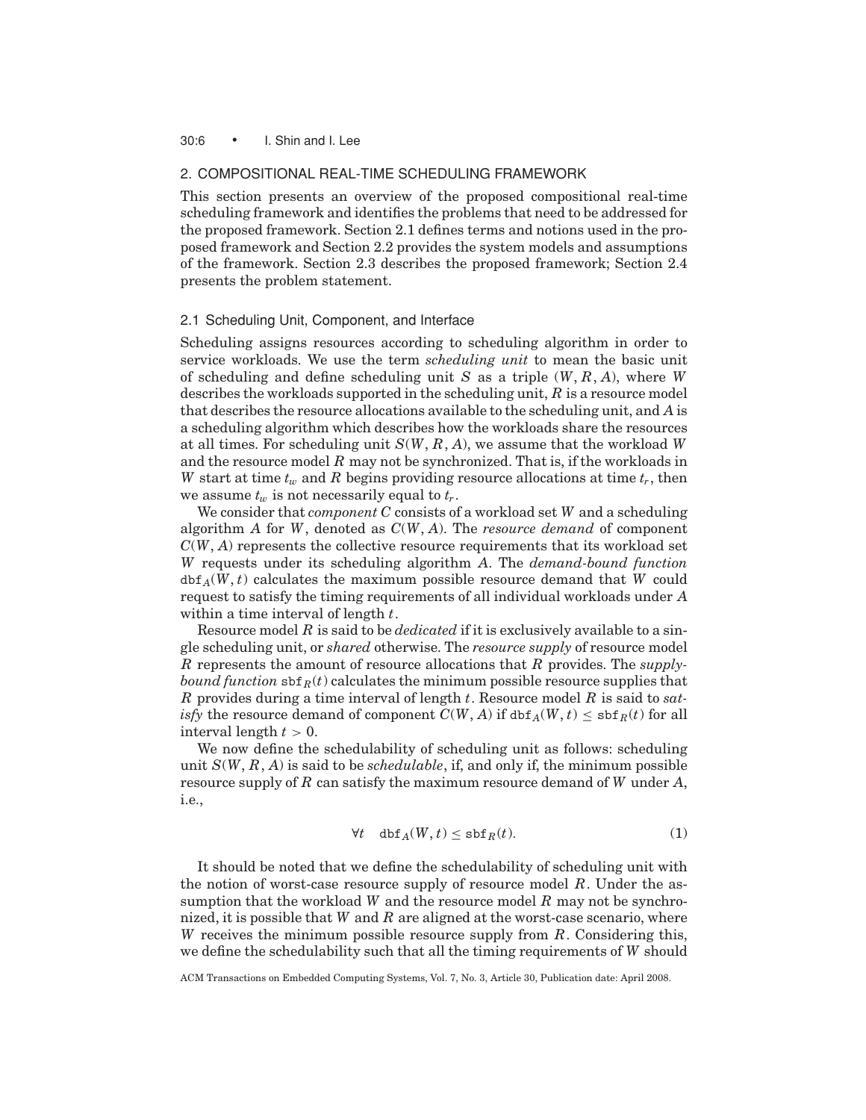## 30:6 • I. Shin and I. Lee

# 2. COMPOSITIONAL REAL-TIME SCHEDULING FRAMEWORK

This section presents an overview of the proposed compositional real-time scheduling framework and identifies the problems that need to be addressed for the proposed framework. Section 2.1 defines terms and notions used in the proposed framework and Section 2.2 provides the system models and assumptions of the framework. Section 2.3 describes the proposed framework; Section 2.4 presents the problem statement.

## 2.1 Scheduling Unit, Component, and Interface

Scheduling assigns resources according to scheduling algorithm in order to service workloads. We use the term *scheduling unit* to mean the basic unit of scheduling and define scheduling unit *S* as a triple (*W*, *R*, *A*), where *W* describes the workloads supported in the scheduling unit, *R* is a resource model that describes the resource allocations available to the scheduling unit, and *A* is a scheduling algorithm which describes how the workloads share the resources at all times. For scheduling unit *S*(*W*, *R*, *A*), we assume that the workload *W* and the resource model *R* may not be synchronized. That is, if the workloads in *W* start at time  $t_w$  and *R* begins providing resource allocations at time  $t_r$ , then we assume  $t_w$  is not necessarily equal to  $t_r$ .

We consider that *component C* consists of a workload set *W* and a scheduling algorithm *A* for *W*, denoted as *C*(*W*, *A*). The *resource demand* of component *C*(*W*, *A*) represents the collective resource requirements that its workload set *W* requests under its scheduling algorithm *A*. The *demand-bound function*  $dbf_A(W, t)$  calculates the maximum possible resource demand that *W* could request to satisfy the timing requirements of all individual workloads under *A* within a time interval of length *t*.

Resource model *R* is said to be *dedicated* if it is exclusively available to a single scheduling unit, or *shared* otherwise. The *resource supply* of resource model *R* represents the amount of resource allocations that *R* provides. The *supplybound function*  $\operatorname{sf}_R(t)$  calculates the minimum possible resource supplies that *R* provides during a time interval of length *t*. Resource model *R* is said to *satisfy* the resource demand of component  $C(W, A)$  if  $dbf_A(W, t) \leq sbf_R(t)$  for all interval length  $t > 0$ .

We now define the schedulability of scheduling unit as follows: scheduling unit  $S(W, R, A)$  is said to be *schedulable*, if, and only if, the minimum possible resource supply of *R* can satisfy the maximum resource demand of *W* under *A*, i.e.,

$$
\forall t \quad \text{dbf}_A(W, t) \le \text{sbf}_R(t). \tag{1}
$$

It should be noted that we define the schedulability of scheduling unit with the notion of worst-case resource supply of resource model *R*. Under the assumption that the workload *W* and the resource model *R* may not be synchronized, it is possible that *W* and *R* are aligned at the worst-case scenario, where *W* receives the minimum possible resource supply from *R*. Considering this, we define the schedulability such that all the timing requirements of *W* should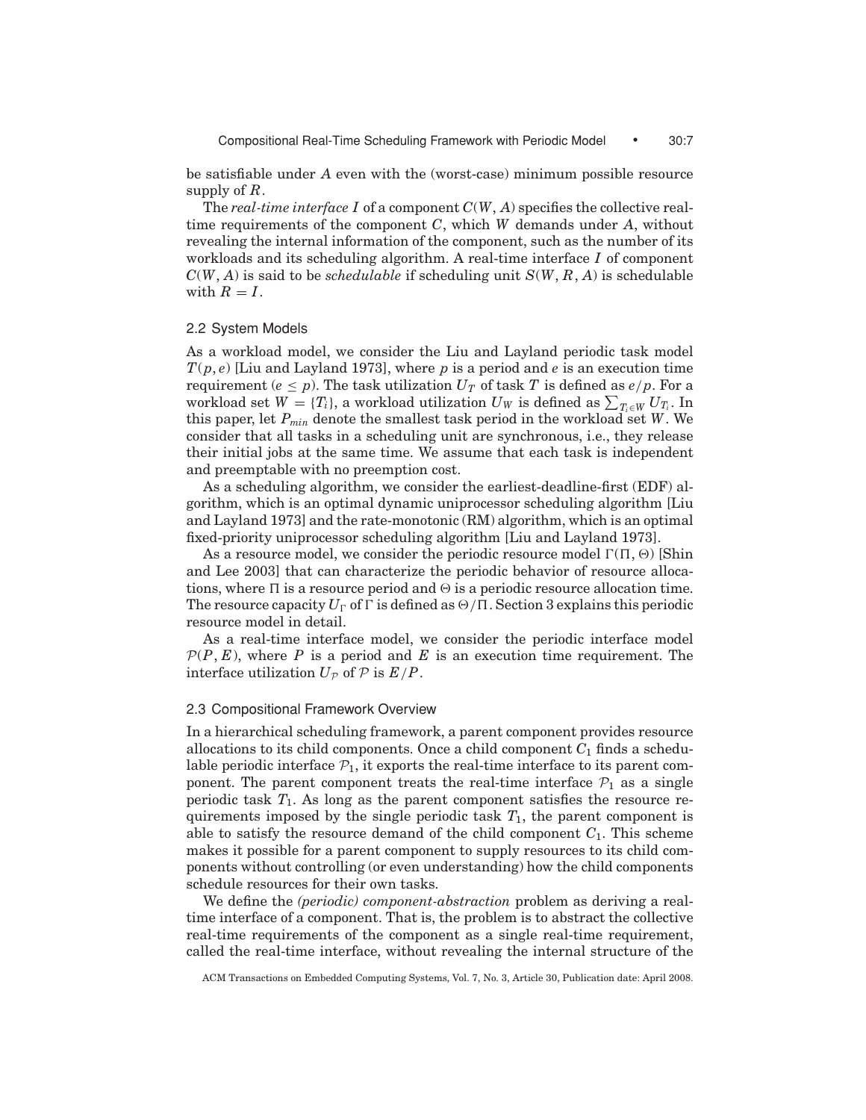be satisfiable under *A* even with the (worst-case) minimum possible resource supply of *R*.

The *real-time interface I* of a component *C*(*W*, *A*) specifies the collective realtime requirements of the component *C*, which *W* demands under *A*, without revealing the internal information of the component, such as the number of its workloads and its scheduling algorithm. A real-time interface *I* of component  $C(W, A)$  is said to be *schedulable* if scheduling unit  $S(W, R, A)$  is schedulable with  $R = I$ .

# 2.2 System Models

As a workload model, we consider the Liu and Layland periodic task model  $T(p, e)$  [Liu and Layland 1973], where p is a period and e is an execution time requirement ( $e \leq p$ ). The task utilization  $U_T$  of task T is defined as  $e/p$ . For a workload set  $W = \{T_i\}$ , a workload utilization  $U_W$  is defined as  $\sum_{T_i \in W} U_{T_i}$ . In this paper, let *Pmin* denote the smallest task period in the workload set *W*. We consider that all tasks in a scheduling unit are synchronous, i.e., they release their initial jobs at the same time. We assume that each task is independent and preemptable with no preemption cost.

As a scheduling algorithm, we consider the earliest-deadline-first (EDF) algorithm, which is an optimal dynamic uniprocessor scheduling algorithm [Liu and Layland 1973] and the rate-monotonic (RM) algorithm, which is an optimal fixed-priority uniprocessor scheduling algorithm [Liu and Layland 1973].

As a resource model, we consider the periodic resource model  $\Gamma(\Pi, \Theta)$  [Shin and Lee 2003] that can characterize the periodic behavior of resource allocations, where  $\Pi$  is a resource period and  $\Theta$  is a periodic resource allocation time. The resource capacity  $U_{\Gamma}$  of  $\Gamma$  is defined as  $\Theta/\Pi$ . Section 3 explains this periodic resource model in detail.

As a real-time interface model, we consider the periodic interface model  $\mathcal{P}(P, E)$ , where P is a period and E is an execution time requirement. The interface utilization  $U_{\mathcal{P}}$  of  $\mathcal{P}$  is  $E/P$ .

#### 2.3 Compositional Framework Overview

In a hierarchical scheduling framework, a parent component provides resource allocations to its child components. Once a child component  $C_1$  finds a schedulable periodic interface  $P_1$ , it exports the real-time interface to its parent component. The parent component treats the real-time interface  $P_1$  as a single periodic task *T*1. As long as the parent component satisfies the resource requirements imposed by the single periodic task *T*1, the parent component is able to satisfy the resource demand of the child component  $C_1$ . This scheme makes it possible for a parent component to supply resources to its child components without controlling (or even understanding) how the child components schedule resources for their own tasks.

We define the *(periodic) component-abstraction* problem as deriving a realtime interface of a component. That is, the problem is to abstract the collective real-time requirements of the component as a single real-time requirement, called the real-time interface, without revealing the internal structure of the

ACM Transactions on Embedded Computing Systems, Vol. 7, No. 3, Article 30, Publication date: April 2008.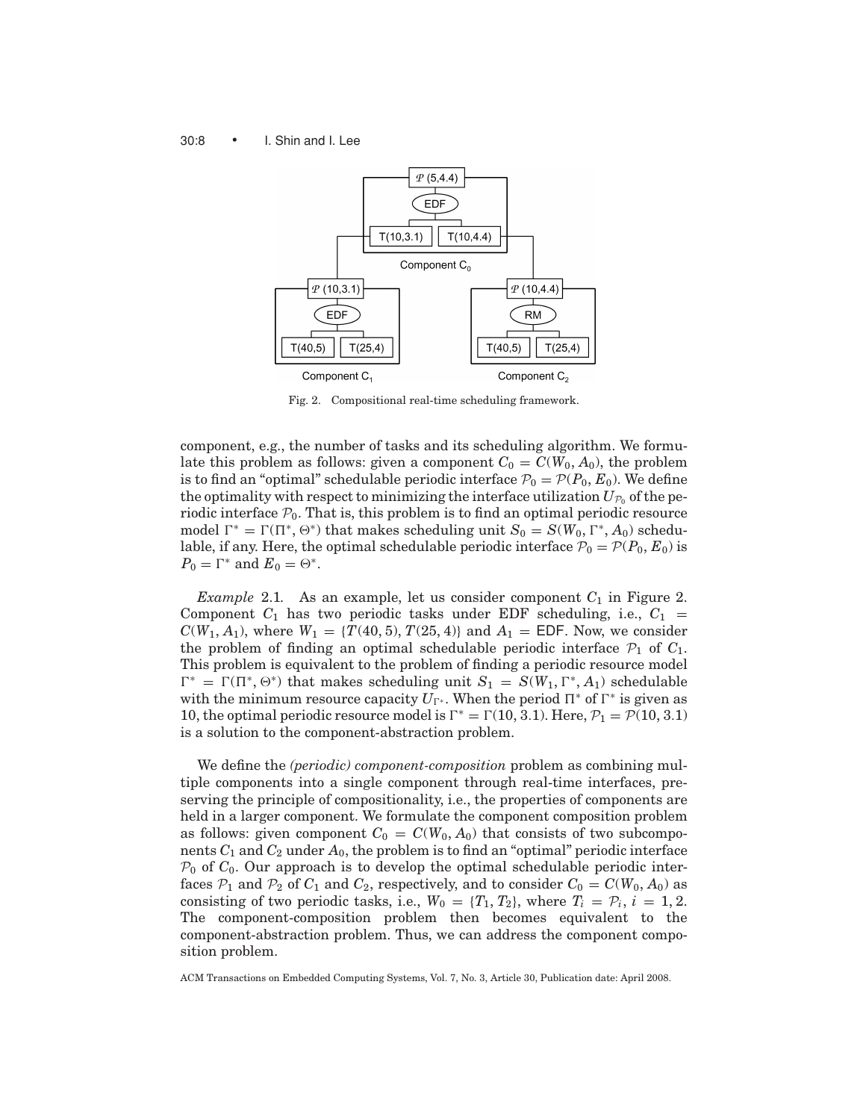## 30:8 • I. Shin and I. Lee



Fig. 2. Compositional real-time scheduling framework.

component, e.g., the number of tasks and its scheduling algorithm. We formulate this problem as follows: given a component  $C_0 = C(W_0, A_0)$ , the problem is to find an "optimal" schedulable periodic interface  $P_0 = P(P_0, E_0)$ . We define the optimality with respect to minimizing the interface utilization  $U_{\mathcal{P}_0}$  of the periodic interface  $P_0$ . That is, this problem is to find an optimal periodic resource model  $\Gamma^* = \Gamma(\Pi^*, \Theta^*)$  that makes scheduling unit  $S_0 = S(W_0, \Gamma^*, A_0)$  schedulable, if any. Here, the optimal schedulable periodic interface  $\mathcal{P}_0 = \mathcal{P}(P_0, E_0)$  is  $P_0 = \Gamma^*$  and  $E_0 = \Theta^*$ .

*Example* 2.1. As an example, let us consider component  $C_1$  in Figure 2. Component  $C_1$  has two periodic tasks under EDF scheduling, i.e.,  $C_1$  = *C*( $W_1$ ,  $A_1$ ), where  $W_1 = \{T(40, 5), T(25, 4)\}$  and  $A_1 =$  EDF. Now, we consider the problem of finding an optimal schedulable periodic interface  $P_1$  of  $C_1$ . This problem is equivalent to the problem of finding a periodic resource model  $\Gamma^* = \Gamma(\Pi^*, \Theta^*)$  that makes scheduling unit  $S_1 = S(W_1, \Gamma^*, A_1)$  schedulable with the minimum resource capacity  $U_{\Gamma^*}$ . When the period  $\Pi^*$  of  $\Gamma^*$  is given as 10, the optimal periodic resource model is  $\Gamma^* = \Gamma(10, 3.1)$ . Here,  $\mathcal{P}_1 = \mathcal{P}(10, 3.1)$ is a solution to the component-abstraction problem.

We define the *(periodic) component-composition* problem as combining multiple components into a single component through real-time interfaces, preserving the principle of compositionality, i.e., the properties of components are held in a larger component. We formulate the component composition problem as follows: given component  $C_0 = C(W_0, A_0)$  that consists of two subcomponents  $C_1$  and  $C_2$  under  $A_0$ , the problem is to find an "optimal" periodic interface  $P_0$  of  $C_0$ . Our approach is to develop the optimal schedulable periodic interfaces  $P_1$  and  $P_2$  of  $C_1$  and  $C_2$ , respectively, and to consider  $C_0 = C(W_0, A_0)$  as consisting of two periodic tasks, i.e.,  $W_0 = \{T_1, T_2\}$ , where  $T_i = \mathcal{P}_i$ ,  $i = 1, 2$ . The component-composition problem then becomes equivalent to the component-abstraction problem. Thus, we can address the component composition problem.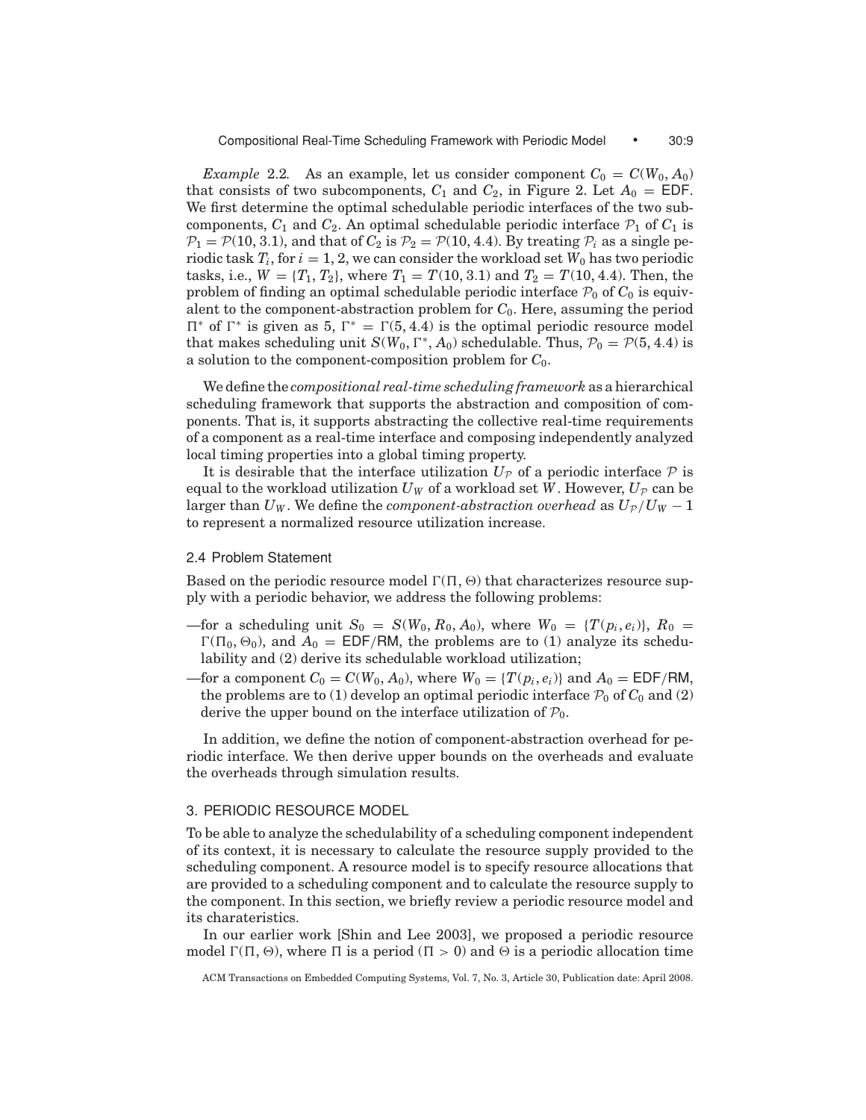*Example* 2.2. As an example, let us consider component  $C_0 = C(W_0, A_0)$ that consists of two subcomponents,  $C_1$  and  $C_2$ , in Figure 2. Let  $A_0 = EDF$ . We first determine the optimal schedulable periodic interfaces of the two subcomponents,  $C_1$  and  $C_2$ . An optimal schedulable periodic interface  $\mathcal{P}_1$  of  $C_1$  is  $\mathcal{P}_1 = \mathcal{P}(10, 3.1)$ , and that of  $C_2$  is  $\mathcal{P}_2 = \mathcal{P}(10, 4.4)$ . By treating  $\mathcal{P}_i$  as a single periodic task  $T_i$ , for  $i = 1, 2$ , we can consider the workload set  $W_0$  has two periodic tasks, i.e.,  $W = \{T_1, T_2\}$ , where  $T_1 = T(10, 3.1)$  and  $T_2 = T(10, 4.4)$ . Then, the problem of finding an optimal schedulable periodic interface  $P_0$  of  $C_0$  is equivalent to the component-abstraction problem for *C*0. Here, assuming the period  $\Pi^*$  of  $\Gamma^*$  is given as 5,  $\Gamma^* = \Gamma(5, 4.4)$  is the optimal periodic resource model that makes scheduling unit  $S(W_0, \Gamma^*, A_0)$  schedulable. Thus,  $P_0 = P(5, 4.4)$  is a solution to the component-composition problem for *C*0.

We define the *compositional real-time scheduling framework* as a hierarchical scheduling framework that supports the abstraction and composition of components. That is, it supports abstracting the collective real-time requirements of a component as a real-time interface and composing independently analyzed local timing properties into a global timing property.

It is desirable that the interface utilization  $U_{\mathcal{P}}$  of a periodic interface  $\mathcal P$  is equal to the workload utilization  $U_W$  of a workload set W. However,  $U_P$  can be larger than  $U_W$ . We define the *component-abstraction overhead* as  $U_P/U_W - 1$ to represent a normalized resource utilization increase.

# 2.4 Problem Statement

Based on the periodic resource model  $\Gamma(\Pi, \Theta)$  that characterizes resource supply with a periodic behavior, we address the following problems:

- —for a scheduling unit  $S_0 = S(W_0, R_0, A_0)$ , where  $W_0 = \{T(p_i, e_i)\}, R_0 =$  $\Gamma(\Pi_0, \Theta_0)$ , and  $A_0 = \text{EDF}/\text{RM}$ , the problems are to (1) analyze its schedulability and (2) derive its schedulable workload utilization;
- —for a component  $C_0 = C(W_0, A_0)$ , where  $W_0 = \{T(p_i, e_i)\}$  and  $A_0 = \textsf{EDF}/\textsf{RM}$ , the problems are to (1) develop an optimal periodic interface  $P_0$  of  $C_0$  and (2) derive the upper bound on the interface utilization of  $P_0$ .

In addition, we define the notion of component-abstraction overhead for periodic interface. We then derive upper bounds on the overheads and evaluate the overheads through simulation results.

# 3. PERIODIC RESOURCE MODEL

To be able to analyze the schedulability of a scheduling component independent of its context, it is necessary to calculate the resource supply provided to the scheduling component. A resource model is to specify resource allocations that are provided to a scheduling component and to calculate the resource supply to the component. In this section, we briefly review a periodic resource model and its charateristics.

In our earlier work [Shin and Lee 2003], we proposed a periodic resource model  $\Gamma(\Pi, \Theta)$ , where  $\Pi$  is a period ( $\Pi > 0$ ) and  $\Theta$  is a periodic allocation time

ACM Transactions on Embedded Computing Systems, Vol. 7, No. 3, Article 30, Publication date: April 2008.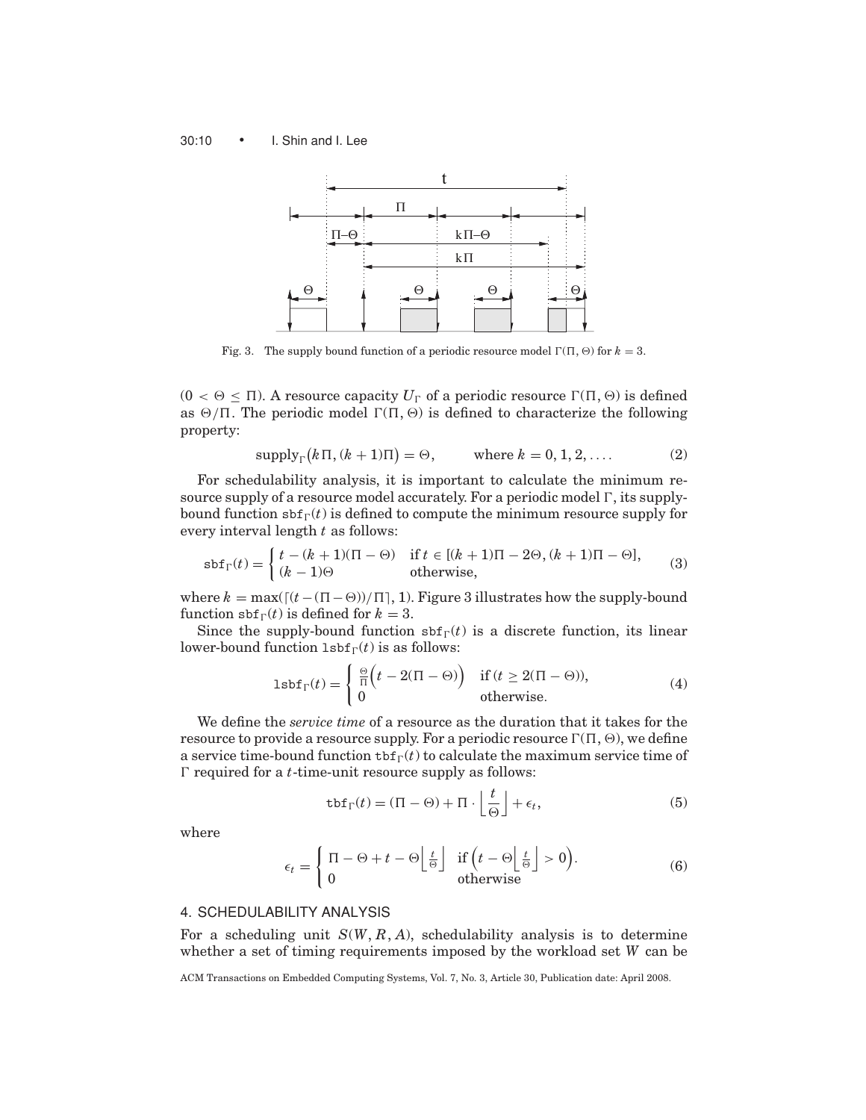## 30:10 • I. Shin and I. Lee



Fig. 3. The supply bound function of a periodic resource model  $\Gamma(\Pi, \Theta)$  for  $k = 3$ .

 $(0 < \Theta \leq \Pi)$ . A resource capacity  $U_{\Gamma}$  of a periodic resource  $\Gamma(\Pi, \Theta)$  is defined as  $\Theta/\Pi$ . The periodic model  $\Gamma(\Pi, \Theta)$  is defined to characterize the following property:

$$
supply_{\Gamma}(k\Pi, (k+1)\Pi) = \Theta
$$
, where  $k = 0, 1, 2, ...$  (2)

For schedulability analysis, it is important to calculate the minimum resource supply of a resource model accurately. For a periodic model  $\Gamma$ , its supplybound function  $\text{sbf}_{r}(t)$  is defined to compute the minimum resource supply for every interval length *t* as follows:

$$
sbf_{\Gamma}(t) = \begin{cases} t - (k+1)(\Pi - \Theta) & \text{if } t \in [(k+1)\Pi - 2\Theta, (k+1)\Pi - \Theta], \\ (k-1)\Theta & \text{otherwise,} \end{cases}
$$
(3)

where  $k = \max((t - (\Pi - \Theta))/\Pi)$ , 1). Figure 3 illustrates how the supply-bound function  $\text{sbf}_{r}(t)$  is defined for  $k = 3$ .

Since the supply-bound function  $\text{sbf}_{\Gamma}(t)$  is a discrete function, its linear lower-bound function  $lsbf<sub>\Gamma</sub>(t)$  is as follows:

$$
1\text{sbf}_{\Gamma}(t) = \begin{cases} \frac{\Theta}{\Pi}\Big(t - 2(\Pi - \Theta)\Big) & \text{if } (t \ge 2(\Pi - \Theta)),\\ 0 & \text{otherwise.} \end{cases} \tag{4}
$$

We define the *service time* of a resource as the duration that it takes for the resource to provide a resource supply. For a periodic resource  $\Gamma(\Pi, \Theta)$ , we define a service time-bound function  $\text{tbf}_{r}(t)$  to calculate the maximum service time of ! required for a *t*-time-unit resource supply as follows:

$$
\text{tbf}_{\Gamma}(t) = (\Pi - \Theta) + \Pi \cdot \left\lfloor \frac{t}{\Theta} \right\rfloor + \epsilon_t,\tag{5}
$$

where

$$
\epsilon_t = \begin{cases} \n\Pi - \Theta + t - \Theta \left\lfloor \frac{t}{\Theta} \right\rfloor & \text{if } \left( t - \Theta \left\lfloor \frac{t}{\Theta} \right\rfloor > 0 \right). \\ \n0 & \text{otherwise} \n\end{cases} \tag{6}
$$

# 4. SCHEDULABILITY ANALYSIS

For a scheduling unit  $S(W, R, A)$ , schedulability analysis is to determine whether a set of timing requirements imposed by the workload set *W* can be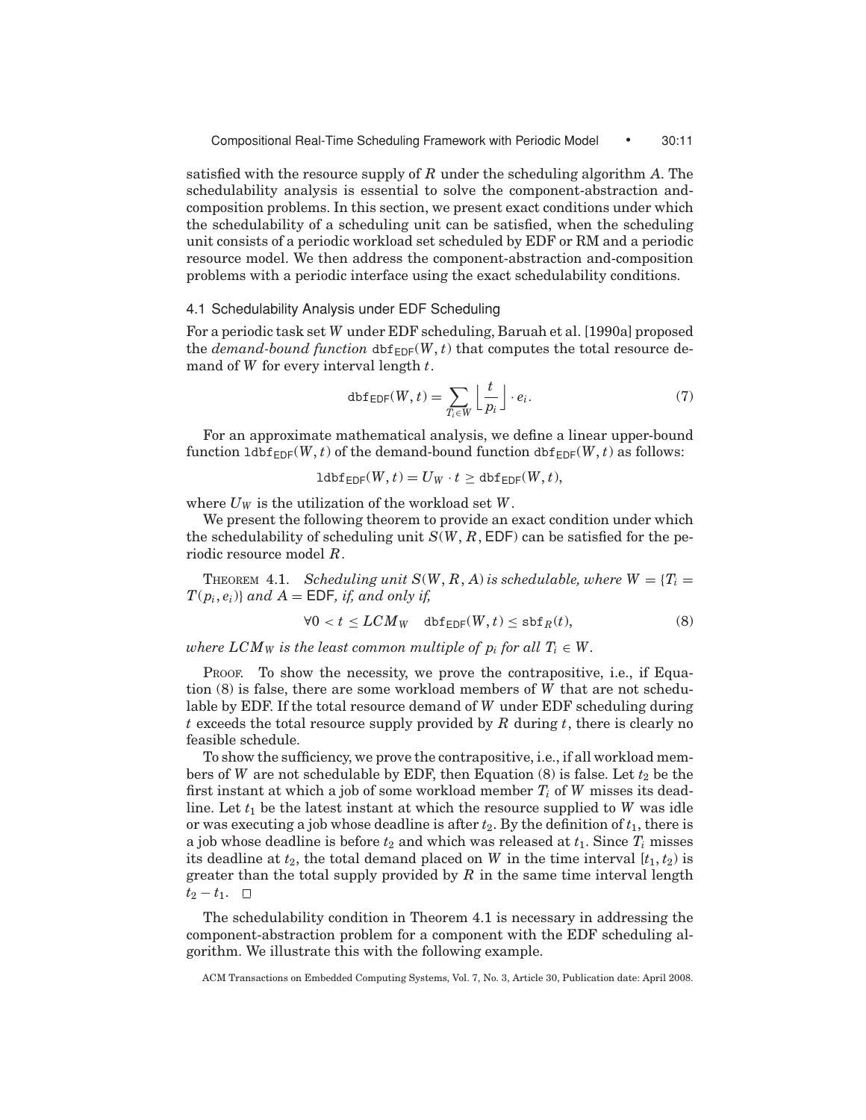satisfied with the resource supply of *R* under the scheduling algorithm *A*. The schedulability analysis is essential to solve the component-abstraction andcomposition problems. In this section, we present exact conditions under which the schedulability of a scheduling unit can be satisfied, when the scheduling unit consists of a periodic workload set scheduled by EDF or RM and a periodic resource model. We then address the component-abstraction and-composition problems with a periodic interface using the exact schedulability conditions.

## 4.1 Schedulability Analysis under EDF Scheduling

For a periodic task set *W* under EDF scheduling, Baruah et al. [1990a] proposed the *demand-bound function*  $dbf_{EDF}(W, t)$  that computes the total resource demand of *W* for every interval length *t*.

$$
\text{dbf}_{\text{EDF}}(W, t) = \sum_{T_i \in W} \left\lfloor \frac{t}{p_i} \right\rfloor \cdot e_i. \tag{7}
$$

For an approximate mathematical analysis, we define a linear upper-bound function  $\text{labf}_{EDF}(W, t)$  of the demand-bound function  $\text{dbf}_{EDF}(W, t)$  as follows:

$$
\mathrm{ldbf}_{\mathsf{EDF}}(W,t) = U_W \cdot t \geq \mathrm{dbf}_{\mathsf{EDF}}(W,t),
$$

where  $U_W$  is the utilization of the workload set  $W$ .

We present the following theorem to provide an exact condition under which the schedulability of scheduling unit *S*(*W*, *R*, EDF) can be satisfied for the periodic resource model *R*.

**THEOREM** 4.1. *Scheduling unit*  $S(W, R, A)$  *is schedulable, where*  $W = \{T_i =$  $T(p_i, e_i)$  *and A* = EDF, *if, and only if,* 

$$
\forall 0 < t \leq LCM_W \quad \text{dbf}_{\text{EDF}}(W, t) \leq \text{sbf}_R(t),\tag{8}
$$

*where LCM<sub>W</sub> is the least common multiple of*  $p_i$  *for all*  $T_i \in W$ .

PROOF. To show the necessity, we prove the contrapositive, i.e., if Equation (8) is false, there are some workload members of *W* that are not schedulable by EDF. If the total resource demand of *W* under EDF scheduling during *t* exceeds the total resource supply provided by *R* during *t*, there is clearly no feasible schedule.

To show the sufficiency, we prove the contrapositive, i.e., if all workload members of *W* are not schedulable by EDF, then Equation  $(8)$  is false. Let  $t_2$  be the first instant at which a job of some workload member *Ti* of *W* misses its deadline. Let *t*<sup>1</sup> be the latest instant at which the resource supplied to *W* was idle or was executing a job whose deadline is after  $t_2$ . By the definition of  $t_1$ , there is a job whose deadline is before  $t_2$  and which was released at  $t_1$ . Since  $T_i$  misses its deadline at  $t_2$ , the total demand placed on *W* in the time interval  $[t_1, t_2)$  is greater than the total supply provided by *R* in the same time interval length  $t_2 - t_1$ . □

The schedulability condition in Theorem 4.1 is necessary in addressing the component-abstraction problem for a component with the EDF scheduling algorithm. We illustrate this with the following example.

ACM Transactions on Embedded Computing Systems, Vol. 7, No. 3, Article 30, Publication date: April 2008.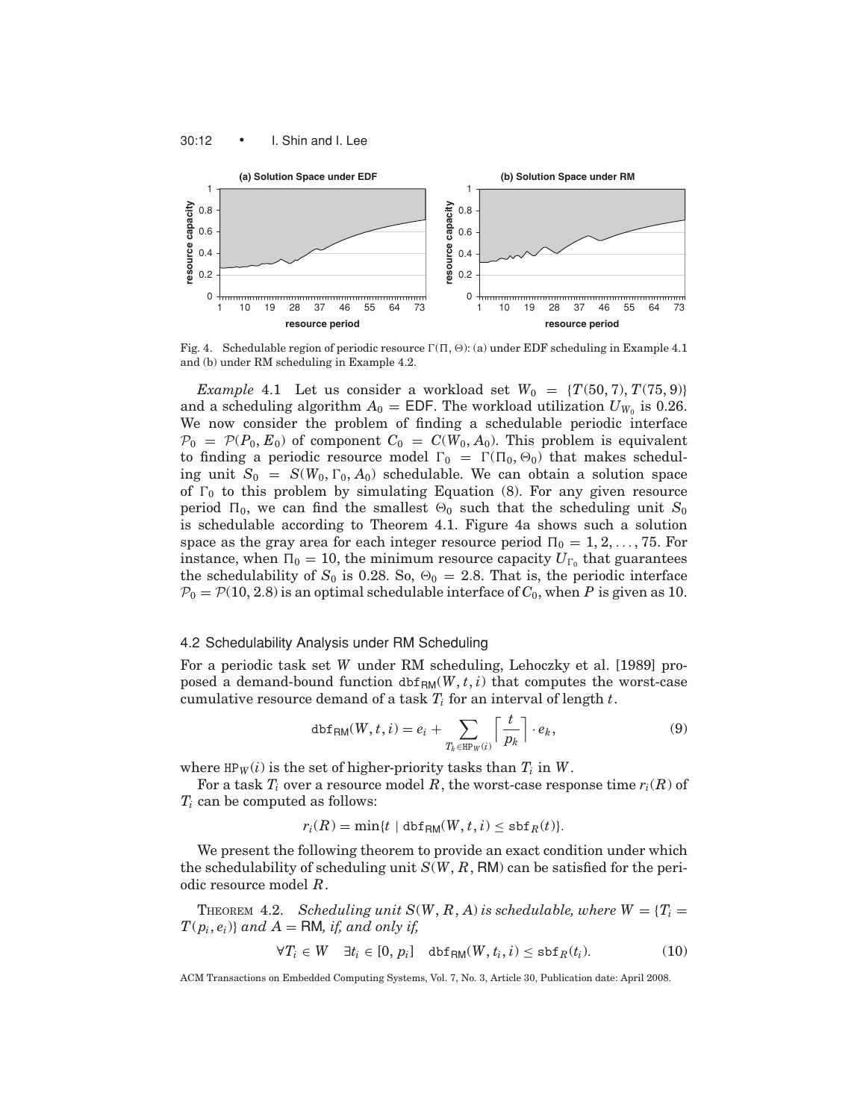

Fig. 4. Schedulable region of periodic resource  $\Gamma(\Pi, \Theta)$ : (a) under EDF scheduling in Example 4.1 and (b) under RM scheduling in Example 4.2.

*Example* 4.1 Let us consider a workload set  $W_0 = \{T(50, 7), T(75, 9)\}$ and a scheduling algorithm  $A_0 = EDF$ . The workload utilization  $U_{W_0}$  is 0.26. We now consider the problem of finding a schedulable periodic interface  $\mathcal{P}_0 = \mathcal{P}(P_0, E_0)$  of component  $C_0 = C(W_0, A_0)$ . This problem is equivalent to finding a periodic resource model  $\Gamma_0 = \Gamma(\Pi_0, \Theta_0)$  that makes scheduling unit  $S_0 = S(W_0, \Gamma_0, A_0)$  schedulable. We can obtain a solution space of  $\Gamma_0$  to this problem by simulating Equation (8). For any given resource period  $\Pi_0$ , we can find the smallest  $\Theta_0$  such that the scheduling unit  $S_0$ is schedulable according to Theorem 4.1. Figure 4a shows such a solution space as the gray area for each integer resource period  $\Pi_0 = 1, 2, \ldots, 75$ . For instance, when  $\Pi_0 = 10$ , the minimum resource capacity  $U_{\Gamma_0}$  that guarantees the schedulability of  $S_0$  is 0.28. So,  $\Theta_0 = 2.8$ . That is, the periodic interface  $P_0 = P(10, 2.8)$  is an optimal schedulable interface of  $C_0$ , when P is given as 10.

# 4.2 Schedulability Analysis under RM Scheduling

For a periodic task set *W* under RM scheduling, Lehoczky et al. [1989] proposed a demand-bound function  $dbf_{RM}(W, t, i)$  that computes the worst-case cumulative resource demand of a task *Ti* for an interval of length *t*.

$$
\mathrm{dbf}_{\mathrm{RM}}(W,t,i) = e_i + \sum_{T_k \in \mathrm{HP}_W(i)} \left[ \frac{t}{p_k} \right] \cdot e_k,\tag{9}
$$

where  $HP_W(i)$  is the set of higher-priority tasks than  $T_i$  in W.

For a task  $T_i$  over a resource model  $R$ , the worst-case response time  $r_i(R)$  of *Ti* can be computed as follows:

$$
r_i(R) = \min\{t \mid \text{dbf}_{\text{RM}}(W, t, i) \leq \text{sbf}_R(t)\}.
$$

We present the following theorem to provide an exact condition under which the schedulability of scheduling unit *S*(*W*, *R*, RM) can be satisfied for the periodic resource model *R*.

**THEOREM** 4.2. *Scheduling unit*  $S(W, R, A)$  *is schedulable, where*  $W = \{T_i =$  $T(p_i, e_i)$  *and*  $A = RM$ *, if, and only if,* 

$$
\forall T_i \in W \quad \exists t_i \in [0, p_i] \quad \text{dbf}_{\text{RM}}(W, t_i, i) \leq \text{sbf}_R(t_i). \tag{10}
$$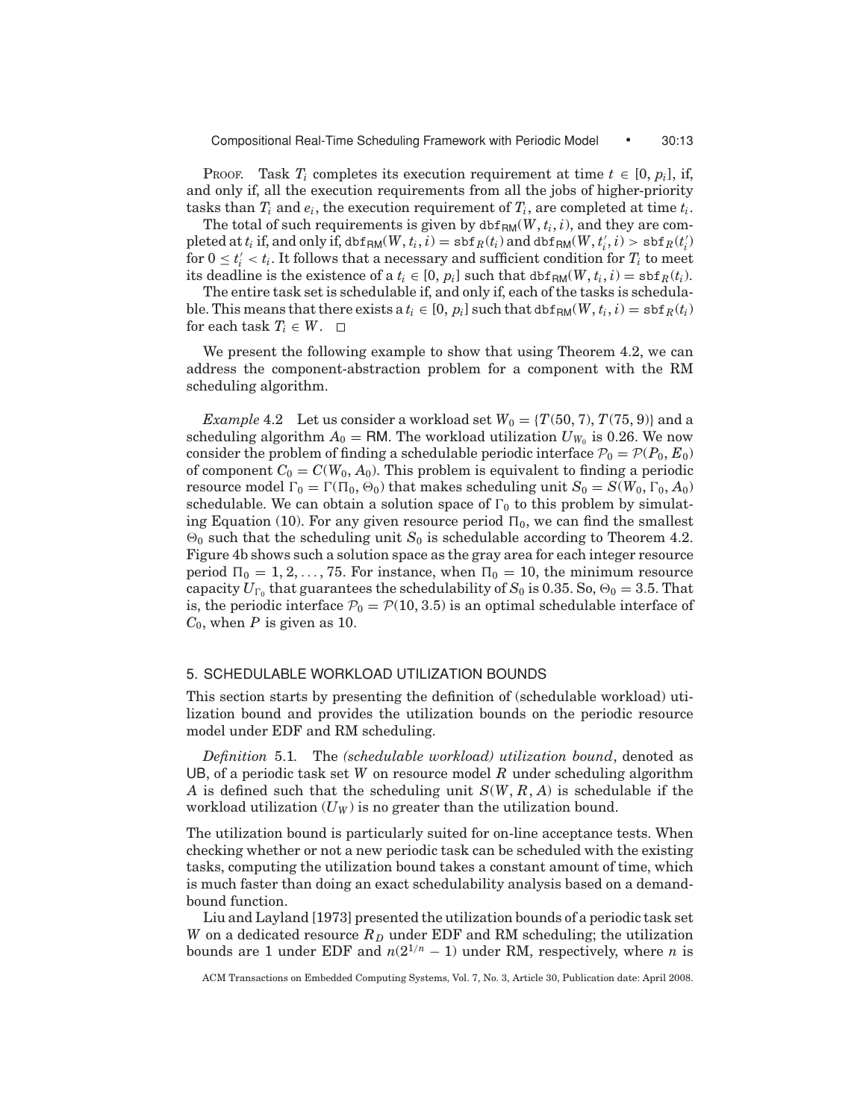PROOF. Task  $T_i$  completes its execution requirement at time  $t \in [0, p_i]$ , if, and only if, all the execution requirements from all the jobs of higher-priority tasks than  $T_i$  and  $e_i$ , the execution requirement of  $T_i$ , are completed at time  $t_i$ .

The total of such requirements is given by  $dbf_{RM}(W, t_i, i)$ , and they are com $p$  pleted at  $t_i$  if, and only if,  $df_{RM}(W, t_i, i) = \text{sbf}_R(t_i)$  and  $df_{RM}(W, t'_i, i) > \text{sbf}_R(t'_i)$ for  $0 \le t_i' < t_i$ . It follows that a necessary and sufficient condition for  $T_i$  to meet its deadline is the existence of a  $t_i \in [0, p_i]$  such that  $dbf_{RM}(W, t_i, i) = sbf_{fR}(t_i)$ .

The entire task set is schedulable if, and only if, each of the tasks is schedulable. This means that there exists a  $t_i \in [0, p_i]$  such that  $dbf_{RM}(W, t_i, i) = sbf_R(t_i)$ for each task  $T_i \in W$ .  $\Box$ 

We present the following example to show that using Theorem 4.2, we can address the component-abstraction problem for a component with the RM scheduling algorithm.

*Example* 4.2 Let us consider a workload set  $W_0 = \{T(50, 7), T(75, 9)\}$  and a scheduling algorithm  $A_0 = \text{RM}$ . The workload utilization  $U_{W_0}$  is 0.26. We now consider the problem of finding a schedulable periodic interface  $\mathcal{P}_0 = \mathcal{P}(P_0, E_0)$ of component  $C_0 = C(W_0, A_0)$ . This problem is equivalent to finding a periodic resource model  $\Gamma_0 = \Gamma(\Pi_0, \Theta_0)$  that makes scheduling unit  $S_0 = S(W_0, \Gamma_0, A_0)$ schedulable. We can obtain a solution space of  $\Gamma_0$  to this problem by simulating Equation (10). For any given resource period  $\Pi_0$ , we can find the smallest  $\Theta_0$  such that the scheduling unit  $S_0$  is schedulable according to Theorem 4.2. Figure 4b shows such a solution space as the gray area for each integer resource period  $\Pi_0 = 1, 2, \ldots, 75$ . For instance, when  $\Pi_0 = 10$ , the minimum resource capacity  $U_{\Gamma_0}$  that guarantees the schedulability of  $S_0$  is 0.35. So,  $\Theta_0 = 3.5$ . That is, the periodic interface  $P_0 = P(10, 3.5)$  is an optimal schedulable interface of *C*0, when *P* is given as 10.

# 5. SCHEDULABLE WORKLOAD UTILIZATION BOUNDS

This section starts by presenting the definition of (schedulable workload) utilization bound and provides the utilization bounds on the periodic resource model under EDF and RM scheduling.

*Definition* 5.1*.* The *(schedulable workload) utilization bound*, denoted as UB, of a periodic task set *W* on resource model *R* under scheduling algorithm *A* is defined such that the scheduling unit *S*(*W*, *R*, *A*) is schedulable if the workload utilization  $(U_W)$  is no greater than the utilization bound.

The utilization bound is particularly suited for on-line acceptance tests. When checking whether or not a new periodic task can be scheduled with the existing tasks, computing the utilization bound takes a constant amount of time, which is much faster than doing an exact schedulability analysis based on a demandbound function.

Liu and Layland [1973] presented the utilization bounds of a periodic task set *W* on a dedicated resource  $R<sub>D</sub>$  under EDF and RM scheduling; the utilization bounds are 1 under EDF and  $n(2^{1/n} - 1)$  under RM, respectively, where *n* is

ACM Transactions on Embedded Computing Systems, Vol. 7, No. 3, Article 30, Publication date: April 2008.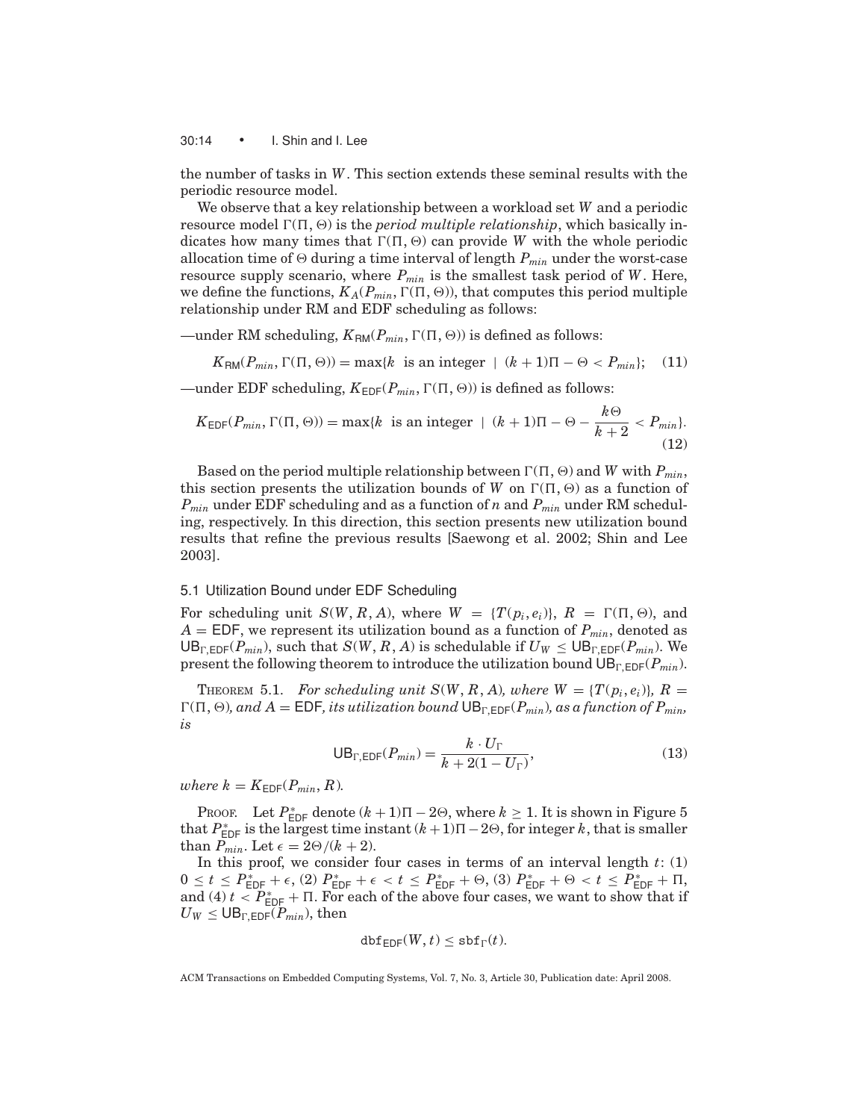## 30:14 • I. Shin and I. Lee

the number of tasks in *W*. This section extends these seminal results with the periodic resource model.

We observe that a key relationship between a workload set *W* and a periodic resource model  $\Gamma(\Pi, \Theta)$  is the *period multiple relationship*, which basically indicates how many times that  $\Gamma(\Pi, \Theta)$  can provide *W* with the whole periodic allocation time of  $\Theta$  during a time interval of length  $P_{min}$  under the worst-case resource supply scenario, where  $P_{min}$  is the smallest task period of *W*. Here, we define the functions,  $K_A(P_{min}, \Gamma(\Pi, \Theta))$ , that computes this period multiple relationship under RM and EDF scheduling as follows:

—under RM scheduling,  $K_{\text{BM}}(P_{min}, \Gamma(\Pi, \Theta))$  is defined as follows:

 $K_{\text{RM}}(P_{min}, \Gamma(\Pi, \Theta)) = \max\{k \text{ is an integer } | (k+1)\Pi - \Theta < P_{min}\};$  (11)

—under EDF scheduling,  $K_{EDF}(P_{min}, \Gamma(\Pi, \Theta))$  is defined as follows:

$$
K_{\text{EDF}}(P_{min}, \Gamma(\Pi, \Theta)) = \max\{k \text{ is an integer } \mid (k+1)\Pi - \Theta - \frac{k\Theta}{k+2} < P_{min}\}.
$$
\n(12)

Based on the period multiple relationship between  $\Gamma(\Pi, \Theta)$  and *W* with  $P_{min}$ , this section presents the utilization bounds of *W* on  $\Gamma(\Pi, \Theta)$  as a function of *Pmin* under EDF scheduling and as a function of *n* and *Pmin* under RM scheduling, respectively. In this direction, this section presents new utilization bound results that refine the previous results [Saewong et al. 2002; Shin and Lee 2003].

# 5.1 Utilization Bound under EDF Scheduling

For scheduling unit *S*(*W*, *R*, *A*), where  $W = \{T(p_i, e_i)\}, R = \Gamma(\Pi, \Theta)$ , and  $A = EDF$ , we represent its utilization bound as a function of  $P_{min}$ , denoted as  $UB_{\Gamma,EDF}(P_{min})$ , such that  $S(W, R, A)$  is schedulable if  $U_W \leq UB_{\Gamma,EDF}(P_{min})$ . We present the following theorem to introduce the utilization bound  $\mathsf{UB}_{\Gamma,\mathsf{EDF}}(P_{min})$ .

**THEOREM** 5.1. *For scheduling unit*  $S(W, R, A)$ *, where*  $W = \{T(p_i, e_i)\}, R =$  $\Gamma(\Pi, \Theta)$ , and  $A = EDF$ , its utilization bound  $\mathsf{UB}_{\Gamma, EDF}(P_{min})$ , as a function of  $P_{min}$ , *is*

$$
\mathsf{UB}_{\Gamma, \mathsf{EDF}}(P_{min}) = \frac{k \cdot U_{\Gamma}}{k + 2(1 - U_{\Gamma})},\tag{13}
$$

*where*  $k = K_{EDF}(P_{min}, R)$ .

PROOF. Let  $P_{\text{EDF}}^*$  denote  $(k+1)\Pi - 2\Theta$ , where  $k \geq 1$ . It is shown in Figure 5 that  $P_{EDF}^*$  is the largest time instant  $(k+1)\Pi-2\Theta$ , for integer *k*, that is smaller than  $P_{min}$ . Let  $\epsilon = 2\Theta/(k+2)$ .

In this proof, we consider four cases in terms of an interval length *t*: (1)  $0 \leq t \leq P_{\mathsf{EDF}}^* + \epsilon, (2) P_{\mathsf{EDF}}^* + \epsilon < t \leq P_{\mathsf{EDF}}^* + \Theta, (3) P_{\mathsf{EDF}}^* + \Theta < t \leq P_{\mathsf{EDF}}^* + \Pi,$ and (4)  $t < P_{\text{EDF}}^* + \Pi$ . For each of the above four cases, we want to show that if  $U_W \leq \text{UB}_{\Gamma, \text{EDF}}(P_{min})$ , then

$$
\text{dbf}_{\text{EDF}}(W,t) \leq \text{sbf}_{\Gamma}(t).
$$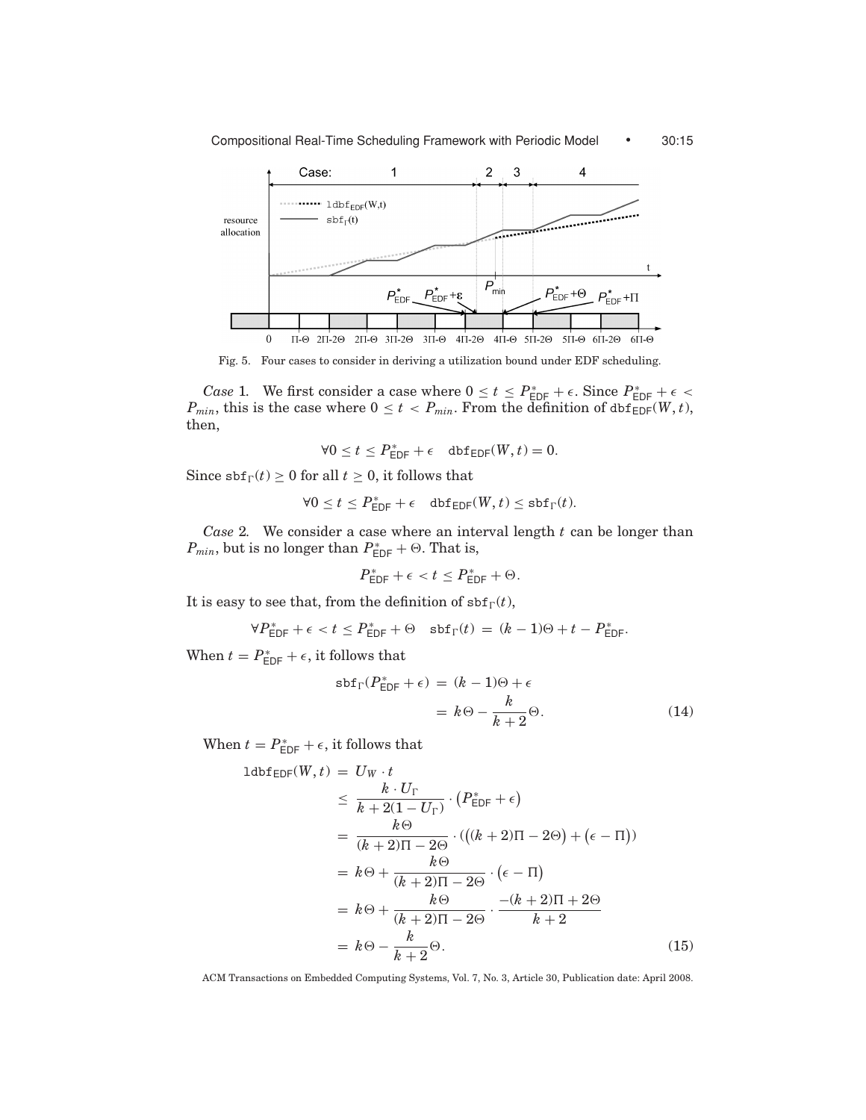Case:  $\overline{2}$ 3 1 .... ldbf<sub>EDF</sub>(W,t)  $\text{sbf}_\Gamma(t)$ resource  $\sim$  . The set of  $\sim$ allocation  $P_{\text{min}}$  $P_{\text{EDF}}^{\star}$  $P_{EDF}^*$ + $\epsilon$  $P_{\mathsf{EDF}}^*+\Theta$  $P_{\text{EDF}}^* + \Pi$  $3\Pi$ - $\Theta$  $\boldsymbol{0}$  $\Pi$ -0 2 $\Pi$ -20  $2\Pi$ - $\Theta$   $3\Pi$ - $2\Theta$  $4\Pi - 2\Theta$   $4\Pi - \Theta$   $5\Pi - 2\Theta$   $5\Pi - \Theta$   $6\Pi - 2\Theta$  $6 \Pi$ - $\Theta$ 

Compositional Real-Time Scheduling Framework with Periodic Model • 30:15

Fig. 5. Four cases to consider in deriving a utilization bound under EDF scheduling.

*Case* 1. We first consider a case where  $0 \le t \le P_{\text{EDF}}^* + \epsilon$ . Since  $P_{\text{EDF}}^* + \epsilon$  $P_{min}$ , this is the case where  $0 \leq t < P_{min}$ . From the definition of dbf<sub>EDF</sub>(*W*, *t*), then,

$$
\forall 0 \le t \le P_{\mathsf{EDF}}^* + \epsilon \quad \mathrm{dbf}_{\mathsf{EDF}}(W, t) = 0.
$$

Since  $\text{sbf}_{r}(t) \geq 0$  for all  $t \geq 0$ , it follows that

$$
\forall 0 \leq t \leq P_{\mathsf{EDF}}^* + \epsilon \quad \mathrm{dbf}_{\mathsf{EDF}}(W, t) \leq \mathrm{sbf}_{\Gamma}(t).
$$

*Case* 2*.* We consider a case where an interval length *t* can be longer than  $P_{min}$ , but is no longer than  $P_{\text{EDF}}^* + \Theta$ . That is,

$$
P_{\mathsf{EDF}}^* + \epsilon < t \leq P_{\mathsf{EDF}}^* + \Theta.
$$

It is easy to see that, from the definition of  $\text{sbf}_{r}(t)$ ,

$$
\forall P^*_{\mathsf{EDF}} + \epsilon < t \leq P^*_{\mathsf{EDF}} + \Theta \quad \mathrm{sbf}_\Gamma(t) \, = \, (k-1)\Theta + t - P^*_{\mathsf{EDF}}.
$$

When  $t = P_{\text{EDF}}^* + \epsilon$ , it follows that

$$
sbf_{\Gamma}(P_{\text{EDF}}^{*} + \epsilon) = (k-1)\Theta + \epsilon
$$

$$
= k\Theta - \frac{k}{k+2}\Theta.
$$
 (14)

When  $t = P_{\text{EDF}}^* + \epsilon$ , it follows that

$$
1\text{dbf}_{\text{EDF}}(W, t) = U_W \cdot t
$$
  
\n
$$
\leq \frac{k \cdot U_\Gamma}{k + 2(1 - U_\Gamma)} \cdot (P_{\text{EDF}}^* + \epsilon)
$$
  
\n
$$
= \frac{k\Theta}{(k + 2)\Pi - 2\Theta} \cdot ((k + 2)\Pi - 2\Theta) + (\epsilon - \Pi))
$$
  
\n
$$
= k\Theta + \frac{k\Theta}{(k + 2)\Pi - 2\Theta} \cdot (\epsilon - \Pi)
$$
  
\n
$$
= k\Theta + \frac{k\Theta}{(k + 2)\Pi - 2\Theta} \cdot \frac{-(k + 2)\Pi + 2\Theta}{k + 2}
$$
  
\n
$$
= k\Theta - \frac{k}{k + 2}\Theta.
$$
 (15)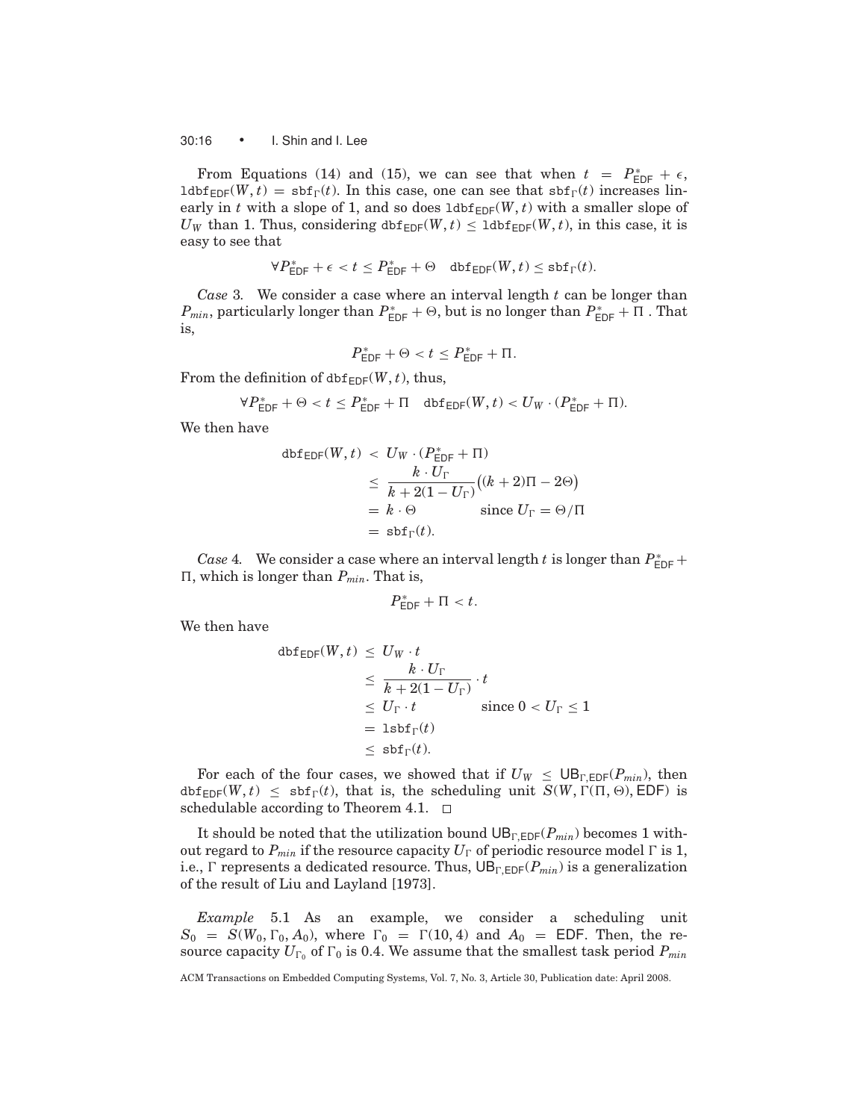30:16 • I. Shin and I. Lee

From Equations (14) and (15), we can see that when  $t = P_{\text{EDF}}^* + \epsilon$ , ldbf<sub>EDF</sub>(*W*, *t*) = sbf<sub> $\Gamma$ </sub>(*t*). In this case, one can see that sbf $\Gamma$ (*t*) increases linearly in *t* with a slope of 1, and so does  $\text{labf}_{EDF}(W, t)$  with a smaller slope of  $U_W$  than 1. Thus, considering  $\text{dof}_{EDF}(W, t) \leq \text{1dof}_{EDF}(W, t)$ , in this case, it is easy to see that

$$
\forall P_{\mathsf{EDF}}^* + \epsilon < t \le P_{\mathsf{EDF}}^* + \Theta \quad \mathrm{dbf}_{\mathsf{EDF}}(W, t) \le \mathrm{sbf}_{\Gamma}(t).
$$

*Case* 3*.* We consider a case where an interval length *t* can be longer than  $P_{min}$ , particularly longer than  $P_{\textsf{EDF}}^{*} + \Theta$ , but is no longer than  $P_{\textsf{EDF}}^{*} + \Pi$  . That is,

$$
P_{\mathsf{EDF}}^* + \Theta < t \leq P_{\mathsf{EDF}}^* + \Pi.
$$

From the definition of  $dbf_{EDF}(W, t)$ , thus,

$$
\forall P_{\mathsf{EDF}}^* + \Theta < t \le P_{\mathsf{EDF}}^* + \Pi \quad \mathrm{dbf}_{\mathsf{EDF}}(W, t) < U_W \cdot (P_{\mathsf{EDF}}^* + \Pi).
$$

We then have

$$
\begin{aligned} \text{dbf}_{\text{EDF}}(W, t) &< U_W \cdot (P_{\text{EDF}}^* + \Pi) \\ &\leq \frac{k \cdot U_\Gamma}{k + 2(1 - U_\Gamma)} \big( (k + 2) \Pi - 2\Theta \big) \\ &= k \cdot \Theta \qquad \text{since } U_\Gamma = \Theta / \Pi \\ &= \text{sbf}_\Gamma(t). \end{aligned}
$$

*Case* 4. We consider a case where an interval length *t* is longer than  $P_{\text{EDF}}^*$  +  $\Pi$ , which is longer than  $P_{min}$ . That is,

$$
P_{\text{EDF}}^* + \Pi < t.
$$

We then have

$$
\begin{aligned} \text{dbf}_{\text{EDF}}(W, t) &\leq U_W \cdot t \\ &\leq \frac{k \cdot U_\Gamma}{k + 2(1 - U_\Gamma)} \cdot t \\ &\leq U_\Gamma \cdot t \qquad \text{since } 0 < U_\Gamma \leq 1 \\ &= \text{lbf}_\Gamma(t) \\ &\leq \text{sbf}_\Gamma(t). \end{aligned}
$$

For each of the four cases, we showed that if  $U_W \leq \text{UB}_{\Gamma, \text{EDF}}(P_{min})$ , then  $dbf_{FDF}(W, t) \leq \text{sbf}_{\Gamma}(t)$ , that is, the scheduling unit  $S(W, \Gamma(\Pi, \Theta), \text{EDF})$  is schedulable according to Theorem 4.1.  $\Box$ 

It should be noted that the utilization bound  $\mathsf{UB}_{\Gamma, \mathsf{EDF}}(P_{min})$  becomes 1 without regard to  $P_{min}$  if the resource capacity  $U_{\Gamma}$  of periodic resource model  $\Gamma$  is 1, i.e.,  $\Gamma$  represents a dedicated resource. Thus,  $\mathsf{UB}_{\Gamma, \mathsf{EDF}}(P_{min})$  is a generalization of the result of Liu and Layland [1973].

*Example* 5.1 As an example, we consider a scheduling unit  $S_0 = S(W_0, \Gamma_0, A_0)$ , where  $\Gamma_0 = \Gamma(10, 4)$  and  $A_0 =$  **EDF**. Then, the resource capacity  $U_{\Gamma_0}$  of  $\Gamma_0$  is 0.4. We assume that the smallest task period  $P_{min}$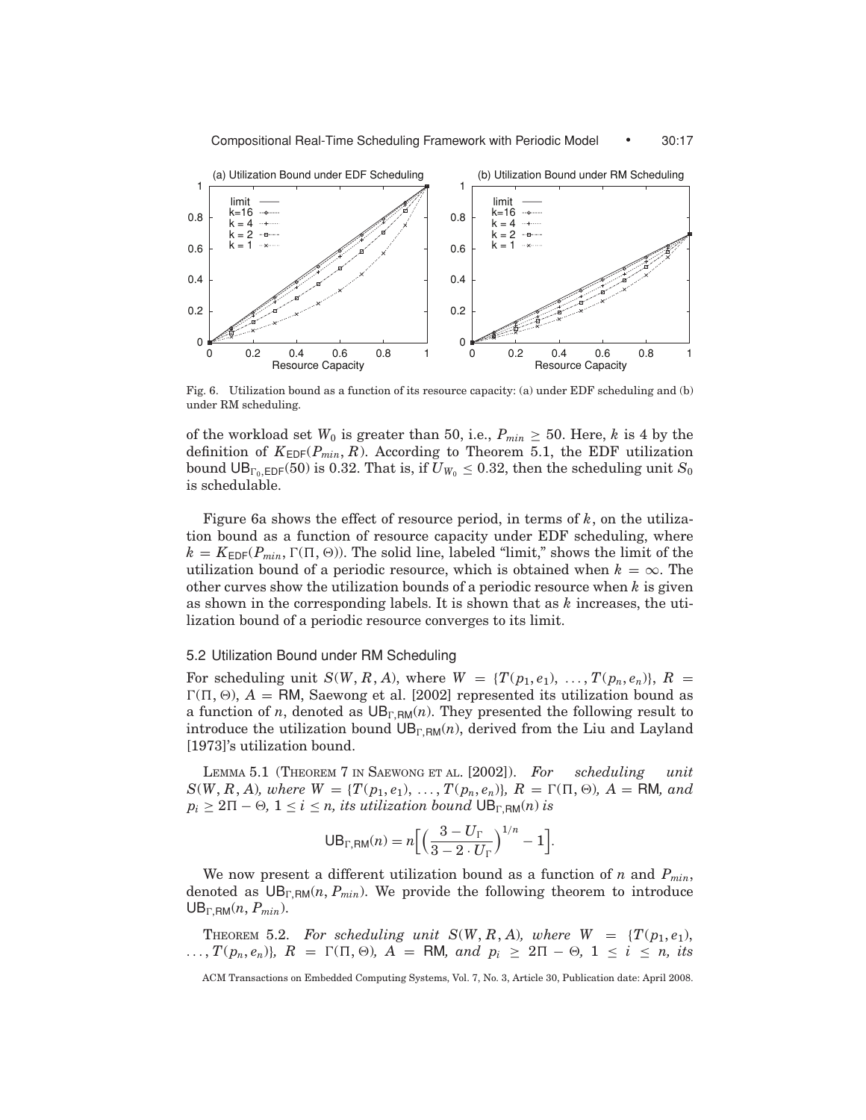

Fig. 6. Utilization bound as a function of its resource capacity: (a) under EDF scheduling and (b) under RM scheduling.

of the workload set  $W_0$  is greater than 50, i.e.,  $P_{min} \geq 50$ . Here, *k* is 4 by the definition of  $K_{EDF}(P_{min}, R)$ . According to Theorem 5.1, the EDF utilization bound  $UB_{\Gamma_0,EDF}(50)$  is 0.32. That is, if  $U_{W_0} \leq 0.32$ , then the scheduling unit  $S_0$ is schedulable.

Figure 6a shows the effect of resource period, in terms of *k*, on the utilization bound as a function of resource capacity under EDF scheduling, where  $k = K_{EDF}(P_{min}, \Gamma(\Pi, \Theta))$ . The solid line, labeled "limit," shows the limit of the utilization bound of a periodic resource, which is obtained when  $k = \infty$ . The other curves show the utilization bounds of a periodic resource when *k* is given as shown in the corresponding labels. It is shown that as *k* increases, the utilization bound of a periodic resource converges to its limit.

# 5.2 Utilization Bound under RM Scheduling

For scheduling unit *S*(*W*, *R*, *A*), where  $W = \{T(p_1, e_1), ..., T(p_n, e_n)\}, R =$  $\Gamma(\Pi, \Theta)$ ,  $A = \text{RM}$ , Saewong et al. [2002] represented its utilization bound as a function of *n*, denoted as  $UB_{\Gamma,RM}(n)$ . They presented the following result to introduce the utilization bound  $UB_{\Gamma,RM}(n)$ , derived from the Liu and Layland [1973]'s utilization bound.

LEMMA 5.1 (THEOREM 7 IN SAEWONG ET AL. [2002]). *For scheduling unit S*(*W*, *R*, *A*)*, where*  $W = \{T(p_1, e_1), \ldots, T(p_n, e_n)\}, R = \Gamma(\Pi, \Theta), A = \text{RM}, and$  $p_i \geq 2\Pi - \Theta$ ,  $1 \leq i \leq n$ , *its utilization bound*  $\text{UB}_{\Gamma, \text{RM}}(n)$  *is* 

$$
\mathsf{UB}_{\Gamma,\mathsf{RM}}(n) = n \Big[ \Big( \frac{3 - U_{\Gamma}}{3 - 2 \cdot U_{\Gamma}} \Big)^{1/n} - 1 \Big].
$$

We now present a different utilization bound as a function of *n* and  $P_{min}$ , denoted as  $UB_{\Gamma,RM}(n, P_{min})$ . We provide the following theorem to introduce  $UB_{\Gamma,RM}(n, P_{min}).$ 

THEOREM 5.2. For scheduling unit  $S(W, R, A)$ , where  $W = \{T(p_1, e_1),$ ..., *T*( $p_n, e_n$ )}, *R* =  $\Gamma(\Pi, \Theta)$ , *A* = RM, and  $p_i \geq 2\Pi - \Theta$ , 1 ≤ *i* ≤ *n*, *its*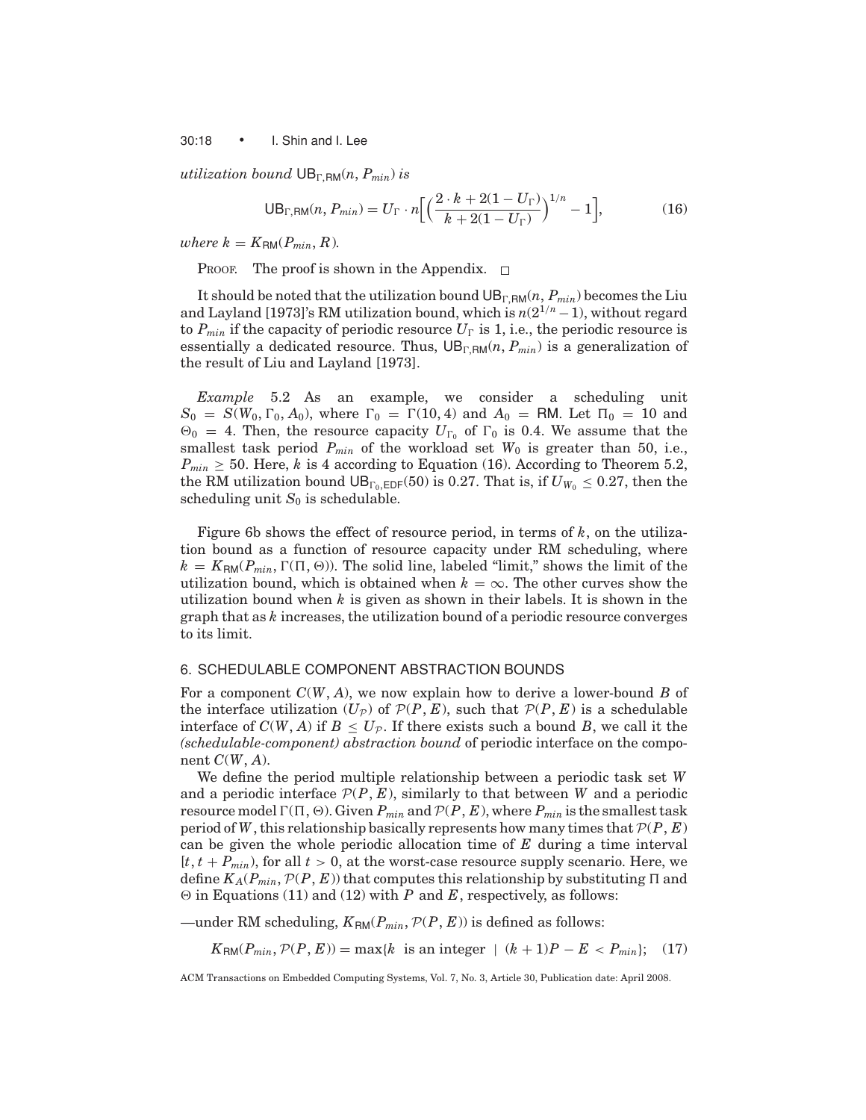#### 30:18 • I. Shin and I. Lee

*utilization bound*  $UB_{TRM}(n, P_{min})$  *is* 

$$
UB_{\Gamma, \text{RM}}(n, P_{\min}) = U_{\Gamma} \cdot n \Big[ \Big( \frac{2 \cdot k + 2(1 - U_{\Gamma})}{k + 2(1 - U_{\Gamma})} \Big)^{1/n} - 1 \Big], \tag{16}
$$

*where*  $k = K_{\text{BM}}(P_{min}, R)$ .

PROOF. The proof is shown in the Appendix.  $\Box$ 

It should be noted that the utilization bound  $\mathsf{UB}_{\Gamma,\mathsf{RM}}(n, P_{min})$  becomes the Liu and Layland [1973]'s RM utilization bound, which is *<sup>n</sup>*(21/*<sup>n</sup>* <sup>−</sup>1), without regard to  $P_{min}$  if the capacity of periodic resource  $U_{\Gamma}$  is 1, i.e., the periodic resource is essentially a dedicated resource. Thus,  $UB_{T,RM}(n, P_{min})$  is a generalization of the result of Liu and Layland [1973].

*Example* 5.2 As an example, we consider a scheduling unit  $S_0 = S(W_0, \Gamma_0, A_0)$ , where  $\Gamma_0 = \Gamma(10, 4)$  and  $A_0 = \text{RM}$ . Let  $\Pi_0 = 10$  and  $\Theta_0 = 4$ . Then, the resource capacity  $U_{\Gamma_0}$  of  $\Gamma_0$  is 0.4. We assume that the smallest task period  $P_{min}$  of the workload set  $W_0$  is greater than 50, i.e.,  $P_{min} \geq 50$ . Here, *k* is 4 according to Equation (16). According to Theorem 5.2, the RM utilization bound  $UB_{\Gamma_0,EDF}(50)$  is 0.27. That is, if  $U_{W_0} \leq 0.27$ , then the scheduling unit  $S_0$  is schedulable.

Figure 6b shows the effect of resource period, in terms of *k*, on the utilization bound as a function of resource capacity under RM scheduling, where  $k = K_{\text{BM}}(P_{min}, \Gamma(\Pi, \Theta))$ . The solid line, labeled "limit," shows the limit of the utilization bound, which is obtained when  $k = \infty$ . The other curves show the utilization bound when *k* is given as shown in their labels. It is shown in the graph that as *k* increases, the utilization bound of a periodic resource converges to its limit.

# 6. SCHEDULABLE COMPONENT ABSTRACTION BOUNDS

For a component *C*(*W*, *A*), we now explain how to derive a lower-bound *B* of the interface utilization  $(U_{\mathcal{P}})$  of  $\mathcal{P}(P, E)$ , such that  $\mathcal{P}(P, E)$  is a schedulable interface of  $C(W, A)$  if  $B \leq U_{\mathcal{P}}$ . If there exists such a bound *B*, we call it the *(schedulable-component) abstraction bound* of periodic interface on the component *C*(*W*, *A*).

We define the period multiple relationship between a periodic task set *W* and a periodic interface  $\mathcal{P}(P, E)$ , similarly to that between *W* and a periodic resource model  $\Gamma(\Pi, \Theta)$ . Given  $P_{min}$  and  $\mathcal{P}(P, E)$ , where  $P_{min}$  is the smallest task period of *W*, this relationship basically represents how many times that  $\mathcal{P}(P, E)$ can be given the whole periodic allocation time of *E* during a time interval  $[t, t + P_{min})$ , for all  $t > 0$ , at the worst-case resource supply scenario. Here, we define  $K_A(P_{min}, \mathcal{P}(P, E))$  that computes this relationship by substituting  $\Pi$  and  $\Theta$  in Equations (11) and (12) with *P* and *E*, respectively, as follows:

—under RM scheduling,  $K_{\text{BM}}(P_{min}, \mathcal{P}(P, E))$  is defined as follows:

 $K_{\text{RM}}(P_{min}, \mathcal{P}(P, E)) = \max\{k \text{ is an integer } | (k+1)P - E < P_{min}\};$  (17)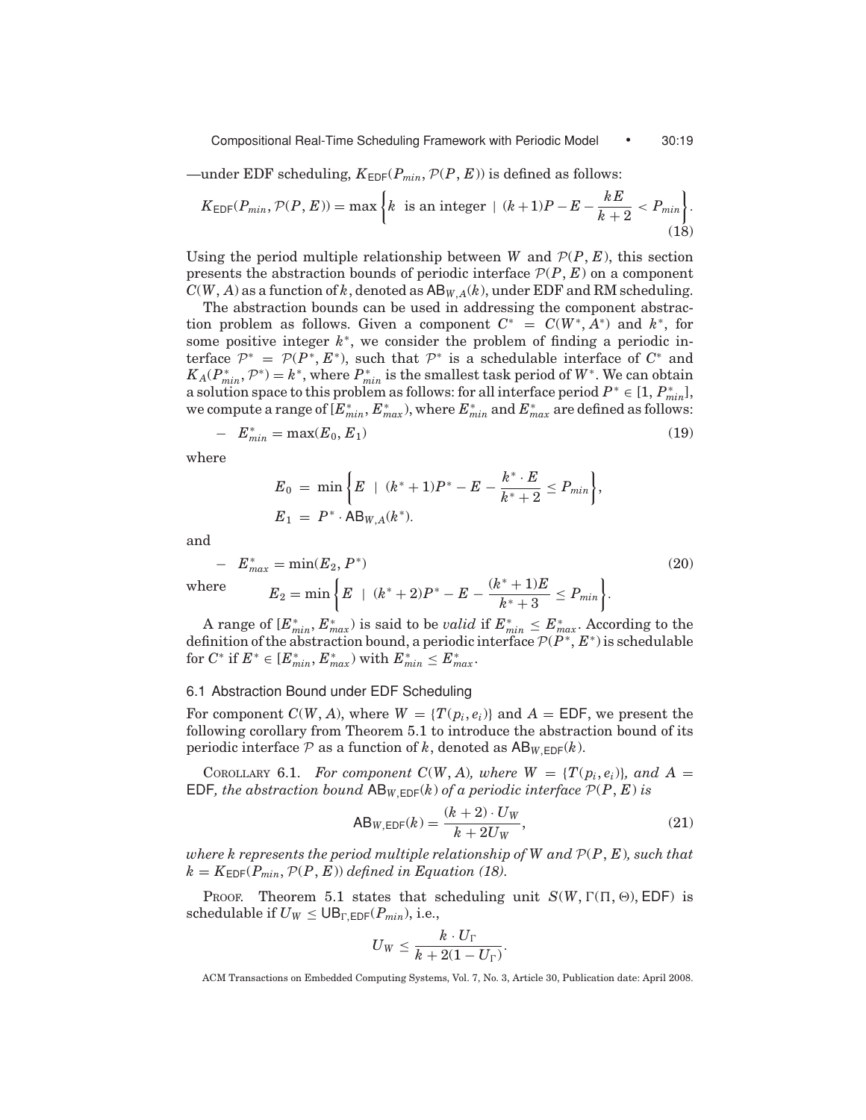—under EDF scheduling,  $K_{EDF}(P_{min}, \mathcal{P}(P, E))$  is defined as follows:

$$
K_{\text{EDF}}(P_{\min}, \mathcal{P}(P, E)) = \max\left\{k \text{ is an integer} \mid (k+1)P - E - \frac{kE}{k+2} < P_{\min}\right\}.\tag{18}
$$

Using the period multiple relationship between *W* and  $P(P, E)$ , this section presents the abstraction bounds of periodic interface  $\mathcal{P}(P, E)$  on a component  $C(W, A)$  as a function of *k*, denoted as  $AB_{W, A}(k)$ , under EDF and RM scheduling.

The abstraction bounds can be used in addressing the component abstraction problem as follows. Given a component  $C^* = C(W^*, A^*)$  and  $k^*$ , for some positive integer *k*∗, we consider the problem of finding a periodic interface  $\mathcal{P}^* = \mathcal{P}(P^*, E^*)$ , such that  $\mathcal{P}^*$  is a schedulable interface of  $C^*$  and  $K_A(P_{min}^*, \mathcal{P}^*) = k^*$ , where  $P_{min}^*$  is the smallest task period of *W*<sup>∗</sup>. We can obtain a solution space to this problem as follows: for all interface period  $P^* \in [1, P^*_{min}]$ , we compute a range of  $[E^{*}_{min},E^{*}_{max}) ,$  where  $E^{*}_{min}$  and  $E^{*}_{max}$  are defined as follows:

$$
-E_{min}^* = \max(E_0, E_1) \tag{19}
$$

where

$$
E_0 = \min \bigg\{ E \mid (k^* + 1)P^* - E - \frac{k^* \cdot E}{k^* + 2} \le P_{min} \bigg\},
$$
  

$$
E_1 = P^* \cdot AB_{W,A}(k^*).
$$

and

$$
- E_{max}^{*} = \min(E_2, P^{*})
$$
  
where 
$$
E_2 = \min \left\{ E \mid (k^* + 2)P^{*} - E - \frac{(k^* + 1)E}{k^* + 3} \le P_{min} \right\}.
$$
 (20)

A range of  $[E_{min}^*, E_{max}^*]$  is said to be *valid* if  $E_{min}^* \le E_{max}^*$ . According to the definition of the abstraction bound, a periodic interface  $\mathcal{P}(P^*, E^*)$  is schedulable  $\text{for } C^* \text{ if } E^* \in [E^*_{min}, E^*_{max}) \text{ with } E^*_{min} \leq E^*_{max}.$ 

# 6.1 Abstraction Bound under EDF Scheduling

For component  $C(W, A)$ , where  $W = \{T(p_i, e_i)\}$  and  $A = \text{EDF}$ , we present the following corollary from Theorem 5.1 to introduce the abstraction bound of its periodic interface  $P$  as a function of k, denoted as  $AB_{W,EDF}(k)$ .

COROLLARY 6.1. *For component*  $C(W, A)$ *, where*  $W = \{T(p_i, e_i)\}$ *, and*  $A =$ EDF, the abstraction bound  $AB_{W,EDF}(k)$  of a periodic interface  $\mathcal{P}(P, E)$  is

$$
AB_{W,EDF}(k) = \frac{(k+2) \cdot U_W}{k + 2U_W},
$$
\n(21)

*where k represents the period multiple relationship of W and* P(*P*, *E*)*, such that*  $k = K_{EDF}(P_{min}, \mathcal{P}(P, E))$  *defined in Equation (18).* 

PROOF. Theorem 5.1 states that scheduling unit  $S(W, \Gamma(\Pi, \Theta), \text{EDF})$  is schedulable if  $U_W \leq \text{UB}_{\Gamma, \text{EDF}}(P_{min}),$  i.e.,

$$
U_W \leq \frac{k \cdot U_{\Gamma}}{k + 2(1 - U_{\Gamma})}.
$$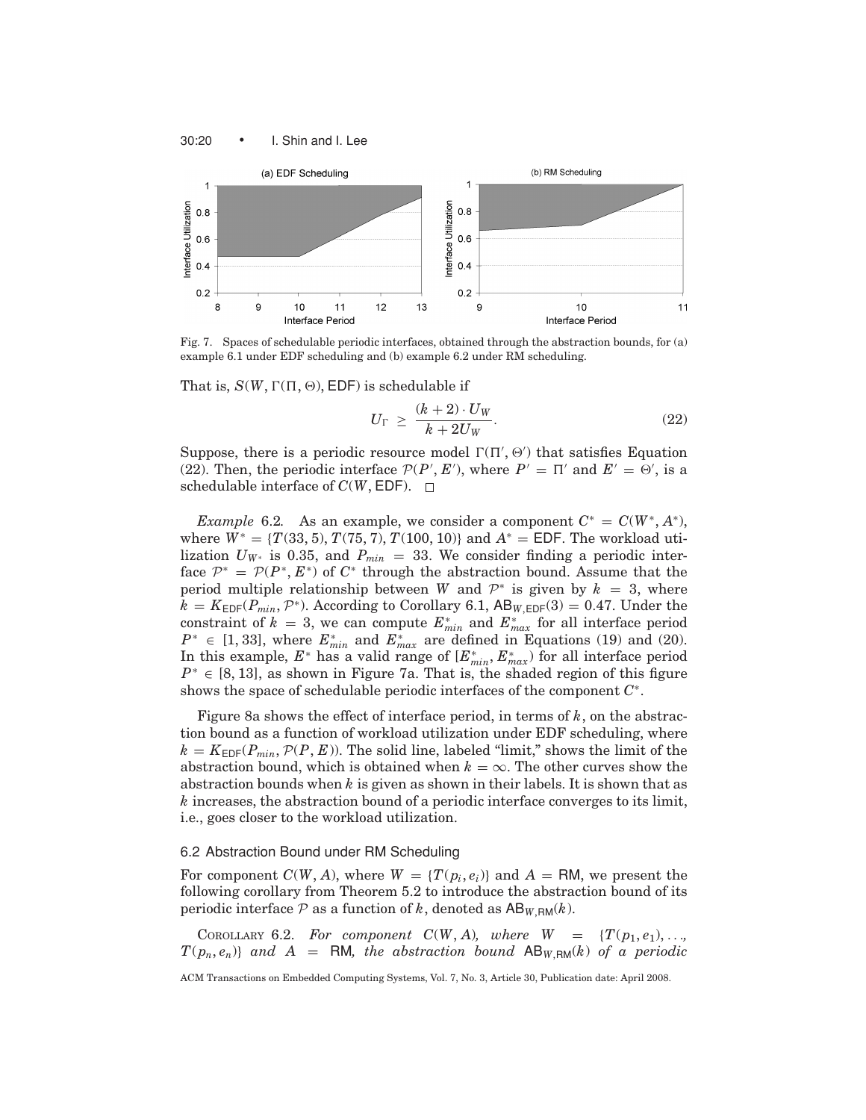

Fig. 7. Spaces of schedulable periodic interfaces, obtained through the abstraction bounds, for (a) example 6.1 under EDF scheduling and (b) example 6.2 under RM scheduling.

That is,  $S(W, \Gamma(\Pi, \Theta), \text{EDF})$  is schedulable if

$$
U_{\Gamma} \ge \frac{(k+2) \cdot U_W}{k + 2U_W}.
$$
\n(22)

Suppose, there is a periodic resource model  $\Gamma(\Pi', \Theta')$  that satisfies Equation (22). Then, the periodic interface  $P(P', E')$ , where  $P' = \Pi'$  and  $E' = \Theta'$ , is a schedulable interface of  $C(W, EDF)$ .  $\square$ 

*Example* 6.2. As an example, we consider a component  $C^* = C(W^*, A^*)$ , where  $W^* = \{T(33, 5), T(75, 7), T(100, 10)\}\$ and  $A^* = EDF$ . The workload utilization  $U_{W^*}$  is 0.35, and  $P_{min} = 33$ . We consider finding a periodic interface  $\mathcal{P}^* = \mathcal{P}(P^*, E^*)$  of  $C^*$  through the abstraction bound. Assume that the period multiple relationship between *W* and  $\mathcal{P}^*$  is given by  $k = 3$ , where  $k = K_{EDF}(P_{min}, \mathcal{P}^*)$ . According to Corollary 6.1,  $AB_{W,EDF}(3) = 0.47$ . Under the constraint of  $k = 3$ , we can compute  $E_{min}^*$  and  $E_{max}^*$  for all interface period  $P^* \in [1, 33]$ , where  $E^*_{min}$  and  $E^*_{max}$  are defined in Equations (19) and (20). In this example,  $E^*$  has a valid range of  $[E^*_{min}, E^*_{max})$  for all interface period *P*<sup>∗</sup> ∈ [8, 13], as shown in Figure 7a. That is, the shaded region of this figure shows the space of schedulable periodic interfaces of the component *C*∗.

Figure 8a shows the effect of interface period, in terms of *k*, on the abstraction bound as a function of workload utilization under EDF scheduling, where  $k = K_{EDF}(P_{min}, \mathcal{P}(P, E))$ . The solid line, labeled "limit," shows the limit of the abstraction bound, which is obtained when  $k = \infty$ . The other curves show the abstraction bounds when *k* is given as shown in their labels. It is shown that as *k* increases, the abstraction bound of a periodic interface converges to its limit, i.e., goes closer to the workload utilization.

# 6.2 Abstraction Bound under RM Scheduling

For component  $C(W, A)$ , where  $W = \{T(p_i, e_i)\}$  and  $A = \mathsf{RM}$ , we present the following corollary from Theorem 5.2 to introduce the abstraction bound of its periodic interface  $P$  as a function of k, denoted as  $AB_{W,RM}(k)$ .

COROLLARY 6.2. For component  $C(W, A)$ , where  $W = \{T(p_1, e_1), \ldots,$  $T(p_n, e_n)$  *and*  $A = \mathsf{RM}$ *, the abstraction bound*  $\mathsf{AB}_{W,\mathsf{RM}}(k)$  *of a periodic*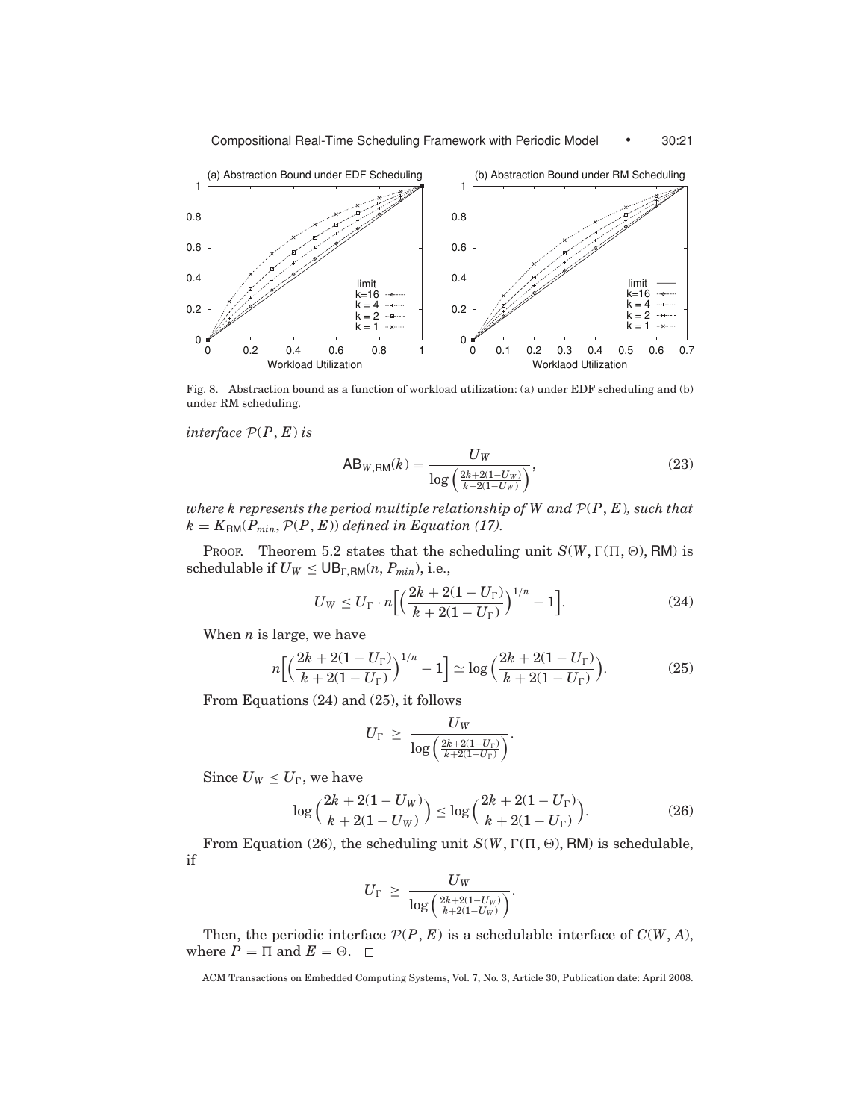

Fig. 8. Abstraction bound as a function of workload utilization: (a) under EDF scheduling and (b) under RM scheduling.

*interface*  $P(P, E)$  *is* 

$$
AB_{W,RM}(k) = \frac{U_W}{\log\left(\frac{2k + 2(1 - U_W)}{k + 2(1 - U_W)}\right)},
$$
\n(23)

*where k represents the period multiple relationship of W and* P(*P*, *E*)*, such that*  $k = K_{\text{RM}}(P_{min}, \mathcal{P}(P, E))$  *defined in Equation (17).* 

PROOF. Theorem 5.2 states that the scheduling unit  $S(W, \Gamma(\Pi, \Theta), RM)$  is schedulable if  $U_W \leq \text{UB}_{\Gamma, \text{RM}}(n, P_{min}),$  i.e.,

$$
U_W \le U_\Gamma \cdot n \Big[ \Big( \frac{2k + 2(1 - U_\Gamma)}{k + 2(1 - U_\Gamma)} \Big)^{1/n} - 1 \Big]. \tag{24}
$$

When *n* is large, we have

$$
n\left[\left(\frac{2k+2(1-U_{\Gamma})}{k+2(1-U_{\Gamma})}\right)^{1/n}-1\right] \simeq \log\left(\frac{2k+2(1-U_{\Gamma})}{k+2(1-U_{\Gamma})}\right). \tag{25}
$$

From Equations (24) and (25), it follows

$$
U_{\Gamma} \ \geq \ \frac{U_W}{\log\left(\frac{2k+2(1-U_{\Gamma})}{k+2(1-U_{\Gamma})}\right)}.
$$

Since  $U_W \leq U_V$ , we have

$$
\log\left(\frac{2k+2(1-U_W)}{k+2(1-U_W)}\right) \le \log\left(\frac{2k+2(1-U_\Gamma)}{k+2(1-U_\Gamma)}\right). \tag{26}
$$

From Equation (26), the scheduling unit  $S(W, \Gamma(\Pi, \Theta), RM)$  is schedulable, if

$$
U_{\Gamma} \; \geq \; \frac{U_W}{\log\left(\frac{2k+2(1-U_W)}{k+2(1-U_W)}\right)}.
$$

Then, the periodic interface  $\mathcal{P}(P, E)$  is a schedulable interface of  $C(W, A)$ , where  $P = \Pi$  and  $E = \Theta$ .  $\Box$ 

ACM Transactions on Embedded Computing Systems, Vol. 7, No. 3, Article 30, Publication date: April 2008.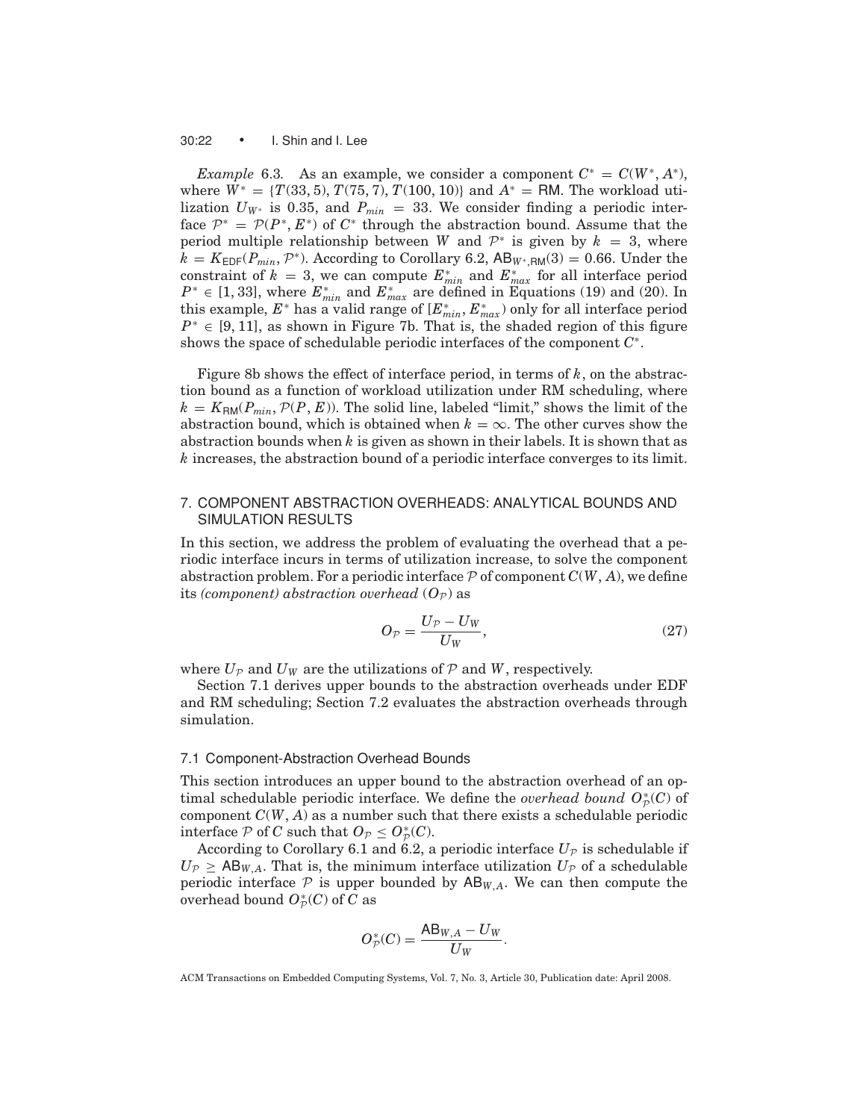30:22 • I. Shin and I. Lee

*Example* 6.3. As an example, we consider a component  $C^* = C(W^*, A^*)$ , where  $W^* = \{T(33, 5), T(75, 7), T(100, 10)\}\$ and  $A^* = \text{RM}$ . The workload utilization  $U_{W^*}$  is 0.35, and  $P_{min} = 33$ . We consider finding a periodic interface  $\mathcal{P}^* = \mathcal{P}(P^*, E^*)$  of  $C^*$  through the abstraction bound. Assume that the period multiple relationship between *W* and  $\mathcal{P}^*$  is given by  $k = 3$ , where  $k = K_{EDF}(P_{min}, \mathcal{P}^*)$ . According to Corollary 6.2,  $AB_{W^*, RM}(3) = 0.66$ . Under the constraint of  $k = 3$ , we can compute  $E^*_{min}$  and  $E^*_{max}$  for all interface period  $P^* \in [1, 33]$ , where  $E^*_{min}$  and  $E^*_{max}$  are defined in Equations (19) and (20). In this example,  $E^*$  has a valid range of  $[E^*_{min},E^*_{max})$  only for all interface period  $P^* \in [9, 11]$ , as shown in Figure 7b. That is, the shaded region of this figure shows the space of schedulable periodic interfaces of the component *C*∗.

Figure 8b shows the effect of interface period, in terms of *k*, on the abstraction bound as a function of workload utilization under RM scheduling, where  $k = K_{\text{BM}}(P_{\text{min}}, \mathcal{P}(P, E))$ . The solid line, labeled "limit," shows the limit of the abstraction bound, which is obtained when  $k = \infty$ . The other curves show the abstraction bounds when *k* is given as shown in their labels. It is shown that as *k* increases, the abstraction bound of a periodic interface converges to its limit.

# 7. COMPONENT ABSTRACTION OVERHEADS: ANALYTICAL BOUNDS AND SIMULATION RESULTS

In this section, we address the problem of evaluating the overhead that a periodic interface incurs in terms of utilization increase, to solve the component abstraction problem. For a periodic interface  $P$  of component  $C(W, A)$ , we define its *(component)* abstraction overhead  $(O_{\mathcal{P}})$  as

$$
O_{\mathcal{P}} = \frac{U_{\mathcal{P}} - U_{W}}{U_{W}},\tag{27}
$$

where  $U_{\mathcal{P}}$  and  $U_W$  are the utilizations of  $\mathcal P$  and  $W$ , respectively.

Section 7.1 derives upper bounds to the abstraction overheads under EDF and RM scheduling; Section 7.2 evaluates the abstraction overheads through simulation.

## 7.1 Component-Abstraction Overhead Bounds

This section introduces an upper bound to the abstraction overhead of an optimal schedulable periodic interface. We define the *overhead bound*  $O^*_{\mathcal{P}}(C)$  of component  $C(W, A)$  as a number such that there exists a schedulable periodic interface  $P$  of *C* such that  $O_P \leq O_P^*(C)$ .

According to Corollary 6.1 and 6.2, a periodic interface  $U_p$  is schedulable if  $U_{\mathcal{P}} \geq AB_{W,A}$ . That is, the minimum interface utilization  $U_{\mathcal{P}}$  of a schedulable periodic interface  $P$  is upper bounded by  $AB_{W,A}$ . We can then compute the overhead bound  $O_{\mathcal{P}}^{*}(C)$  of  $C$  as

$$
O_{\mathcal{P}}^*(C) = \frac{\mathsf{AB}_{W,A} - U_W}{U_W}.
$$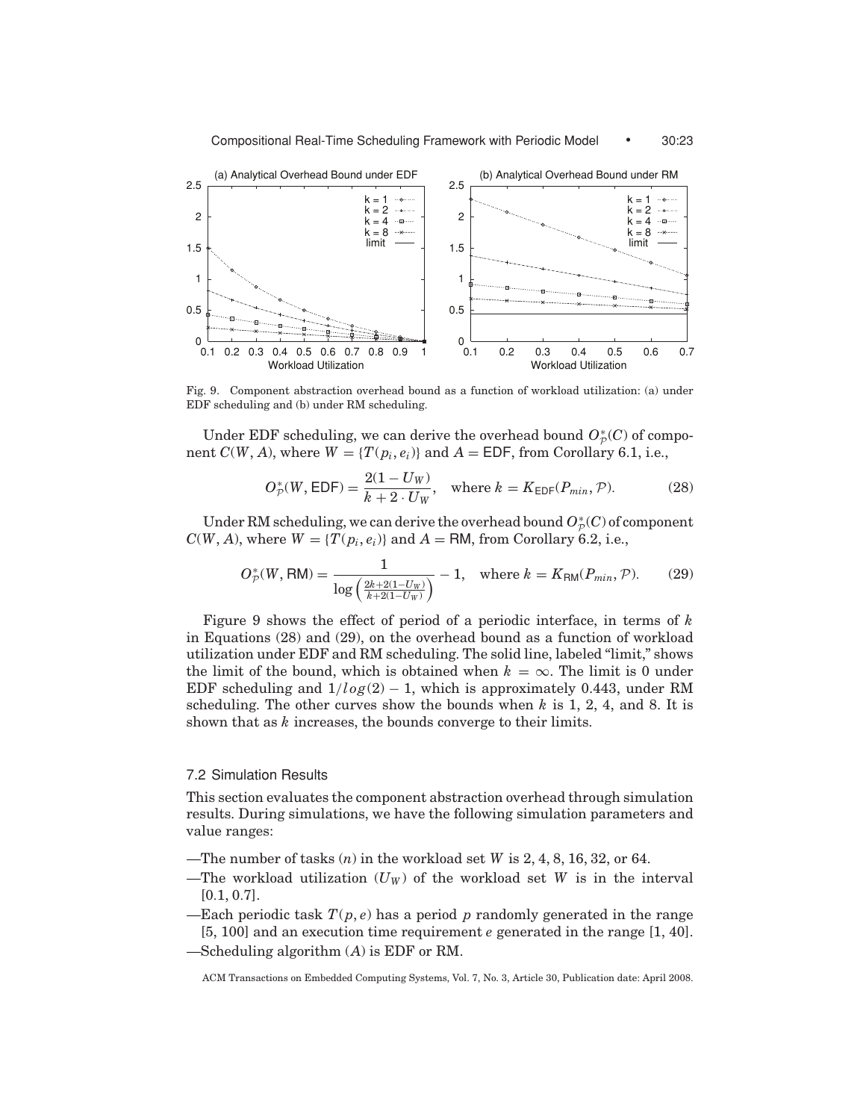

Fig. 9. Component abstraction overhead bound as a function of workload utilization: (a) under EDF scheduling and (b) under RM scheduling.

Under EDF scheduling, we can derive the overhead bound  $O_P^*(C)$  of compo-<br> $O(E^*(C))$ nent  $C(W, A)$ , where  $W = \{T(p_i, e_i)\}$  and  $A = \text{EDF}$ , from Corollary 6.1, i.e.,

$$
O_P^*(W, \text{EDF}) = \frac{2(1 - U_W)}{k + 2 \cdot U_W}, \quad \text{where } k = K_{\text{EDF}}(P_{min}, \mathcal{P}). \tag{28}
$$

Under RM scheduling, we can derive the overhead bound  $O_P^*(C)$  of component  $C(W, A)$ , where  $W = \{T(p_i, e_i)\}$  and  $A = RM$ , from Corollary 6.2, i.e.,

$$
O_{\mathcal{P}}^{*}(W, \text{RM}) = \frac{1}{\log\left(\frac{2k + 2(1 - U_{W})}{k + 2(1 - U_{W})}\right)} - 1, \text{ where } k = K_{\text{RM}}(P_{\text{min}}, \mathcal{P}).
$$
 (29)

Figure 9 shows the effect of period of a periodic interface, in terms of *k* in Equations (28) and (29), on the overhead bound as a function of workload utilization under EDF and RM scheduling. The solid line, labeled "limit," shows the limit of the bound, which is obtained when  $k = \infty$ . The limit is 0 under EDF scheduling and  $1/log(2) - 1$ , which is approximately 0.443, under RM scheduling. The other curves show the bounds when *k* is 1, 2, 4, and 8. It is shown that as *k* increases, the bounds converge to their limits.

## 7.2 Simulation Results

This section evaluates the component abstraction overhead through simulation results. During simulations, we have the following simulation parameters and value ranges:

- —The number of tasks (*n*) in the workload set *W* is 2, 4, 8, 16, 32, or 64.
- —The workload utilization  $(U_W)$  of the workload set W is in the interval  $[0.1, 0.7]$ .
- —Each periodic task  $T(p, e)$  has a period p randomly generated in the range [5, 100] and an execution time requirement *e* generated in the range [1, 40]. —Scheduling algorithm (*A*) is EDF or RM.
	- ACM Transactions on Embedded Computing Systems, Vol. 7, No. 3, Article 30, Publication date: April 2008.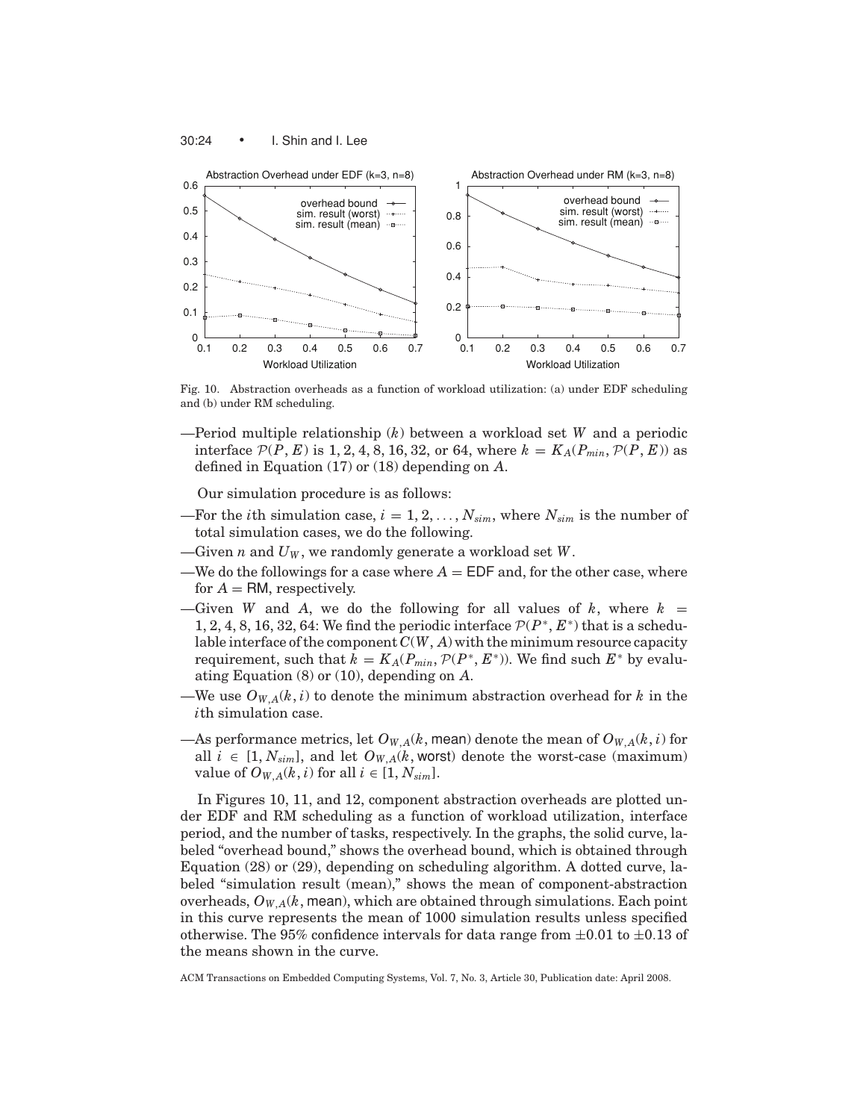



Fig. 10. Abstraction overheads as a function of workload utilization: (a) under EDF scheduling and (b) under RM scheduling.

—Period multiple relationship (*k*) between a workload set *W* and a periodic interface  $\mathcal{P}(P, E)$  is 1, 2, 4, 8, 16, 32, or 64, where  $k = K_A(P_{min}, \mathcal{P}(P, E))$  as defined in Equation (17) or (18) depending on *A*.

Our simulation procedure is as follows:

- —For the *i*th simulation case,  $i = 1, 2, ..., N_{sim}$ , where  $N_{sim}$  is the number of total simulation cases, we do the following.
- —Given *n* and *UW* , we randomly generate a workload set *W*.
- —We do the followings for a case where  $A = EDF$  and, for the other case, where for  $A = RM$ , respectively.
- $-\text{Given } W \text{ and } A$ , we do the following for all values of k, where  $k =$ 1, 2, 4, 8, 16, 32, 64: We find the periodic interface  $\mathcal{P}(P^*, E^*)$  that is a schedulable interface of the component  $C(W, A)$  with the minimum resource capacity requirement, such that  $k = K_A(P_{min}, \mathcal{P}(P^*, E^*))$ . We find such  $E^*$  by evaluating Equation (8) or (10), depending on *A*.
- —We use  $O_{W,A}(k, i)$  to denote the minimum abstraction overhead for k in the *i*th simulation case.
- —As performance metrics, let  $O_{W,A}(k)$ , mean) denote the mean of  $O_{W,A}(k, i)$  for all  $i \in [1, N_{sim}]$ , and let  $O_{W,A}(k, \text{worst})$  denote the worst-case (maximum) value of  $O_{W,A}(k, i)$  for all  $i \in [1, N_{sim}].$

In Figures 10, 11, and 12, component abstraction overheads are plotted under EDF and RM scheduling as a function of workload utilization, interface period, and the number of tasks, respectively. In the graphs, the solid curve, labeled "overhead bound," shows the overhead bound, which is obtained through Equation (28) or (29), depending on scheduling algorithm. A dotted curve, labeled "simulation result (mean)," shows the mean of component-abstraction overheads,  $O_{W,A}(k)$ , mean), which are obtained through simulations. Each point in this curve represents the mean of 1000 simulation results unless specified otherwise. The 95% confidence intervals for data range from  $\pm 0.01$  to  $\pm 0.13$  of the means shown in the curve.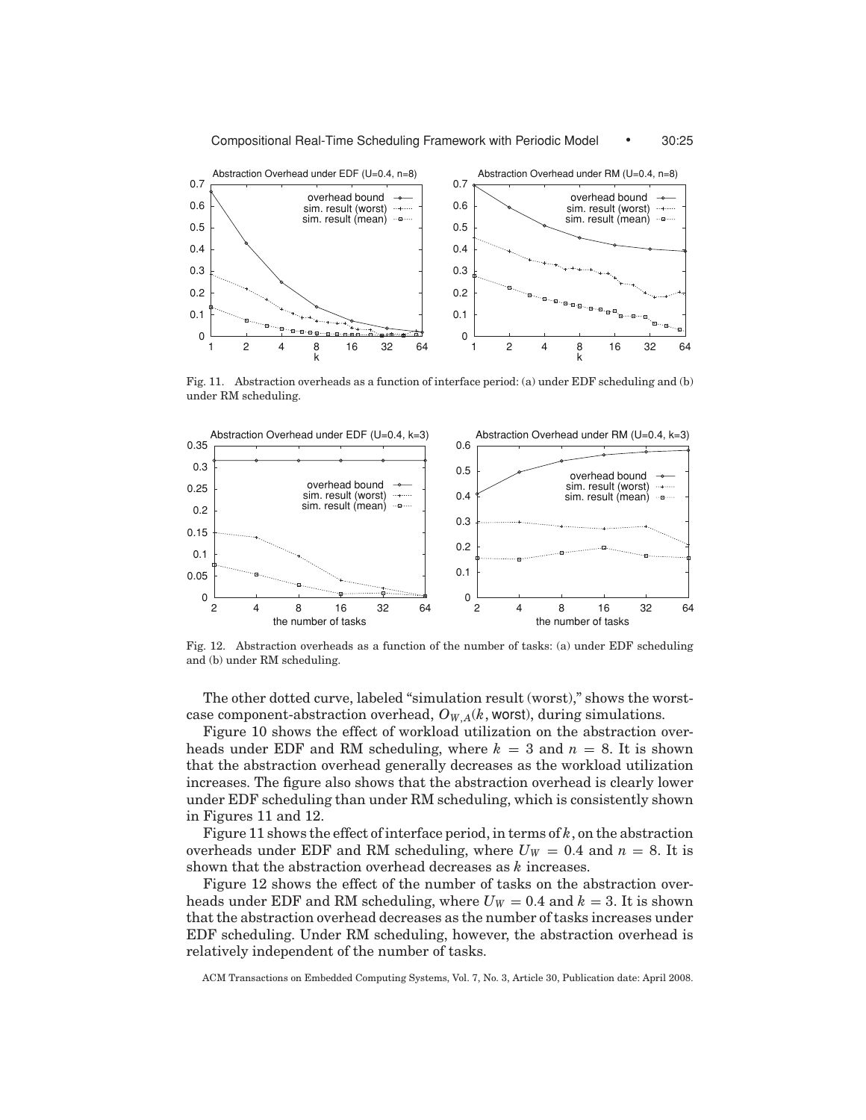

Fig. 11. Abstraction overheads as a function of interface period: (a) under EDF scheduling and (b) under RM scheduling.



Fig. 12. Abstraction overheads as a function of the number of tasks: (a) under EDF scheduling and (b) under RM scheduling.

The other dotted curve, labeled "simulation result (worst)," shows the worstcase component-abstraction overhead,  $O_{W,A}(k, \text{worst})$ , during simulations.

Figure 10 shows the effect of workload utilization on the abstraction overheads under EDF and RM scheduling, where  $k = 3$  and  $n = 8$ . It is shown that the abstraction overhead generally decreases as the workload utilization increases. The figure also shows that the abstraction overhead is clearly lower under EDF scheduling than under RM scheduling, which is consistently shown in Figures 11 and 12.

Figure 11 shows the effect of interface period, in terms of *k*, on the abstraction overheads under EDF and RM scheduling, where  $U_W = 0.4$  and  $n = 8$ . It is shown that the abstraction overhead decreases as *k* increases.

Figure 12 shows the effect of the number of tasks on the abstraction overheads under EDF and RM scheduling, where  $U_W = 0.4$  and  $k = 3$ . It is shown that the abstraction overhead decreases as the number of tasks increases under EDF scheduling. Under RM scheduling, however, the abstraction overhead is relatively independent of the number of tasks.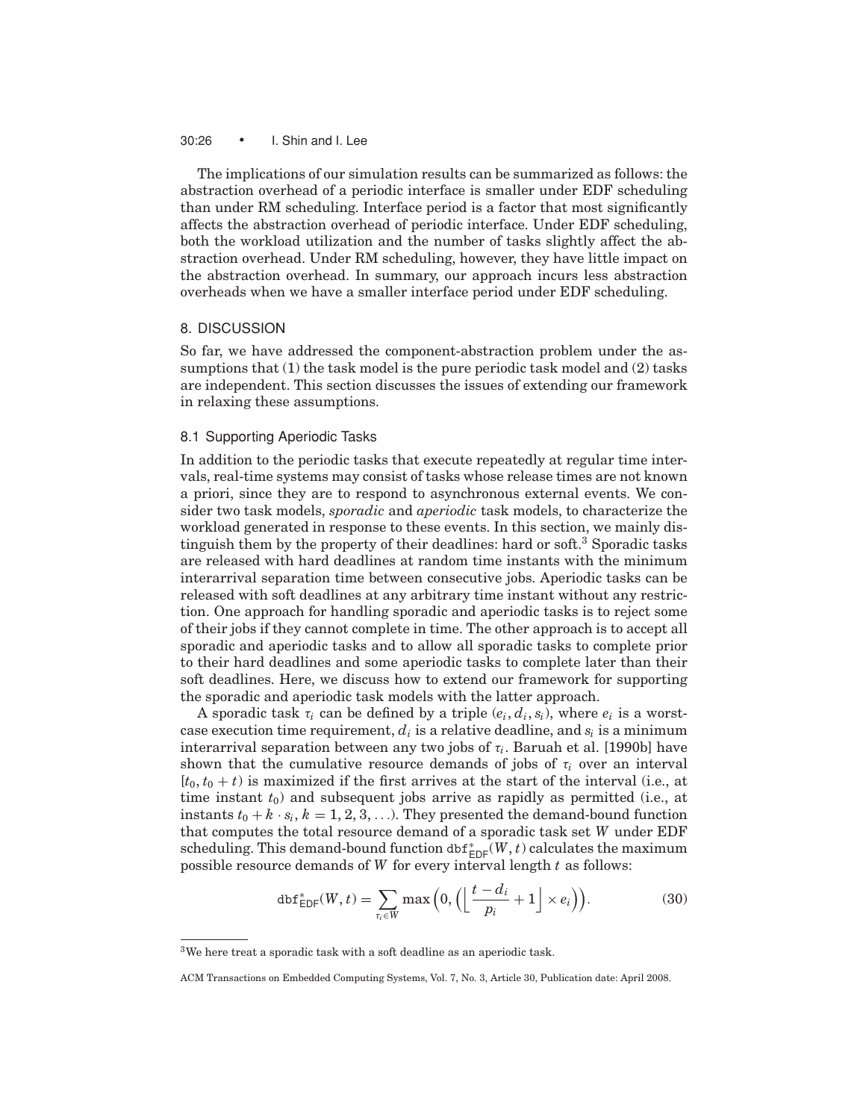#### 30:26 • I. Shin and I. Lee

The implications of our simulation results can be summarized as follows: the abstraction overhead of a periodic interface is smaller under EDF scheduling than under RM scheduling. Interface period is a factor that most significantly affects the abstraction overhead of periodic interface. Under EDF scheduling, both the workload utilization and the number of tasks slightly affect the abstraction overhead. Under RM scheduling, however, they have little impact on the abstraction overhead. In summary, our approach incurs less abstraction overheads when we have a smaller interface period under EDF scheduling.

#### 8. DISCUSSION

So far, we have addressed the component-abstraction problem under the assumptions that (1) the task model is the pure periodic task model and (2) tasks are independent. This section discusses the issues of extending our framework in relaxing these assumptions.

# 8.1 Supporting Aperiodic Tasks

In addition to the periodic tasks that execute repeatedly at regular time intervals, real-time systems may consist of tasks whose release times are not known a priori, since they are to respond to asynchronous external events. We consider two task models, *sporadic* and *aperiodic* task models, to characterize the workload generated in response to these events. In this section, we mainly distinguish them by the property of their deadlines: hard or soft.3 Sporadic tasks are released with hard deadlines at random time instants with the minimum interarrival separation time between consecutive jobs. Aperiodic tasks can be released with soft deadlines at any arbitrary time instant without any restriction. One approach for handling sporadic and aperiodic tasks is to reject some of their jobs if they cannot complete in time. The other approach is to accept all sporadic and aperiodic tasks and to allow all sporadic tasks to complete prior to their hard deadlines and some aperiodic tasks to complete later than their soft deadlines. Here, we discuss how to extend our framework for supporting the sporadic and aperiodic task models with the latter approach.

A sporadic task  $\tau_i$  can be defined by a triple  $(e_i, d_i, s_i)$ , where  $e_i$  is a worstcase execution time requirement,  $d_i$  is a relative deadline, and  $s_i$  is a minimum interarrival separation between any two jobs of  $\tau_i$ . Baruah et al. [1990b] have shown that the cumulative resource demands of jobs of  $\tau_i$  over an interval  $[t_0, t_0 + t)$  is maximized if the first arrives at the start of the interval (i.e., at time instant  $t_0$ ) and subsequent jobs arrive as rapidly as permitted (i.e., at instants  $t_0 + k \cdot s_i$ ,  $k = 1, 2, 3, \ldots$ ). They presented the demand-bound function that computes the total resource demand of a sporadic task set *W* under EDF  ${\rm scheduling.}$  This demand-bound function db ${\rm f}_{{\rm EDF}}^*(W,t)$  calculates the maximum possible resource demands of *W* for every interval length *t* as follows:

$$
\text{dbf}_{\text{EDF}}^{*}(W, t) = \sum_{\tau_i \in W} \max\left(0, \left(\left\lfloor \frac{t - d_i}{p_i} + 1\right\rfloor \times e_i\right)\right). \tag{30}
$$

<sup>3</sup>We here treat a sporadic task with a soft deadline as an aperiodic task.

ACM Transactions on Embedded Computing Systems, Vol. 7, No. 3, Article 30, Publication date: April 2008.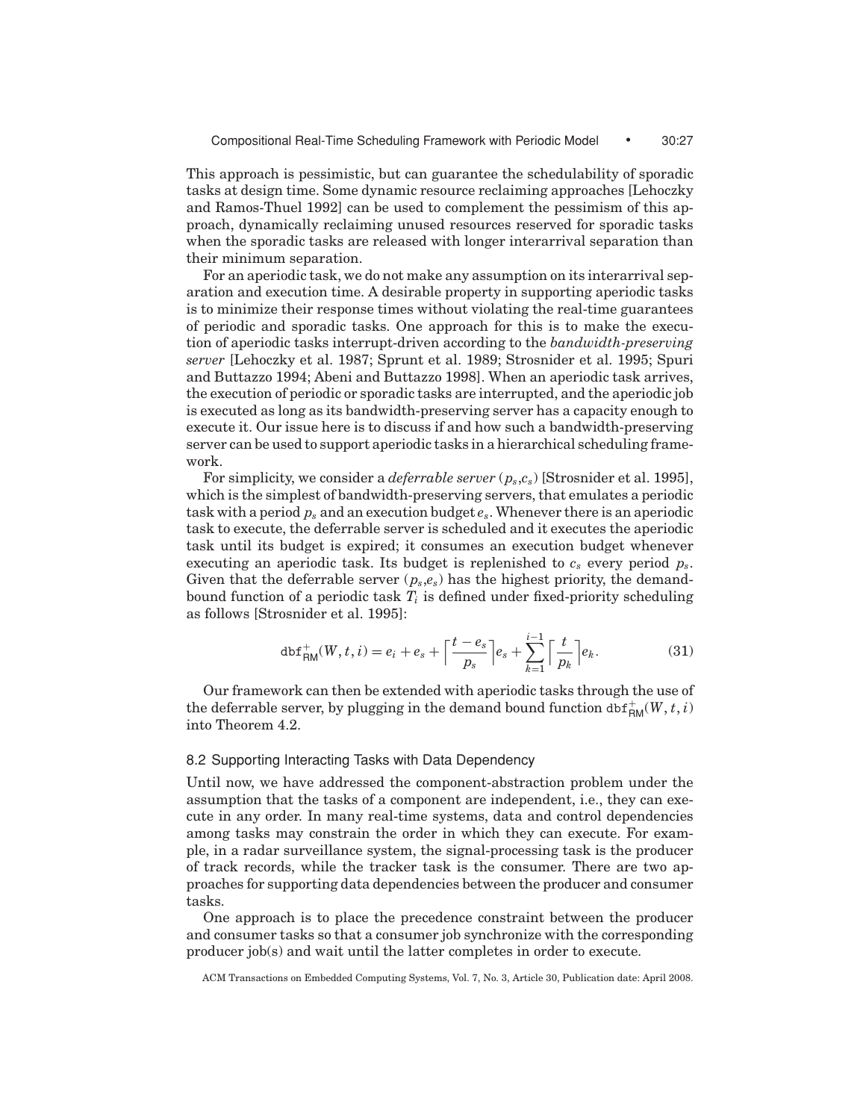This approach is pessimistic, but can guarantee the schedulability of sporadic tasks at design time. Some dynamic resource reclaiming approaches [Lehoczky and Ramos-Thuel 1992] can be used to complement the pessimism of this approach, dynamically reclaiming unused resources reserved for sporadic tasks when the sporadic tasks are released with longer interarrival separation than their minimum separation.

For an aperiodic task, we do not make any assumption on its interarrival separation and execution time. A desirable property in supporting aperiodic tasks is to minimize their response times without violating the real-time guarantees of periodic and sporadic tasks. One approach for this is to make the execution of aperiodic tasks interrupt-driven according to the *bandwidth-preserving server* [Lehoczky et al. 1987; Sprunt et al. 1989; Strosnider et al. 1995; Spuri and Buttazzo 1994; Abeni and Buttazzo 1998]. When an aperiodic task arrives, the execution of periodic or sporadic tasks are interrupted, and the aperiodic job is executed as long as its bandwidth-preserving server has a capacity enough to execute it. Our issue here is to discuss if and how such a bandwidth-preserving server can be used to support aperiodic tasks in a hierarchical scheduling framework.

For simplicity, we consider a *deferrable server* (*ps*,*cs*) [Strosnider et al. 1995], which is the simplest of bandwidth-preserving servers, that emulates a periodic task with a period *ps* and an execution budget *es*. Whenever there is an aperiodic task to execute, the deferrable server is scheduled and it executes the aperiodic task until its budget is expired; it consumes an execution budget whenever executing an aperiodic task. Its budget is replenished to *cs* every period *ps*. Given that the deferrable server  $(p_s,e_s)$  has the highest priority, the demandbound function of a periodic task  $T_i$  is defined under fixed-priority scheduling as follows [Strosnider et al. 1995]:

$$
\mathrm{dbf}_{\mathrm{RM}}^{+}(W,t,i) = e_i + e_s + \left\lceil \frac{t - e_s}{p_s} \right\rceil e_s + \sum_{k=1}^{i-1} \left\lceil \frac{t}{p_k} \right\rceil e_k. \tag{31}
$$

Our framework can then be extended with aperiodic tasks through the use of the deferrable server, by plugging in the demand bound function  $\mathrm{dbf}_{\mathsf{RM}}^+(W,t,i)$ into Theorem 4.2.

## 8.2 Supporting Interacting Tasks with Data Dependency

Until now, we have addressed the component-abstraction problem under the assumption that the tasks of a component are independent, i.e., they can execute in any order. In many real-time systems, data and control dependencies among tasks may constrain the order in which they can execute. For example, in a radar surveillance system, the signal-processing task is the producer of track records, while the tracker task is the consumer. There are two approaches for supporting data dependencies between the producer and consumer tasks.

One approach is to place the precedence constraint between the producer and consumer tasks so that a consumer job synchronize with the corresponding producer job(s) and wait until the latter completes in order to execute.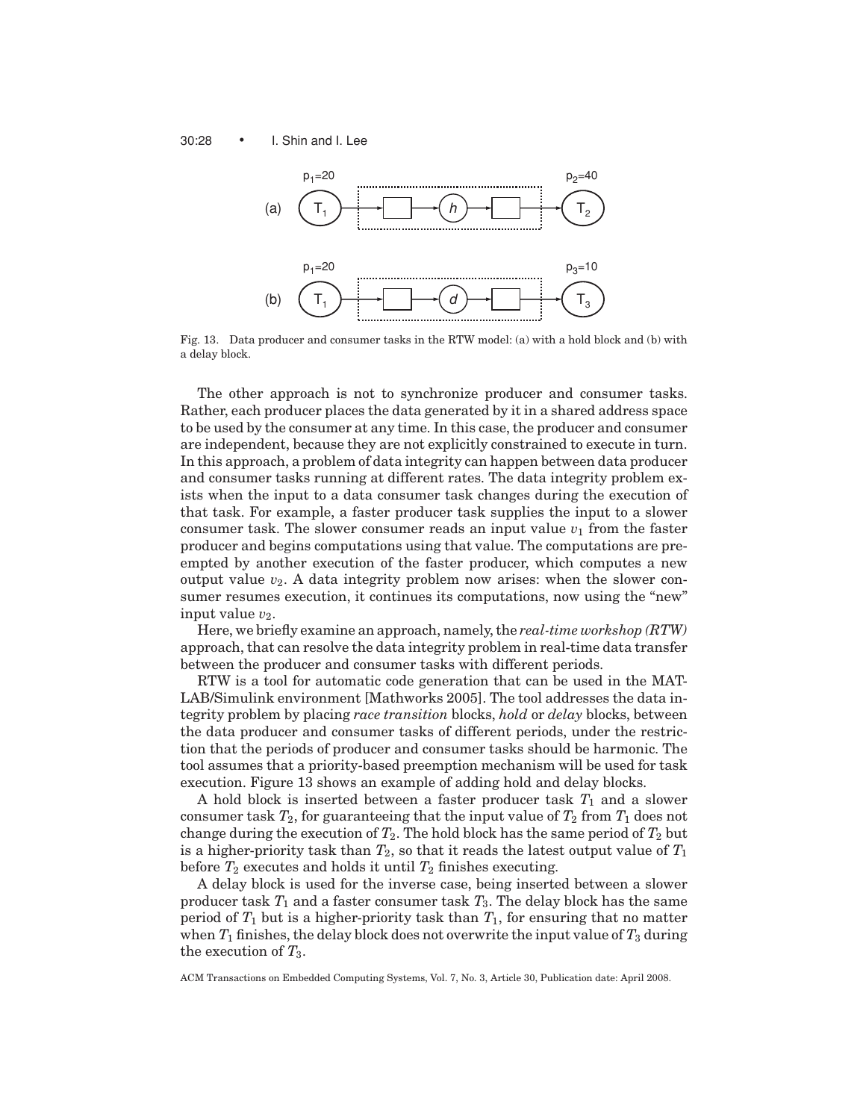30:28 • I. Shin and I. Lee



Fig. 13. Data producer and consumer tasks in the RTW model: (a) with a hold block and (b) with a delay block.

The other approach is not to synchronize producer and consumer tasks. Rather, each producer places the data generated by it in a shared address space to be used by the consumer at any time. In this case, the producer and consumer are independent, because they are not explicitly constrained to execute in turn. In this approach, a problem of data integrity can happen between data producer and consumer tasks running at different rates. The data integrity problem exists when the input to a data consumer task changes during the execution of that task. For example, a faster producer task supplies the input to a slower consumer task. The slower consumer reads an input value  $v_1$  from the faster producer and begins computations using that value. The computations are preempted by another execution of the faster producer, which computes a new output value  $v_2$ . A data integrity problem now arises: when the slower consumer resumes execution, it continues its computations, now using the "new" input value  $v_2$ .

Here, we briefly examine an approach, namely, the *real-time workshop (RTW)* approach, that can resolve the data integrity problem in real-time data transfer between the producer and consumer tasks with different periods.

RTW is a tool for automatic code generation that can be used in the MAT-LAB/Simulink environment [Mathworks 2005]. The tool addresses the data integrity problem by placing *race transition* blocks, *hold* or *delay* blocks, between the data producer and consumer tasks of different periods, under the restriction that the periods of producer and consumer tasks should be harmonic. The tool assumes that a priority-based preemption mechanism will be used for task execution. Figure 13 shows an example of adding hold and delay blocks.

A hold block is inserted between a faster producer task  $T_1$  and a slower consumer task  $T_2$ , for guaranteeing that the input value of  $T_2$  from  $T_1$  does not change during the execution of  $T_2$ . The hold block has the same period of  $T_2$  but is a higher-priority task than  $T_2$ , so that it reads the latest output value of  $T_1$ before  $T_2$  executes and holds it until  $T_2$  finishes executing.

A delay block is used for the inverse case, being inserted between a slower producer task  $T_1$  and a faster consumer task  $T_3$ . The delay block has the same period of *T*<sup>1</sup> but is a higher-priority task than *T*1, for ensuring that no matter when  $T_1$  finishes, the delay block does not overwrite the input value of  $T_3$  during the execution of  $T_3$ .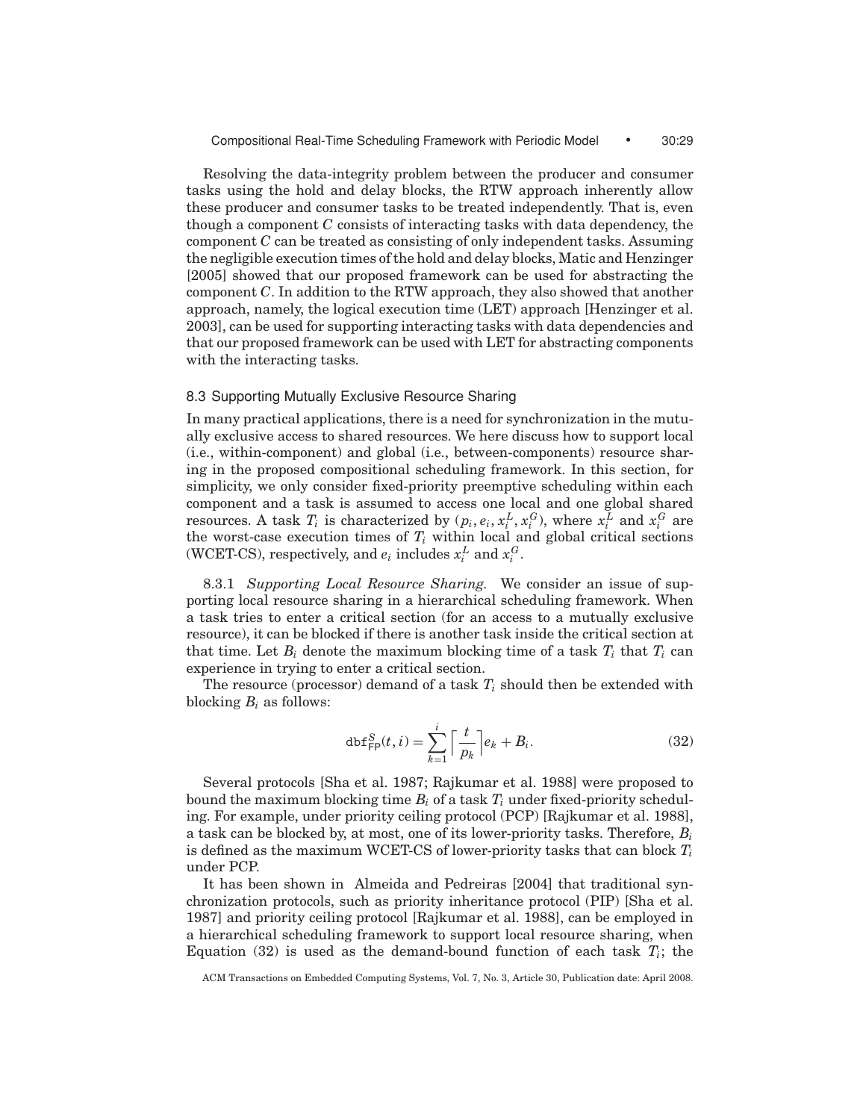Resolving the data-integrity problem between the producer and consumer tasks using the hold and delay blocks, the RTW approach inherently allow these producer and consumer tasks to be treated independently. That is, even though a component *C* consists of interacting tasks with data dependency, the component *C* can be treated as consisting of only independent tasks. Assuming the negligible execution times of the hold and delay blocks, Matic and Henzinger [2005] showed that our proposed framework can be used for abstracting the component *C*. In addition to the RTW approach, they also showed that another approach, namely, the logical execution time (LET) approach [Henzinger et al. 2003], can be used for supporting interacting tasks with data dependencies and that our proposed framework can be used with LET for abstracting components with the interacting tasks.

# 8.3 Supporting Mutually Exclusive Resource Sharing

In many practical applications, there is a need for synchronization in the mutually exclusive access to shared resources. We here discuss how to support local (i.e., within-component) and global (i.e., between-components) resource sharing in the proposed compositional scheduling framework. In this section, for simplicity, we only consider fixed-priority preemptive scheduling within each component and a task is assumed to access one local and one global shared resources. A task  $T_i$  is characterized by  $(p_i, e_i, x_i^L, x_i^G)$ , where  $x_i^L$  and  $x_i^G$  are the worst-case execution times of  $T_i$  within local and global critical sections (WCET-CS), respectively, and  $e_i$  includes  $x_i^L$  and  $x_i^G$ .

8.3.1 *Supporting Local Resource Sharing.* We consider an issue of supporting local resource sharing in a hierarchical scheduling framework. When a task tries to enter a critical section (for an access to a mutually exclusive resource), it can be blocked if there is another task inside the critical section at that time. Let  $B_i$  denote the maximum blocking time of a task  $T_i$  that  $T_i$  can experience in trying to enter a critical section.

The resource (processor) demand of a task  $T_i$  should then be extended with blocking *Bi* as follows:

$$
\mathrm{dbf}_{\mathrm{FP}}^S(t,i) = \sum_{k=1}^i \left[ \frac{t}{p_k} \right] e_k + B_i. \tag{32}
$$

Several protocols [Sha et al. 1987; Rajkumar et al. 1988] were proposed to bound the maximum blocking time *Bi* of a task *Ti* under fixed-priority scheduling. For example, under priority ceiling protocol (PCP) [Rajkumar et al. 1988], a task can be blocked by, at most, one of its lower-priority tasks. Therefore, *Bi* is defined as the maximum WCET-CS of lower-priority tasks that can block *Ti* under PCP.

It has been shown in Almeida and Pedreiras [2004] that traditional synchronization protocols, such as priority inheritance protocol (PIP) [Sha et al. 1987] and priority ceiling protocol [Rajkumar et al. 1988], can be employed in a hierarchical scheduling framework to support local resource sharing, when Equation (32) is used as the demand-bound function of each task  $T_i$ ; the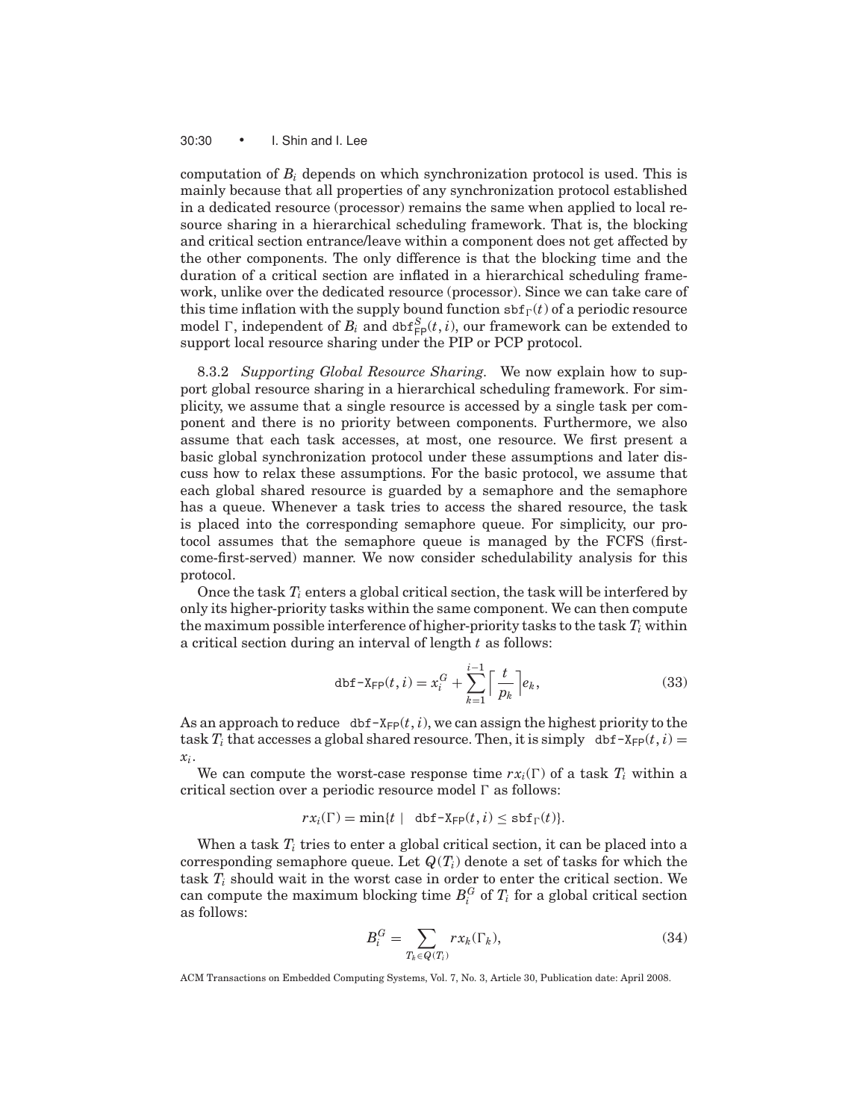## 30:30 • I. Shin and I. Lee

computation of *Bi* depends on which synchronization protocol is used. This is mainly because that all properties of any synchronization protocol established in a dedicated resource (processor) remains the same when applied to local resource sharing in a hierarchical scheduling framework. That is, the blocking and critical section entrance/leave within a component does not get affected by the other components. The only difference is that the blocking time and the duration of a critical section are inflated in a hierarchical scheduling framework, unlike over the dedicated resource (processor). Since we can take care of this time inflation with the supply bound function  $\text{sf}_{\Gamma}(t)$  of a periodic resource model  $\Gamma$ , independent of  $B_i$  and  $\mathrm{dbf}_{\mathsf{FP}}^{S}(t,i)$ , our framework can be extended to support local resource sharing under the PIP or PCP protocol.

8.3.2 *Supporting Global Resource Sharing.* We now explain how to support global resource sharing in a hierarchical scheduling framework. For simplicity, we assume that a single resource is accessed by a single task per component and there is no priority between components. Furthermore, we also assume that each task accesses, at most, one resource. We first present a basic global synchronization protocol under these assumptions and later discuss how to relax these assumptions. For the basic protocol, we assume that each global shared resource is guarded by a semaphore and the semaphore has a queue. Whenever a task tries to access the shared resource, the task is placed into the corresponding semaphore queue. For simplicity, our protocol assumes that the semaphore queue is managed by the FCFS (firstcome-first-served) manner. We now consider schedulability analysis for this protocol.

Once the task  $T_i$  enters a global critical section, the task will be interfered by only its higher-priority tasks within the same component. We can then compute the maximum possible interference of higher-priority tasks to the task  $T_i$  within a critical section during an interval of length *t* as follows:

$$
dbf - X_{FP}(t, i) = x_i^G + \sum_{k=1}^{i-1} \left[ \frac{t}{p_k} \right] e_k,
$$
\n(33)

As an approach to reduce  $dbf - X_{FP}(t, i)$ , we can assign the highest priority to the task  $T_i$  that accesses a global shared resource. Then, it is simply dbf- $X_{FP}(t, i)$  = *xi*.

We can compute the worst-case response time  $rx_i(\Gamma)$  of a task  $T_i$  within a critical section over a periodic resource model  $\Gamma$  as follows:

$$
rx_i(\Gamma) = \min\{t \mid \text{dbf}-X_{\mathsf{FP}}(t,i) \leq \text{sbf}_{\Gamma}(t)\}.
$$

When a task  $T_i$  tries to enter a global critical section, it can be placed into a corresponding semaphore queue. Let  $Q(T_i)$  denote a set of tasks for which the task *Ti* should wait in the worst case in order to enter the critical section. We can compute the maximum blocking time  $B_i^G$  of  $T_i$  for a global critical section as follows:

$$
B_i^G = \sum_{T_k \in Q(T_i)} rx_k(\Gamma_k),\tag{34}
$$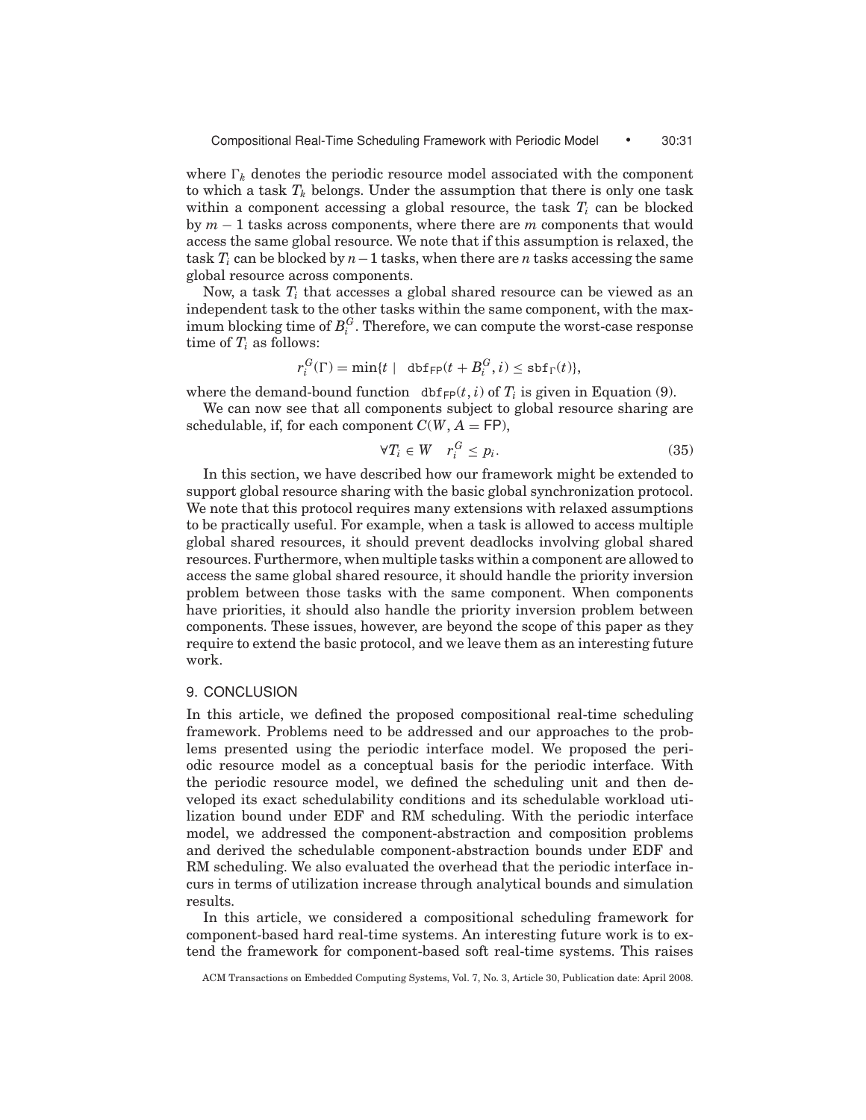where  $\Gamma_k$  denotes the periodic resource model associated with the component to which a task *Tk* belongs. Under the assumption that there is only one task within a component accessing a global resource, the task  $T_i$  can be blocked by *m* − 1 tasks across components, where there are *m* components that would access the same global resource. We note that if this assumption is relaxed, the task *Ti* can be blocked by *n*−1 tasks, when there are *n* tasks accessing the same global resource across components.

Now, a task *Ti* that accesses a global shared resource can be viewed as an independent task to the other tasks within the same component, with the maximum blocking time of  $B_i^G$ . Therefore, we can compute the worst-case response time of  $T_i$  as follows:

$$
r_i^G(\Gamma) = \min\{t \mid \text{dbf}_{\text{FP}}(t + B_i^G, i) \leq \text{sbf}_{\Gamma}(t)\},
$$

where the demand-bound function dbf<sub>FP</sub> $(t, i)$  of  $T_i$  is given in Equation (9).

We can now see that all components subject to global resource sharing are schedulable, if, for each component  $C(W, A = FP)$ ,

$$
\forall T_i \in W \quad r_i^G \le p_i. \tag{35}
$$

In this section, we have described how our framework might be extended to support global resource sharing with the basic global synchronization protocol. We note that this protocol requires many extensions with relaxed assumptions to be practically useful. For example, when a task is allowed to access multiple global shared resources, it should prevent deadlocks involving global shared resources. Furthermore, when multiple tasks within a component are allowed to access the same global shared resource, it should handle the priority inversion problem between those tasks with the same component. When components have priorities, it should also handle the priority inversion problem between components. These issues, however, are beyond the scope of this paper as they require to extend the basic protocol, and we leave them as an interesting future work.

# 9. CONCLUSION

In this article, we defined the proposed compositional real-time scheduling framework. Problems need to be addressed and our approaches to the problems presented using the periodic interface model. We proposed the periodic resource model as a conceptual basis for the periodic interface. With the periodic resource model, we defined the scheduling unit and then developed its exact schedulability conditions and its schedulable workload utilization bound under EDF and RM scheduling. With the periodic interface model, we addressed the component-abstraction and composition problems and derived the schedulable component-abstraction bounds under EDF and RM scheduling. We also evaluated the overhead that the periodic interface incurs in terms of utilization increase through analytical bounds and simulation results.

In this article, we considered a compositional scheduling framework for component-based hard real-time systems. An interesting future work is to extend the framework for component-based soft real-time systems. This raises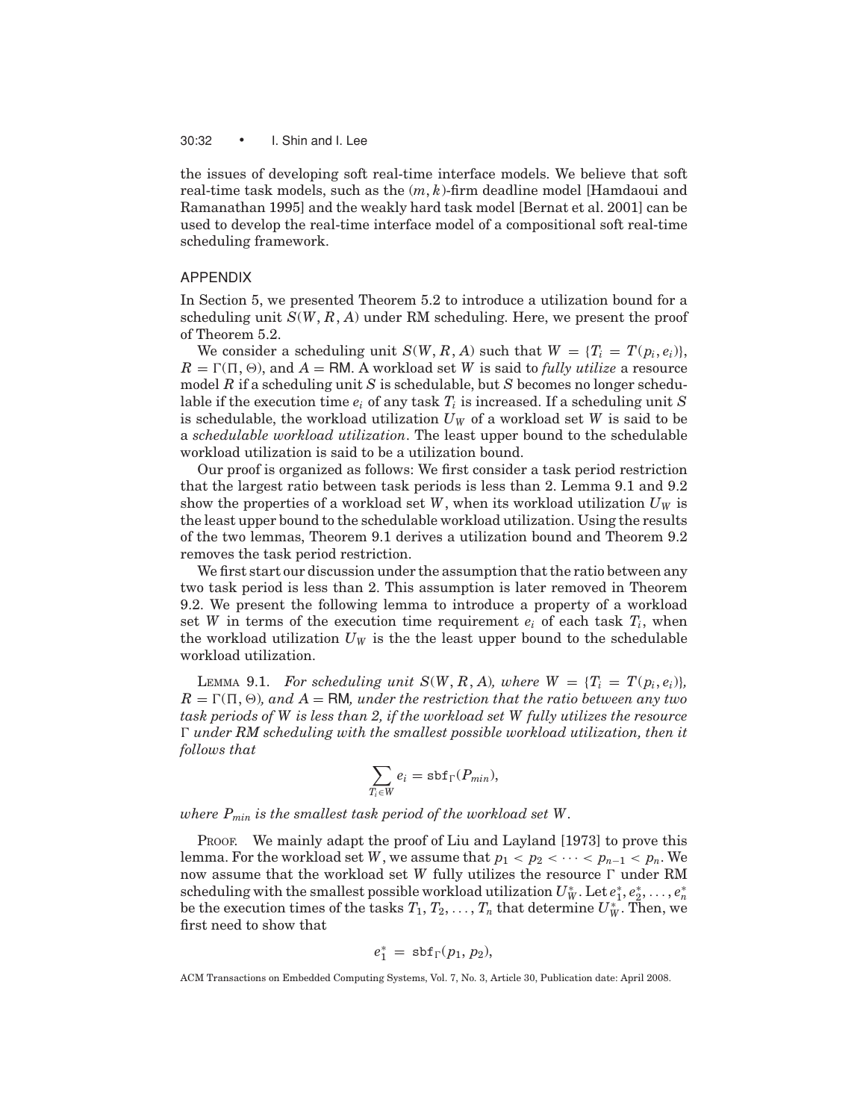## 30:32 • I. Shin and I. Lee

the issues of developing soft real-time interface models. We believe that soft real-time task models, such as the (*m*, *k*)-firm deadline model [Hamdaoui and Ramanathan 1995] and the weakly hard task model [Bernat et al. 2001] can be used to develop the real-time interface model of a compositional soft real-time scheduling framework.

## APPENDIX

In Section 5, we presented Theorem 5.2 to introduce a utilization bound for a scheduling unit *S*(*W*, *R*, *A*) under RM scheduling. Here, we present the proof of Theorem 5.2.

We consider a scheduling unit  $S(W, R, A)$  such that  $W = \{T_i = T(p_i, e_i)\},\$  $R = \Gamma(\Pi, \Theta)$ , and  $A = \text{RM}$ . A workload set *W* is said to *fully utilize* a resource model *R* if a scheduling unit *S* is schedulable, but *S* becomes no longer schedulable if the execution time  $e_i$  of any task  $T_i$  is increased. If a scheduling unit *S* is schedulable, the workload utilization  $U_W$  of a workload set  $W$  is said to be a *schedulable workload utilization*. The least upper bound to the schedulable workload utilization is said to be a utilization bound.

Our proof is organized as follows: We first consider a task period restriction that the largest ratio between task periods is less than 2. Lemma 9.1 and 9.2 show the properties of a workload set  $W$ , when its workload utilization  $U_W$  is the least upper bound to the schedulable workload utilization. Using the results of the two lemmas, Theorem 9.1 derives a utilization bound and Theorem 9.2 removes the task period restriction.

We first start our discussion under the assumption that the ratio between any two task period is less than 2. This assumption is later removed in Theorem 9.2. We present the following lemma to introduce a property of a workload set *W* in terms of the execution time requirement  $e_i$  of each task  $T_i$ , when the workload utilization  $U_W$  is the the least upper bound to the schedulable workload utilization.

LEMMA 9.1. For scheduling unit  $S(W, R, A)$ , where  $W = \{T_i = T(p_i, e_i)\}$ ,  $R = \Gamma(\Pi, \Theta)$ *, and A* = RM*, under the restriction that the ratio between any two task periods of W is less than 2, if the workload set W fully utilizes the resource* ! *under RM scheduling with the smallest possible workload utilization, then it follows that*

$$
\sum_{T_i \in W} e_i = \mathtt{sbf}_\Gamma(P_{min}),
$$

*where Pmin is the smallest task period of the workload set W.*

PROOF. We mainly adapt the proof of Liu and Layland [1973] to prove this lemma. For the workload set *W*, we assume that  $p_1 < p_2 < \cdots < p_{n-1} < p_n$ . We now assume that the workload set  $W$  fully utilizes the resource  $\Gamma$  under RM  $\mathbf{E}=\text{E}[\mathbf{E}[\mathbf{E}[\mathbf{E}[\mathbf{E}[\mathbf{E}[\mathbf{E}[\mathbf{E}[\mathbf{E}[\mathbf{E}[\mathbf{E}[\mathbf{E}[\mathbf{E}[\mathbf{E}[\mathbf{E}[\mathbf{E}[\mathbf{E}[\mathbf{E}[\mathbf{E}[\mathbf{E}[\mathbf{E}[\mathbf{E}[\mathbf{E}[\mathbf{E}[\mathbf{E}[\mathbf{E}[\mathbf{E}[\mathbf{E}[\mathbf{E}[\mathbf{E}[\mathbf{E}[\mathbf{E}[\mathbf{E}[\mathbf{E}[\mathbf{E}[\mathbf{E$ be the execution times of the tasks  $T_1, T_2, \ldots, T_n$  that determine  $U_W^*$ . Then, we first need to show that

$$
e_1^* = \operatorname{sbf}_\Gamma(p_1, p_2),
$$

ACM Transactions on Embedded Computing Systems, Vol. 7, No. 3, Article 30, Publication date: April 2008.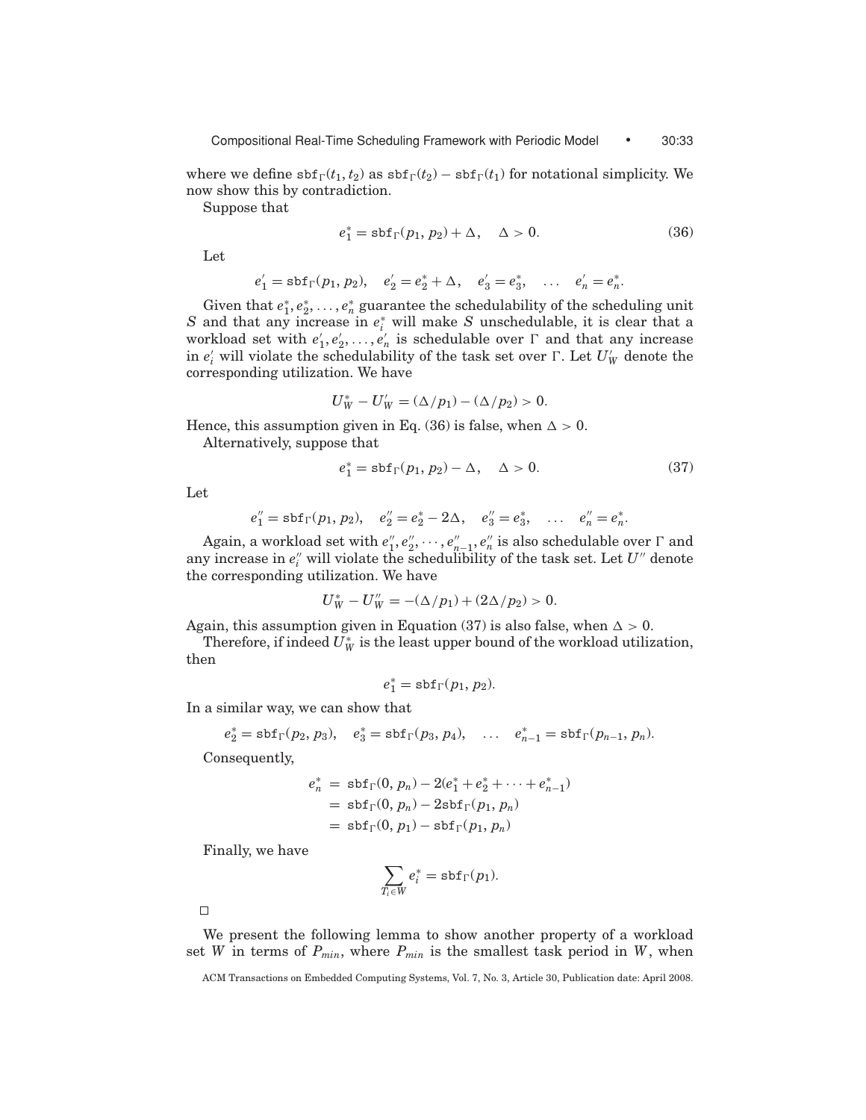where we define  $\text{sbf}_{\Gamma}(t_1, t_2)$  as  $\text{sbf}_{\Gamma}(t_2) - \text{sbf}_{\Gamma}(t_1)$  for notational simplicity. We now show this by contradiction.

Suppose that

$$
e_1^* = \text{sbf}_\Gamma(p_1, p_2) + \Delta, \quad \Delta > 0. \tag{36}
$$

Let

$$
e'_1 = \text{sbf}_{\Gamma}(p_1, p_2), \quad e'_2 = e_2^* + \Delta, \quad e'_3 = e_3^*, \quad \dots \quad e'_n = e_n^*.
$$

Given that  $e_1^*, e_2^*, \ldots, e_n^*$  guarantee the schedulability of the scheduling unit *S* and that any increase in *e*<sup>∗</sup> *<sup>i</sup>* will make *S* unschedulable, it is clear that a workload set with  $e'_1, e'_2, \ldots, e'_n$  is schedulable over  $\Gamma$  and that any increase in  $e'_i$  will violate the schedulability of the task set over  $\Gamma$ . Let  $U'_W$  denote the corresponding utilization. We have

$$
U_W^* - U_W' = (\Delta/p_1) - (\Delta/p_2) > 0.
$$

Hence, this assumption given in Eq. (36) is false, when  $\Delta > 0$ .

Alternatively, suppose that

$$
e_1^* = \text{sbf}_\Gamma(p_1, p_2) - \Delta, \quad \Delta > 0. \tag{37}
$$

Let

$$
e_1'' = \text{sbf}_\Gamma(p_1, p_2), \quad e_2'' = e_2^* - 2\Delta, \quad e_3'' = e_3^*, \quad \dots \quad e_n'' = e_n^*.
$$

Again, a workload set with  $e_1'', e_2'', \dots, e_{n-1}'', e_n''$  is also schedulable over  $\Gamma$  and any increase in  $e_i^{\prime\prime}$  will violate the schedulibility of the task set. Let  $U^{\prime\prime}$  denote the corresponding utilization. We have

$$
U_W^* - U_W'' = -(\Delta/p_1) + (2\Delta/p_2) > 0.
$$

Again, this assumption given in Equation (37) is also false, when  $\Delta > 0$ .

Therefore, if indeed  $U^*_W$  is the least upper bound of the workload utilization, then

$$
e_1^* = \text{sbf}_\Gamma(p_1, p_2).
$$

In a similar way, we can show that

$$
e_2^* = \text{sbf}_{\Gamma}(p_2, p_3), \quad e_3^* = \text{sbf}_{\Gamma}(p_3, p_4), \quad \dots \quad e_{n-1}^* = \text{sbf}_{\Gamma}(p_{n-1}, p_n).
$$

Consequently,

$$
e_n^* = \text{sbf}_{\Gamma}(0, p_n) - 2(e_1^* + e_2^* + \dots + e_{n-1}^*)
$$
  
=  $\text{sbf}_{\Gamma}(0, p_n) - 2\text{sbf}_{\Gamma}(p_1, p_n)$   
=  $\text{sbf}_{\Gamma}(0, p_1) - \text{sbf}_{\Gamma}(p_1, p_n)$ 

Finally, we have

$$
\sum_{T_i \in W} e_i^* = \mathtt{sbf}_{\Gamma}(p_1).
$$

 $\Box$ 

We present the following lemma to show another property of a workload set *W* in terms of  $P_{min}$ , where  $P_{min}$  is the smallest task period in *W*, when

ACM Transactions on Embedded Computing Systems, Vol. 7, No. 3, Article 30, Publication date: April 2008.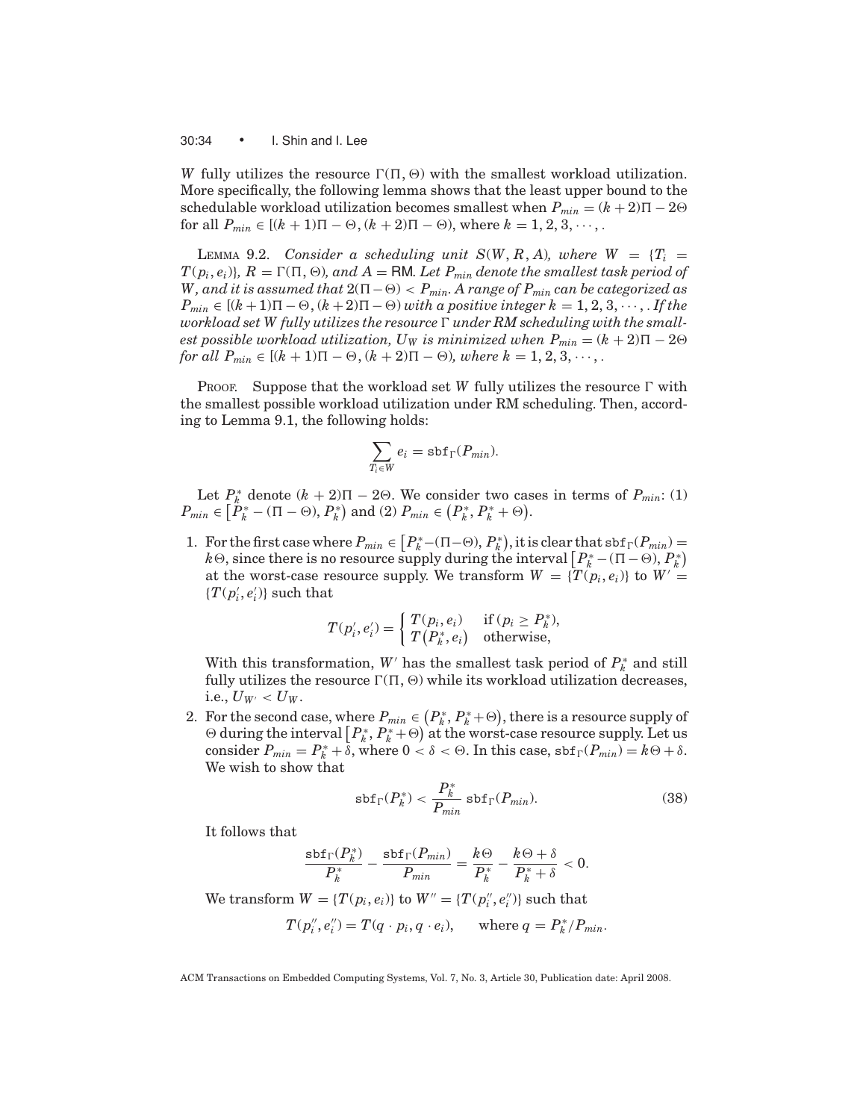30:34 • I. Shin and I. Lee

*W* fully utilizes the resource  $\Gamma(\Pi, \Theta)$  with the smallest workload utilization. More specifically, the following lemma shows that the least upper bound to the schedulable workload utilization becomes smallest when  $P_{min} = (k+2)\Pi - 2\Theta$ for all  $P_{min} \in [(k + 1)\Pi - \Theta, (k + 2)\Pi - \Theta)$ , where  $k = 1, 2, 3, \dots$ ,

LEMMA 9.2. *Consider a scheduling unit*  $S(W, R, A)$ *, where*  $W = \{T_i =$  $T(p_i, e_i)$ },  $R = \Gamma(\Pi, \Theta)$ , and  $A = \textsf{RM}\$ . Let  $P_{min}$  denote the smallest task period of  $W$ , and it is assumed that  $2(\Pi - \Theta) < P_{min}$ . A range of  $P_{min}$  can be categorized as  $P_{min} \in [(k+1)\Pi - \Theta, (k+2)\Pi - \Theta)$  *with a positive integer k* = 1, 2, 3,  $\cdots$  , . *If the workload set W fully utilizes the resource* ! *under RM scheduling with the smallest possible workload utilization, U<sub>W</sub> is minimized when*  $P_{min} = (k + 2)\Pi - 2\Theta$ *for all*  $P_{min} \in [(k+1)\Pi - \Theta, (k+2)\Pi - \Theta)$ *, where k* = 1, 2, 3, ···,.

PROOF. Suppose that the workload set  $W$  fully utilizes the resource  $\Gamma$  with the smallest possible workload utilization under RM scheduling. Then, according to Lemma 9.1, the following holds:

$$
\sum_{T_i \in W} e_i = \text{sbf}_{\Gamma}(P_{min}).
$$

Let  $P_k^*$  denote  $(k+2)\Pi - 2\Theta$ . We consider two cases in terms of  $P_{min}$ : (1)  $P_{min} \in [\tilde{P}_k^* - (\Pi - \Theta), P_k^*) \text{ and } (2) P_{min} \in (P_k^*, P_k^* + \Theta).$ 

1. For the first case where  $P_{min} \in \left[ P_k^* - (\Pi - \Theta), P_k^* \right)$ , it is clear that  $\text{sbf}_{\Gamma}(P_{min}) =$ *k* $\Theta$ , since there is no resource supply during the interval  $\left[P_k^* - (\Pi - \Theta), P_k^*\right]$ at the worst-case resource supply. We transform  $W = \{T(p_i, e_i)\}\$  to  $W' =$  $\{T(p'_i, e'_i)\}$  such that

$$
T(p'_i, e'_i) = \begin{cases} T(p_i, e_i) & \text{if } (p_i \ge P_k^*), \\ T(P_k^*, e_i) & \text{otherwise,} \end{cases}
$$

With this transformation,  $W'$  has the smallest task period of  $P_k^*$  and still fully utilizes the resource  $\Gamma(\Pi, \Theta)$  while its workload utilization decreases, i.e.,  $U_{W'} < U_W$ .

2. For the second case, where  $P_{min} \in (P_k^*, P_k^* + \Theta)$ , there is a resource supply of  $\Theta$  during the interval  $[P_k^*, P_k^* + \Theta)$  at the worst-case resource supply. Let us consider  $P_{min} = P_k^* + \delta$ , where  $0 < \delta < \Theta$ . In this case,  $\text{sbf}_{\Gamma}(P_{min}) = k\Theta + \delta$ . We wish to show that

$$
\operatorname{sbf}_{\Gamma}(P_k^*) < \frac{P_k^*}{P_{min}} \operatorname{sbf}_{\Gamma}(P_{min}).\tag{38}
$$

It follows that

$$
\frac{{\tt sbf}_{\Gamma}(P_k^*)}{P_k^*}-\frac{{\tt sbf}_{\Gamma}(P_{min})}{P_{min}}=\frac{k\Theta}{P_k^*}-\frac{k\Theta+\delta}{P_k^*+\delta}<0.
$$

 $W = \{T(p_i, e_i)\}$  to  $W'' = \{T(p''_i, e''_i)\}$  such that

$$
T(p_i'', e_i'') = T(q \cdot p_i, q \cdot e_i), \quad \text{where } q = P_k^* / P_{min}.
$$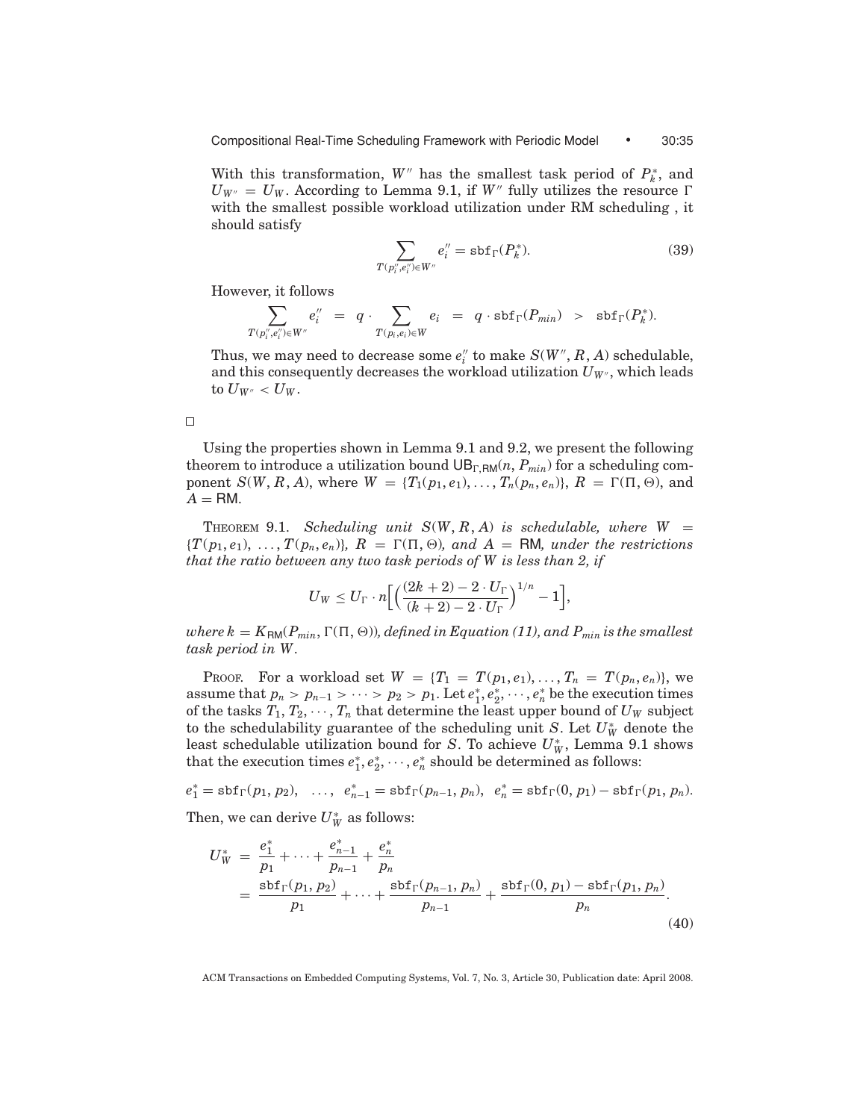With this transformation,  $W''$  has the smallest task period of  $P_k^*$ , and  $U_{W^{\prime\prime}} = U_W$ . According to Lemma 9.1, if *W*<sup> $\prime\prime$ </sup> fully utilizes the resource  $\Gamma$ with the smallest possible workload utilization under RM scheduling , it should satisfy

$$
\sum_{T(p''_i, e''_i) \in W''} e''_i = \text{sbf}_{\Gamma}(P_k^*).
$$
\n(39)

However, it follows

$$
\sum_{T(p''_i, e''_i) \in W''} e''_i \;\; = \;\; q \,\cdot \sum_{T(p_i, e_i) \in W} e_i \;\; = \;\; q \,\cdot \textnormal{sbf}_\Gamma(P_{min}) \;\; > \;\; \textnormal{sbf}_\Gamma(P^*_k).
$$

Thus, we may need to decrease some  $e_i''$  to make  $S(W'', R, A)$  schedulable, and this consequently decreases the workload utilization  $U_{W}$ , which leads to  $U_{W''} < U_W$ .

 $\Box$ 

Using the properties shown in Lemma 9.1 and 9.2, we present the following theorem to introduce a utilization bound  $\mathsf{UB}_{\Gamma,\mathsf{RM}}(n, P_{min})$  for a scheduling component *S*(*W*, *R*, *A*), where  $W = \{T_1(p_1, e_1), \ldots, T_n(p_n, e_n)\}, R = \Gamma(\Pi, \Theta)$ , and  $A = RM$ .

THEOREM 9.1. *Scheduling unit*  $S(W, R, A)$  *is schedulable, where*  $W =$  ${T(p_1, e_1), \ldots, T(p_n, e_n)}$ *, R* =  $\Gamma(\Pi, \Theta)$ *, and A* = RM*, under the restrictions that the ratio between any two task periods of W is less than 2, if*

$$
U_W \leq U_\Gamma \cdot n \Big[ \Big( \frac{(2k+2)-2\cdot U_\Gamma}{(k+2)-2\cdot U_\Gamma} \Big)^{1/n} - 1 \Big],
$$

*where k* =  $K_{\text{BM}}(P_{min}, \Gamma(\Pi, \Theta))$ *, defined in Equation (11), and P<sub>min</sub> is the smallest task period in W.*

PROOF. For a workload set  $W = \{T_1 = T(p_1, e_1), \ldots, T_n = T(p_n, e_n)\},$  we assume that  $p_n > p_{n-1} > \cdots > p_2 > p_1$ . Let  $e_1^*, e_2^*, \cdots, e_n^*$  be the execution times of the tasks  $T_1, T_2, \dots, T_n$  that determine the least upper bound of  $U_W$  subject to the schedulability guarantee of the scheduling unit  $S$ . Let  $U^*_W$  denote the least schedulable utilization bound for *S*. To achieve  $U^*_W$ , Lemma 9.1 shows that the execution times  $e_1^*, e_2^*, \dots, e_n^*$  should be determined as follows:

 $e_1^* = \text{sbf}_{\Gamma}(p_1, p_2), \dots, e_{n-1}^* = \text{sbf}_{\Gamma}(p_{n-1}, p_n), e_n^* = \text{sbf}_{\Gamma}(0, p_1) - \text{sbf}_{\Gamma}(p_1, p_n).$ 

Then, we can derive  $U_W^*$  as follows:

$$
U_W^* = \frac{e_1^*}{p_1} + \dots + \frac{e_{n-1}^*}{p_{n-1}} + \frac{e_n^*}{p_n}
$$
  
= 
$$
\frac{\text{sbf}_{\Gamma}(p_1, p_2)}{p_1} + \dots + \frac{\text{sbf}_{\Gamma}(p_{n-1}, p_n)}{p_{n-1}} + \frac{\text{sbf}_{\Gamma}(0, p_1) - \text{sbf}_{\Gamma}(p_1, p_n)}{p_n}.
$$
 (40)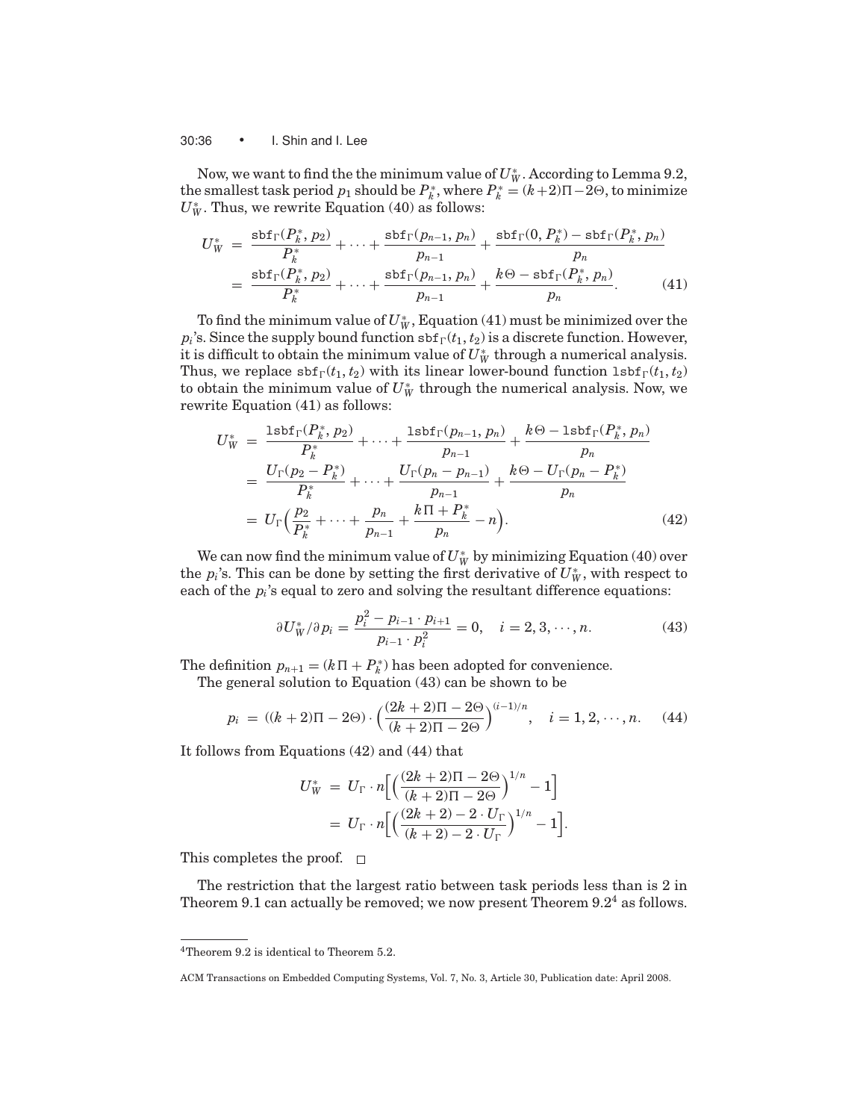#### 30:36 • I. Shin and I. Lee

Now, we want to find the the minimum value of  $U^*_W$  . According to Lemma 9.2, the smallest task period  $p_1$  should be  $P_k^*$ , where  $P_k^* = (k+2)\Pi - 2\Theta$ , to minimize  $U_W^*$ . Thus, we rewrite Equation (40) as follows:

$$
U_{W}^{*} = \frac{\text{sbf}_{\Gamma}(P_{h}^{*}, p_{2})}{P_{h}^{*}} + \dots + \frac{\text{sbf}_{\Gamma}(p_{n-1}, p_{n})}{p_{n-1}} + \frac{\text{sbf}_{\Gamma}(0, P_{h}^{*}) - \text{sbf}_{\Gamma}(P_{h}^{*}, p_{n})}{p_{n}} \\
= \frac{\text{sbf}_{\Gamma}(P_{h}^{*}, p_{2})}{P_{h}^{*}} + \dots + \frac{\text{sbf}_{\Gamma}(p_{n-1}, p_{n})}{p_{n-1}} + \frac{k\Theta - \text{sbf}_{\Gamma}(P_{h}^{*}, p_{n})}{p_{n}}.
$$
 (41)

To find the minimum value of  $U_{W}^{*}$ , Equation (41) must be minimized over the  $p_i$ 's. Since the supply bound function  $\text{sbf}_{r}(t_1, t_2)$  is a discrete function. However, it is difficult to obtain the minimum value of  $U^*_W$  through a numerical analysis. Thus, we replace  $\text{sbf}_{\Gamma}(t_1, t_2)$  with its linear lower-bound function  $\text{lsbf}_{\Gamma}(t_1, t_2)$ to obtain the minimum value of  $U^*_W$  through the numerical analysis. Now, we rewrite Equation (41) as follows:

$$
U_{W}^{*} = \frac{\text{lsbf}_{\Gamma}(P_{k}^{*}, p_{2})}{P_{k}^{*}} + \dots + \frac{\text{lsbf}_{\Gamma}(p_{n-1}, p_{n})}{p_{n-1}} + \frac{k\Theta - \text{lsbf}_{\Gamma}(P_{k}^{*}, p_{n})}{p_{n}}
$$
  

$$
= \frac{U_{\Gamma}(p_{2} - P_{k}^{*})}{P_{k}^{*}} + \dots + \frac{U_{\Gamma}(p_{n} - p_{n-1})}{p_{n-1}} + \frac{k\Theta - U_{\Gamma}(p_{n} - P_{k}^{*})}{p_{n}}
$$
  

$$
= U_{\Gamma}\left(\frac{p_{2}}{P_{k}^{*}} + \dots + \frac{p_{n}}{p_{n-1}} + \frac{k\Pi + P_{k}^{*}}{p_{n}} - n\right).
$$
 (42)

We can now find the minimum value of  $U^*_W$  by minimizing Equation (40) over the  $p_i$ 's. This can be done by setting the first derivative of  $U^*_W$ , with respect to each of the *pi*'s equal to zero and solving the resultant difference equations:

$$
\partial U_W^* / \partial p_i = \frac{p_i^2 - p_{i-1} \cdot p_{i+1}}{p_{i-1} \cdot p_i^2} = 0, \quad i = 2, 3, \cdots, n. \tag{43}
$$

The definition  $p_{n+1} = (k \Pi + P_k^*)$  has been adopted for convenience.

The general solution to Equation (43) can be shown to be

$$
p_i = ((k+2)\Pi - 2\Theta) \cdot \left(\frac{(2k+2)\Pi - 2\Theta}{(k+2)\Pi - 2\Theta}\right)^{(i-1)/n}, \quad i = 1, 2, \cdots, n. \tag{44}
$$

It follows from Equations (42) and (44) that

$$
U_W^* = U_\Gamma \cdot n \Big[ \Big( \frac{(2k+2)\Pi - 2\Theta}{(k+2)\Pi - 2\Theta} \Big)^{1/n} - 1 \Big]
$$
  
=  $U_\Gamma \cdot n \Big[ \Big( \frac{(2k+2) - 2 \cdot U_\Gamma}{(k+2) - 2 \cdot U_\Gamma} \Big)^{1/n} - 1 \Big].$ 

This completes the proof.  $\square$ 

The restriction that the largest ratio between task periods less than is 2 in Theorem 9.1 can actually be removed; we now present Theorem  $9.2<sup>4</sup>$  as follows.

<sup>4</sup>Theorem 9.2 is identical to Theorem 5.2.

ACM Transactions on Embedded Computing Systems, Vol. 7, No. 3, Article 30, Publication date: April 2008.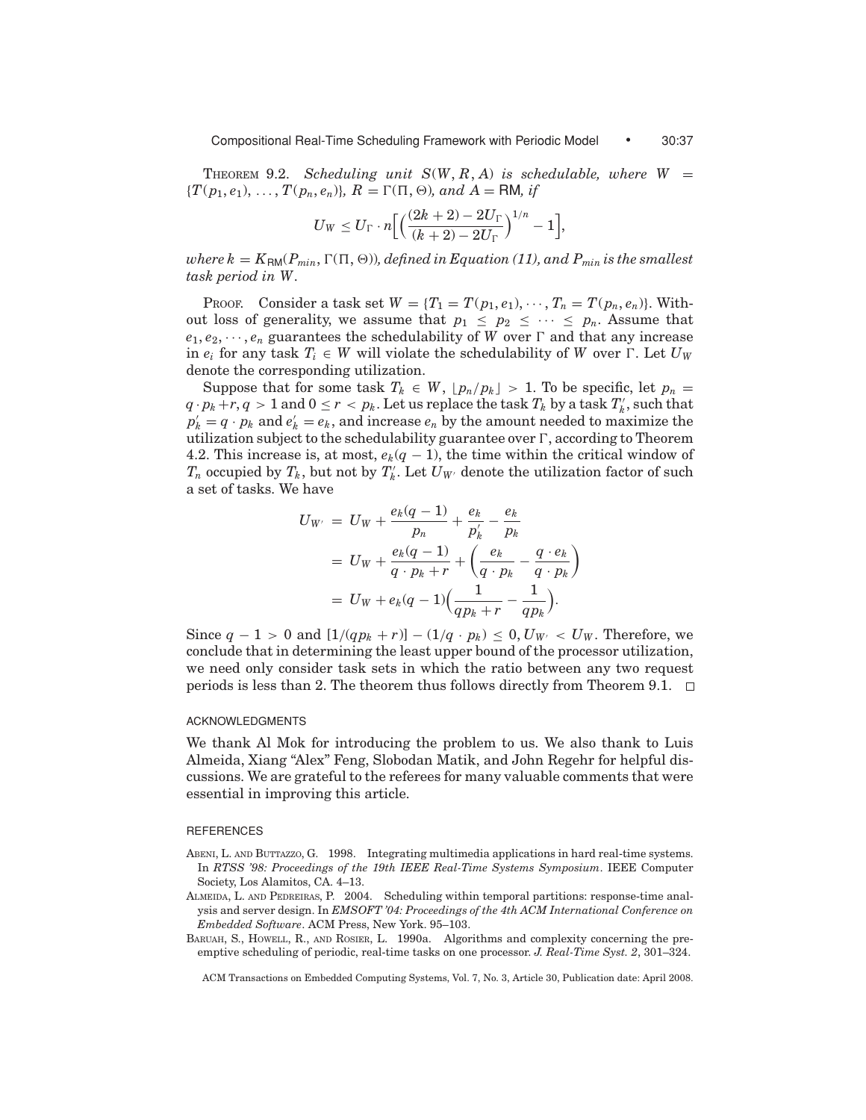**THEOREM 9.2.** *Scheduling unit*  $S(W, R, A)$  *is schedulable, where*  $W =$  ${T(p_1, e_1), \ldots, T(p_n, e_n)}$ *, R* =  $\Gamma(\Pi, \Theta)$ *, and A* = RM*, if* 

$$
U_W \leq U_{\Gamma} \cdot n \Big[ \Big( \frac{(2k+2)-2U_{\Gamma}}{(k+2)-2U_{\Gamma}} \Big)^{1/n} - 1 \Big],
$$

*where k* =  $K_{\text{BM}}(P_{min}, \Gamma(\Pi, \Theta))$ , defined in Equation (11), and  $P_{min}$  is the smallest *task period in W.*

PROOF. Consider a task set  $W = \{T_1 = T(p_1, e_1), \dots, T_n = T(p_n, e_n)\}$ . Without loss of generality, we assume that  $p_1 \leq p_2 \leq \cdots \leq p_n$ . Assume that  $e_1, e_2, \dots, e_n$  guarantees the schedulability of *W* over  $\Gamma$  and that any increase in  $e_i$  for any task  $T_i$  ∈ *W* will violate the schedulability of *W* over  $\Gamma$ . Let  $U_W$ denote the corresponding utilization.

Suppose that for some task  $T_k \in W$ ,  $\lfloor p_n/p_k \rfloor > 1$ . To be specific, let  $p_n =$  $q\cdot p_k + r, q > 1$  and  $0 \leq r < p_k$ . Let us replace the task  $T_k$  by a task  $T_k'$ , such that  $p'_k = q \cdot p_k$  and  $e'_k = e_k$ , and increase  $e_n$  by the amount needed to maximize the utilization subject to the schedulability guarantee over  $\Gamma$ , according to Theorem 4.2. This increase is, at most,  $e_k(q-1)$ , the time within the critical window of  $T_n$  occupied by  $T_k$ , but not by  $T_k'$ . Let  $U_{W'}$  denote the utilization factor of such a set of tasks. We have

$$
U_{W'} = U_W + \frac{e_k(q-1)}{p_n} + \frac{e_k}{p'_k} - \frac{e_k}{p_k}
$$
  
= 
$$
U_W + \frac{e_k(q-1)}{q \cdot p_k + r} + \left(\frac{e_k}{q \cdot p_k} - \frac{q \cdot e_k}{q \cdot p_k}\right)
$$
  
= 
$$
U_W + e_k(q-1)\left(\frac{1}{qp_k + r} - \frac{1}{qp_k}\right).
$$

Since  $q - 1 > 0$  and  $[1/(qp_k + r)] - (1/q \cdot p_k) \le 0$ ,  $U_{W'} < U_W$ . Therefore, we conclude that in determining the least upper bound of the processor utilization, we need only consider task sets in which the ratio between any two request periods is less than 2. The theorem thus follows directly from Theorem 9.1.  $\Box$ 

#### ACKNOWLEDGMENTS

We thank Al Mok for introducing the problem to us. We also thank to Luis Almeida, Xiang "Alex" Feng, Slobodan Matik, and John Regehr for helpful discussions. We are grateful to the referees for many valuable comments that were essential in improving this article.

#### REFERENCES

- ABENI, L. AND BUTTAZZO, G. 1998. Integrating multimedia applications in hard real-time systems. In *RTSS '98: Proceedings of the 19th IEEE Real-Time Systems Symposium*. IEEE Computer Society, Los Alamitos, CA. 4–13.
- ALMEIDA, L. AND PEDREIRAS, P. 2004. Scheduling within temporal partitions: response-time analysis and server design. In *EMSOFT '04: Proceedings of the 4th ACM International Conference on Embedded Software*. ACM Press, New York. 95–103.
- BARUAH, S., HOWELL, R., AND ROSIER, L. 1990a. Algorithms and complexity concerning the preemptive scheduling of periodic, real-time tasks on one processor. *J. Real-Time Syst. 2*, 301–324.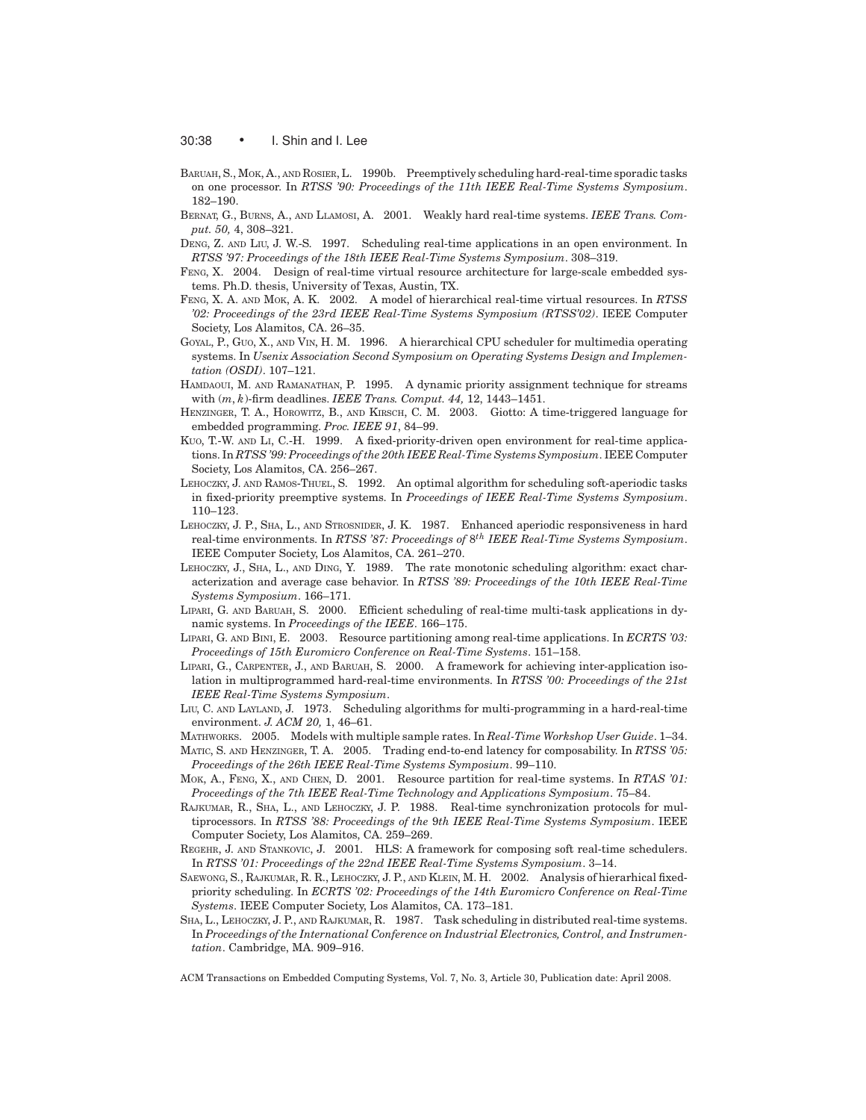#### 30:38 • I. Shin and I. Lee

BARUAH, S., MOK, A., AND ROSIER, L. 1990b. Preemptively scheduling hard-real-time sporadic tasks on one processor. In *RTSS '90: Proceedings of the 11th IEEE Real-Time Systems Symposium*. 182–190.

BERNAT, G., BURNS, A., AND LLAMOSI, A. 2001. Weakly hard real-time systems. *IEEE Trans. Comput. 50,* 4, 308–321.

- DENG, Z. AND LIU, J. W.-S. 1997. Scheduling real-time applications in an open environment. In *RTSS '97: Proceedings of the 18th IEEE Real-Time Systems Symposium*. 308–319.
- FENG, X. 2004. Design of real-time virtual resource architecture for large-scale embedded systems. Ph.D. thesis, University of Texas, Austin, TX.
- FENG, X. A. AND MOK, A. K. 2002. A model of hierarchical real-time virtual resources. In *RTSS '02: Proceedings of the 23rd IEEE Real-Time Systems Symposium (RTSS'02)*. IEEE Computer Society, Los Alamitos, CA. 26–35.
- GOYAL, P., GUO, X., AND VIN, H. M. 1996. A hierarchical CPU scheduler for multimedia operating systems. In *Usenix Association Second Symposium on Operating Systems Design and Implementation (OSDI)*. 107–121.
- HAMDAOUI, M. AND RAMANATHAN, P. 1995. A dynamic priority assignment technique for streams with (*m*, *k*)-firm deadlines. *IEEE Trans. Comput. 44,* 12, 1443–1451.
- HENZINGER, T. A., HOROWITZ, B., AND KIRSCH, C. M. 2003. Giotto: A time-triggered language for embedded programming. *Proc. IEEE 91*, 84–99.
- KUO, T.-W. AND LI, C.-H. 1999. A fixed-priority-driven open environment for real-time applications. In *RTSS '99: Proceedings of the 20th IEEE Real-Time Systems Symposium*. IEEE Computer Society, Los Alamitos, CA. 256–267.
- LEHOCZKY, J. AND RAMOS-THUEL, S. 1992. An optimal algorithm for scheduling soft-aperiodic tasks in fixed-priority preemptive systems. In *Proceedings of IEEE Real-Time Systems Symposium*. 110–123.
- LEHOCZKY, J. P., SHA, L., AND STROSNIDER, J. K. 1987. Enhanced aperiodic responsiveness in hard real-time environments. In *RTSS '87: Proceedings of* 8*th IEEE Real-Time Systems Symposium*. IEEE Computer Society, Los Alamitos, CA. 261–270.
- LEHOCZKY, J., SHA, L., AND DING, Y. 1989. The rate monotonic scheduling algorithm: exact characterization and average case behavior. In *RTSS '89: Proceedings of the 10th IEEE Real-Time Systems Symposium*. 166–171.
- LIPARI, G. AND BARUAH, S. 2000. Efficient scheduling of real-time multi-task applications in dynamic systems. In *Proceedings of the IEEE*. 166–175.
- LIPARI, G. AND BINI, E. 2003. Resource partitioning among real-time applications. In *ECRTS '03: Proceedings of 15th Euromicro Conference on Real-Time Systems*. 151–158.
- LIPARI, G., CARPENTER, J., AND BARUAH, S. 2000. A framework for achieving inter-application isolation in multiprogrammed hard-real-time environments. In *RTSS '00: Proceedings of the 21st IEEE Real-Time Systems Symposium*.
- LIU, C. AND LAYLAND, J. 1973. Scheduling algorithms for multi-programming in a hard-real-time environment. *J. ACM 20,* 1, 46–61.
- MATHWORKS. 2005. Models with multiple sample rates. In *Real-Time Workshop User Guide*. 1–34.
- MATIC, S. AND HENZINGER, T. A. 2005. Trading end-to-end latency for composability. In *RTSS '05: Proceedings of the 26th IEEE Real-Time Systems Symposium*. 99–110.
- MOK, A., FENG, X., AND CHEN, D. 2001. Resource partition for real-time systems. In *RTAS '01: Proceedings of the 7th IEEE Real-Time Technology and Applications Symposium*. 75–84.
- RAJKUMAR, R., SHA, L., AND LEHOCZKY, J. P. 1988. Real-time synchronization protocols for multiprocessors. In *RTSS '88: Proceedings of the* 9*th IEEE Real-Time Systems Symposium*. IEEE Computer Society, Los Alamitos, CA. 259–269.
- REGEHR, J. AND STANKOVIC, J. 2001. HLS: A framework for composing soft real-time schedulers. In *RTSS '01: Proceedings of the 22nd IEEE Real-Time Systems Symposium*. 3–14.
- SAEWONG, S., RAJKUMAR, R. R., LEHOCZKY, J. P., AND KLEIN, M. H. 2002. Analysis of hierarhical fixedpriority scheduling. In *ECRTS '02: Proceedings of the 14th Euromicro Conference on Real-Time Systems*. IEEE Computer Society, Los Alamitos, CA. 173–181.
- SHA, L., LEHOCZKY, J. P., AND RAJKUMAR, R. 1987. Task scheduling in distributed real-time systems. In *Proceedings of the International Conference on Industrial Electronics, Control, and Instrumentation*. Cambridge, MA. 909–916.